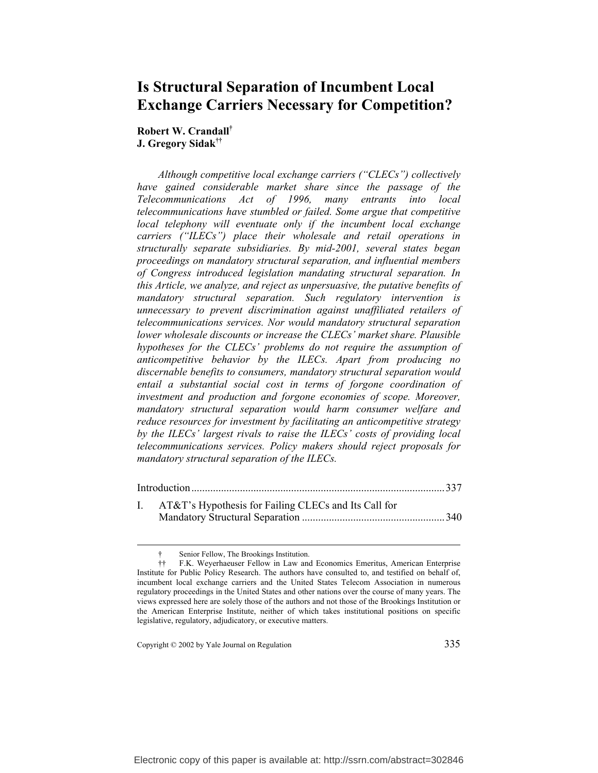# **Is Structural Separation of Incumbent Local Exchange Carriers Necessary for Competition?**

**Robert W. Crandall† J. Gregory Sidak††**

*Although competitive local exchange carriers ("CLECs") collectively have gained considerable market share since the passage of the Telecommunications Act of 1996, many entrants into local telecommunications have stumbled or failed. Some argue that competitive local telephony will eventuate only if the incumbent local exchange carriers ("ILECs") place their wholesale and retail operations in structurally separate subsidiaries. By mid-2001, several states began proceedings on mandatory structural separation, and influential members of Congress introduced legislation mandating structural separation. In this Article, we analyze, and reject as unpersuasive, the putative benefits of mandatory structural separation. Such regulatory intervention is unnecessary to prevent discrimination against unaffiliated retailers of telecommunications services. Nor would mandatory structural separation lower wholesale discounts or increase the CLECs' market share. Plausible hypotheses for the CLECs' problems do not require the assumption of anticompetitive behavior by the ILECs. Apart from producing no discernable benefits to consumers, mandatory structural separation would entail a substantial social cost in terms of forgone coordination of investment and production and forgone economies of scope. Moreover, mandatory structural separation would harm consumer welfare and reduce resources for investment by facilitating an anticompetitive strategy by the ILECs' largest rivals to raise the ILECs' costs of providing local telecommunications services. Policy makers should reject proposals for mandatory structural separation of the ILECs.* 

| I. AT&T's Hypothesis for Failing CLECs and Its Call for |  |
|---------------------------------------------------------|--|
|                                                         |  |

Copyright © 2002 by Yale Journal on Regulation 335

Senior Fellow, The Brookings Institution.

<sup>††</sup> F.K. Weyerhaeuser Fellow in Law and Economics Emeritus, American Enterprise Institute for Public Policy Research. The authors have consulted to, and testified on behalf of, incumbent local exchange carriers and the United States Telecom Association in numerous regulatory proceedings in the United States and other nations over the course of many years. The views expressed here are solely those of the authors and not those of the Brookings Institution or the American Enterprise Institute, neither of which takes institutional positions on specific legislative, regulatory, adjudicatory, or executive matters.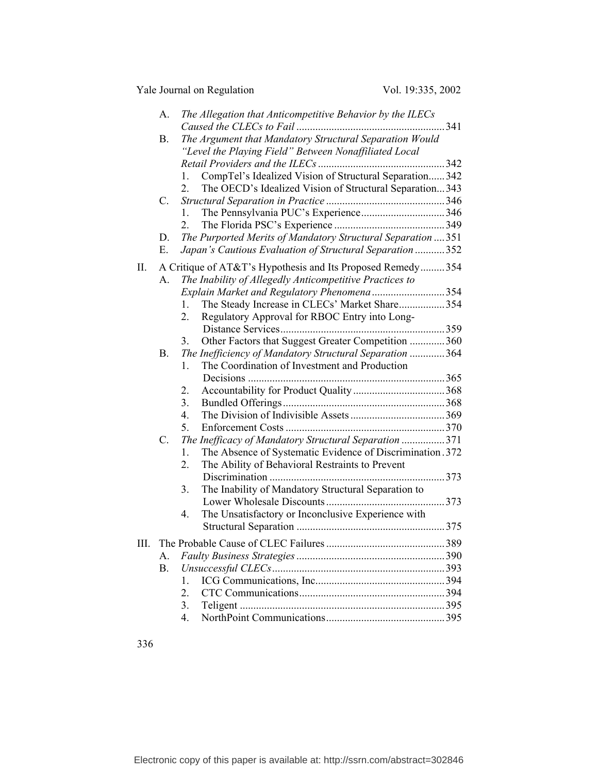|    | A.        | The Allegation that Anticompetitive Behavior by the ILECs                                                                            |     |
|----|-----------|--------------------------------------------------------------------------------------------------------------------------------------|-----|
|    | <b>B.</b> | The Argument that Mandatory Structural Separation Would<br>"Level the Playing Field" Between Nonaffiliated Local                     |     |
|    |           |                                                                                                                                      |     |
|    |           | CompTel's Idealized Vision of Structural Separation342<br>$1_{-}$                                                                    |     |
|    |           | The OECD's Idealized Vision of Structural Separation343<br>$\overline{2}$ .                                                          |     |
|    | C.        |                                                                                                                                      |     |
|    |           | The Pennsylvania PUC's Experience346<br>1.                                                                                           |     |
|    |           | $2_{-}$                                                                                                                              |     |
|    | D.        | The Purported Merits of Mandatory Structural Separation  351                                                                         |     |
|    | Е.        | Japan's Cautious Evaluation of Structural Separation 352                                                                             |     |
| П. |           | A Critique of AT&T's Hypothesis and Its Proposed Remedy354                                                                           |     |
|    | A.        | The Inability of Allegedly Anticompetitive Practices to                                                                              |     |
|    |           | Explain Market and Regulatory Phenomena 354                                                                                          |     |
|    |           | The Steady Increase in CLECs' Market Share354<br>1.                                                                                  |     |
|    |           | Regulatory Approval for RBOC Entry into Long-<br>2.                                                                                  |     |
|    |           |                                                                                                                                      |     |
|    |           | Other Factors that Suggest Greater Competition 360<br>3.                                                                             |     |
|    | <b>B.</b> | The Inefficiency of Mandatory Structural Separation 364                                                                              |     |
|    |           | The Coordination of Investment and Production<br>$\mathbf{1}$ .                                                                      |     |
|    |           |                                                                                                                                      |     |
|    |           | 2.                                                                                                                                   |     |
|    |           | 3.                                                                                                                                   |     |
|    |           | 4.                                                                                                                                   |     |
|    |           | 5.                                                                                                                                   |     |
|    | C.        | The Inefficacy of Mandatory Structural Separation 371                                                                                |     |
|    |           | The Absence of Systematic Evidence of Discrimination. 372<br>$\mathbf{1}$ .<br>The Ability of Behavioral Restraints to Prevent<br>2. |     |
|    |           |                                                                                                                                      |     |
|    |           | The Inability of Mandatory Structural Separation to<br>3.                                                                            |     |
|    |           |                                                                                                                                      |     |
|    |           | The Unsatisfactory or Inconclusive Experience with<br>4.                                                                             |     |
|    |           |                                                                                                                                      |     |
| Ш. |           |                                                                                                                                      | 389 |
|    | А.        |                                                                                                                                      |     |
|    | Β.        |                                                                                                                                      |     |
|    |           | $\mathbf{1}$ .                                                                                                                       |     |
|    |           | $\overline{2}$ .                                                                                                                     |     |
|    |           | 3.                                                                                                                                   |     |
|    |           | 4.                                                                                                                                   |     |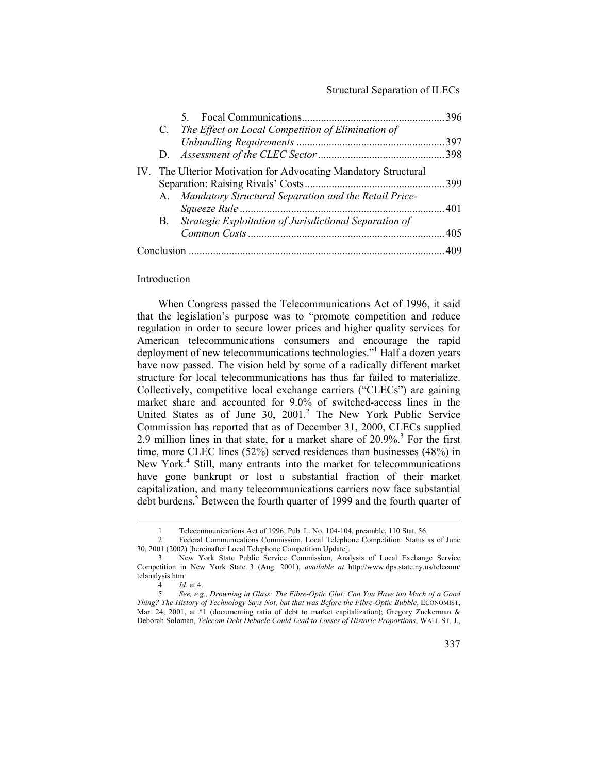|  | C. The Effect on Local Competition of Elimination of            |  |
|--|-----------------------------------------------------------------|--|
|  |                                                                 |  |
|  |                                                                 |  |
|  | IV. The Ulterior Motivation for Advocating Mandatory Structural |  |
|  |                                                                 |  |
|  | A. Mandatory Structural Separation and the Retail Price-        |  |
|  |                                                                 |  |
|  | B. Strategic Exploitation of Jurisdictional Separation of       |  |
|  |                                                                 |  |
|  |                                                                 |  |
|  |                                                                 |  |

### Introduction

When Congress passed the Telecommunications Act of 1996, it said that the legislation's purpose was to "promote competition and reduce regulation in order to secure lower prices and higher quality services for American telecommunications consumers and encourage the rapid deployment of new telecommunications technologies."<sup>1</sup> Half a dozen years have now passed. The vision held by some of a radically different market structure for local telecommunications has thus far failed to materialize. Collectively, competitive local exchange carriers ("CLECs") are gaining market share and accounted for 9.0% of switched-access lines in the United States as of June 30, 2001.<sup>2</sup> The New York Public Service Commission has reported that as of December 31, 2000, CLECs supplied 2.9 million lines in that state, for a market share of  $20.9\%$ <sup>3</sup>. For the first time, more CLEC lines (52%) served residences than businesses (48%) in New York.<sup>4</sup> Still, many entrants into the market for telecommunications have gone bankrupt or lost a substantial fraction of their market capitalization, and many telecommunications carriers now face substantial debt burdens.<sup>5</sup> Between the fourth quarter of 1999 and the fourth quarter of

 <sup>1</sup> Telecommunications Act of 1996, Pub. L. No. 104*-*104, preamble, 110 Stat. 56.

<sup>2</sup> Federal Communications Commission, Local Telephone Competition: Status as of June 30, 2001 (2002) [hereinafter Local Telephone Competition Update].

<sup>3</sup> New York State Public Service Commission, Analysis of Local Exchange Service Competition in New York State 3 (Aug. 2001), *available at* http://www.dps.state.ny.us/telecom/ telanalysis.htm.

<sup>4</sup> *Id*. at 4.

<sup>5</sup> *See, e.g., Drowning in Glass: The Fibre-Optic Glut: Can You Have too Much of a Good Thing? The History of Technology Says Not, but that was Before the Fibre-Optic Bubble*, ECONOMIST, Mar. 24, 2001, at \*1 (documenting ratio of debt to market capitalization); Gregory Zuckerman & Deborah Soloman, *Telecom Debt Debacle Could Lead to Losses of Historic Proportions*, WALL ST. J.,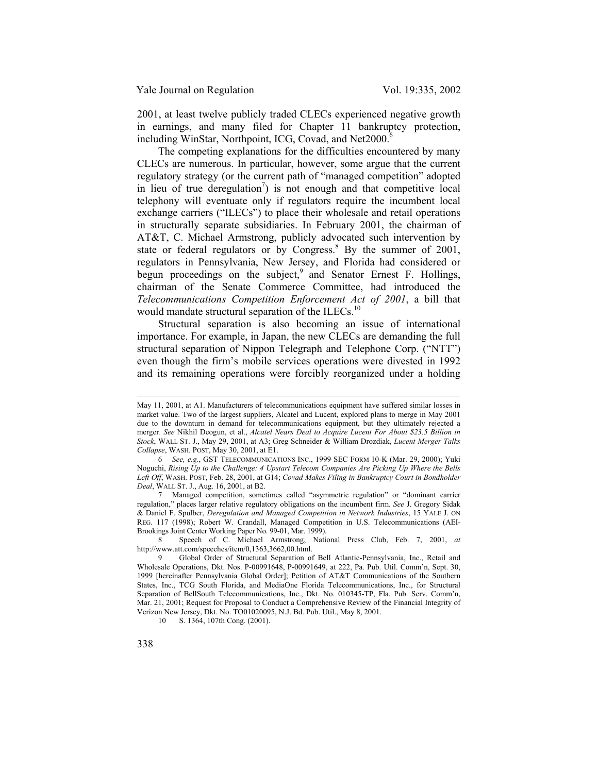2001, at least twelve publicly traded CLECs experienced negative growth in earnings, and many filed for Chapter 11 bankruptcy protection, including WinStar, Northpoint, ICG, Covad, and Net2000.<sup>6</sup>

The competing explanations for the difficulties encountered by many CLECs are numerous. In particular, however, some argue that the current regulatory strategy (or the current path of "managed competition" adopted in lieu of true deregulation<sup>7</sup>) is not enough and that competitive local telephony will eventuate only if regulators require the incumbent local exchange carriers ("ILECs") to place their wholesale and retail operations in structurally separate subsidiaries. In February 2001, the chairman of AT&T, C. Michael Armstrong, publicly advocated such intervention by state or federal regulators or by Congress.<sup>8</sup> By the summer of 2001, regulators in Pennsylvania, New Jersey, and Florida had considered or begun proceedings on the subject,  $9$  and Senator Ernest F. Hollings, chairman of the Senate Commerce Committee, had introduced the *Telecommunications Competition Enforcement Act of 2001*, a bill that would mandate structural separation of the ILECs.<sup>10</sup>

Structural separation is also becoming an issue of international importance. For example, in Japan, the new CLECs are demanding the full structural separation of Nippon Telegraph and Telephone Corp. ("NTT") even though the firm's mobile services operations were divested in 1992 and its remaining operations were forcibly reorganized under a holding

 $\overline{a}$ 

May 11, 2001, at A1. Manufacturers of telecommunications equipment have suffered similar losses in market value. Two of the largest suppliers, Alcatel and Lucent, explored plans to merge in May 2001 due to the downturn in demand for telecommunications equipment, but they ultimately rejected a merger. *See* Nikhil Deogun, et al., *Alcatel Nears Deal to Acquire Lucent For About \$23.5 Billion in Stock*, WALL ST. J., May 29, 2001, at A3; Greg Schneider & William Drozdiak, *Lucent Merger Talks Collapse*, WASH. POST, May 30, 2001, at E1.

<sup>6</sup> *See, e.g.*, GST TELECOMMUNICATIONS INC., 1999 SEC FORM 10-K (Mar. 29, 2000); Yuki Noguchi, *Rising Up to the Challenge: 4 Upstart Telecom Companies Are Picking Up Where the Bells Left Off*, WASH. POST, Feb. 28, 2001, at G14; *Covad Makes Filing in Bankruptcy Court in Bondholder Deal*, WALL ST. J., Aug. 16, 2001, at B2.

<sup>7</sup> Managed competition, sometimes called "asymmetric regulation" or "dominant carrier regulation," places larger relative regulatory obligations on the incumbent firm. *See* J. Gregory Sidak & Daniel F. Spulber, *Deregulation and Managed Competition in Network Industries*, 15 YALE J. ON REG. 117 (1998); Robert W. Crandall, Managed Competition in U.S. Telecommunications (AEI-Brookings Joint Center Working Paper No. 99-01, Mar. 1999).

<sup>8</sup> Speech of C. Michael Armstrong, National Press Club, Feb. 7, 2001, *at* http://www.att.com/speeches/item/0,1363,3662,00.html.

<sup>9</sup> Global Order of Structural Separation of Bell Atlantic-Pennsylvania, Inc., Retail and Wholesale Operations, Dkt. Nos. P-00991648, P-00991649, at 222, Pa. Pub. Util. Comm'n, Sept. 30, 1999 [hereinafter Pennsylvania Global Order]; Petition of AT&T Communications of the Southern States, Inc., TCG South Florida, and MediaOne Florida Telecommunications, Inc., for Structural Separation of BellSouth Telecommunications, Inc., Dkt. No. 010345-TP, Fla. Pub. Serv. Comm'n, Mar. 21, 2001; Request for Proposal to Conduct a Comprehensive Review of the Financial Integrity of Verizon New Jersey, Dkt. No. TO01020095, N.J. Bd. Pub. Util., May 8, 2001.

<sup>10</sup> S. 1364, 107th Cong. (2001).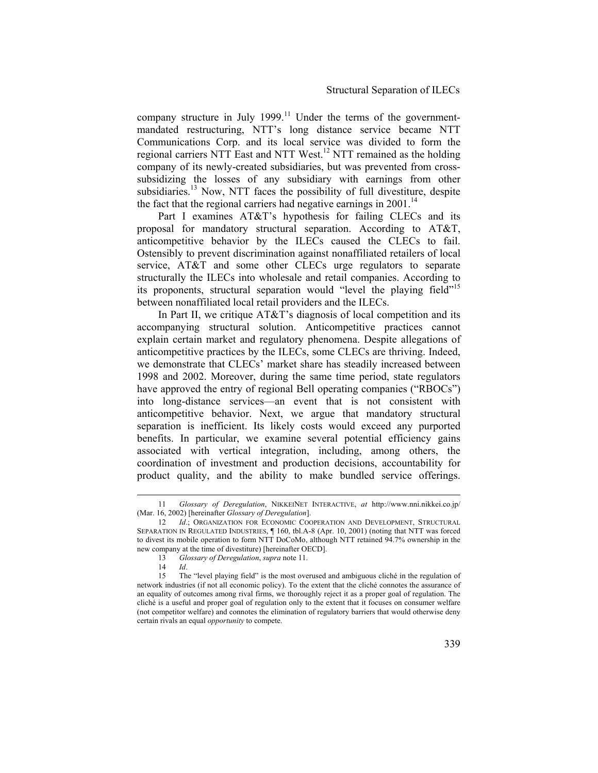company structure in July 1999.<sup>11</sup> Under the terms of the governmentmandated restructuring, NTT's long distance service became NTT Communications Corp. and its local service was divided to form the regional carriers NTT East and NTT West.<sup>12</sup> NTT remained as the holding company of its newly-created subsidiaries, but was prevented from crosssubsidizing the losses of any subsidiary with earnings from other subsidiaries.<sup>13</sup> Now, NTT faces the possibility of full divestiture, despite the fact that the regional carriers had negative earnings in  $2001$ .<sup>14</sup>

Part I examines AT&T's hypothesis for failing CLECs and its proposal for mandatory structural separation. According to AT&T, anticompetitive behavior by the ILECs caused the CLECs to fail. Ostensibly to prevent discrimination against nonaffiliated retailers of local service, AT&T and some other CLECs urge regulators to separate structurally the ILECs into wholesale and retail companies. According to its proponents, structural separation would "level the playing field"<sup>15</sup> between nonaffiliated local retail providers and the ILECs.

In Part II, we critique AT&T's diagnosis of local competition and its accompanying structural solution. Anticompetitive practices cannot explain certain market and regulatory phenomena. Despite allegations of anticompetitive practices by the ILECs, some CLECs are thriving. Indeed, we demonstrate that CLECs' market share has steadily increased between 1998 and 2002. Moreover, during the same time period, state regulators have approved the entry of regional Bell operating companies ("RBOCs") into long-distance services—an event that is not consistent with anticompetitive behavior. Next, we argue that mandatory structural separation is inefficient. Its likely costs would exceed any purported benefits. In particular, we examine several potential efficiency gains associated with vertical integration, including, among others, the coordination of investment and production decisions, accountability for product quality, and the ability to make bundled service offerings.

 <sup>11</sup> *Glossary of Deregulation*, NIKKEINET INTERACTIVE, *at* http://www.nni.nikkei.co.jp/ (Mar. 16, 2002) [hereinafter *Glossary of Deregulation*].

<sup>12</sup> *Id.*; ORGANIZATION FOR ECONOMIC COOPERATION AND DEVELOPMENT, STRUCTURAL SEPARATION IN REGULATED INDUSTRIES, ¶ 160, tbl.A-8 (Apr. 10, 2001) (noting that NTT was forced to divest its mobile operation to form NTT DoCoMo, although NTT retained 94.7% ownership in the new company at the time of divestiture) [hereinafter OECD].

<sup>13</sup> *Glossary of Deregulation*, *supra* note 11.

<sup>14</sup> *Id*. 15 The "level playing field" is the most overused and ambiguous cliché in the regulation of network industries (if not all economic policy). To the extent that the cliché connotes the assurance of an equality of outcomes among rival firms, we thoroughly reject it as a proper goal of regulation. The cliché is a useful and proper goal of regulation only to the extent that it focuses on consumer welfare (not competitor welfare) and connotes the elimination of regulatory barriers that would otherwise deny certain rivals an equal *opportunity* to compete.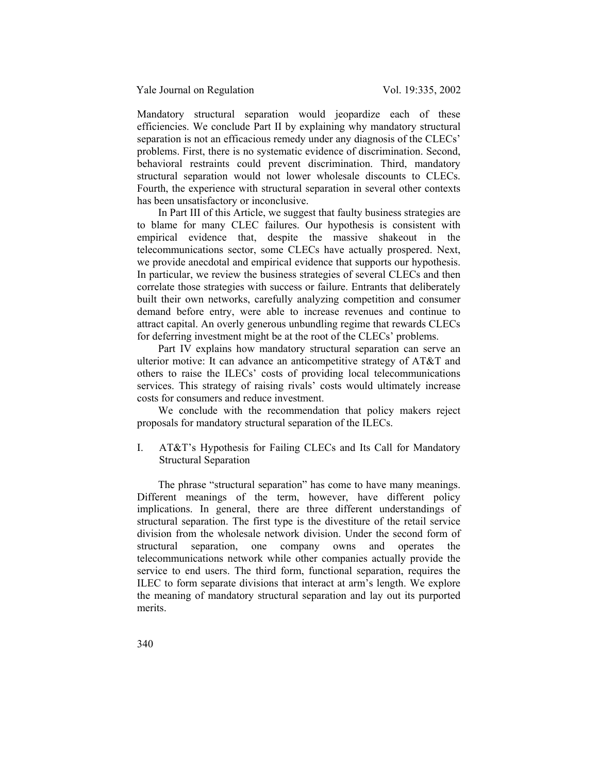Mandatory structural separation would jeopardize each of these efficiencies. We conclude Part II by explaining why mandatory structural separation is not an efficacious remedy under any diagnosis of the CLECs' problems. First, there is no systematic evidence of discrimination. Second, behavioral restraints could prevent discrimination. Third, mandatory structural separation would not lower wholesale discounts to CLECs. Fourth, the experience with structural separation in several other contexts has been unsatisfactory or inconclusive.

In Part III of this Article, we suggest that faulty business strategies are to blame for many CLEC failures. Our hypothesis is consistent with empirical evidence that, despite the massive shakeout in the telecommunications sector, some CLECs have actually prospered. Next, we provide anecdotal and empirical evidence that supports our hypothesis. In particular, we review the business strategies of several CLECs and then correlate those strategies with success or failure. Entrants that deliberately built their own networks, carefully analyzing competition and consumer demand before entry, were able to increase revenues and continue to attract capital. An overly generous unbundling regime that rewards CLECs for deferring investment might be at the root of the CLECs' problems.

Part IV explains how mandatory structural separation can serve an ulterior motive: It can advance an anticompetitive strategy of AT&T and others to raise the ILECs' costs of providing local telecommunications services. This strategy of raising rivals' costs would ultimately increase costs for consumers and reduce investment.

We conclude with the recommendation that policy makers reject proposals for mandatory structural separation of the ILECs.

I. AT&T's Hypothesis for Failing CLECs and Its Call for Mandatory Structural Separation

The phrase "structural separation" has come to have many meanings. Different meanings of the term, however, have different policy implications. In general, there are three different understandings of structural separation. The first type is the divestiture of the retail service division from the wholesale network division. Under the second form of structural separation, one company owns and operates the telecommunications network while other companies actually provide the service to end users. The third form, functional separation, requires the ILEC to form separate divisions that interact at arm's length. We explore the meaning of mandatory structural separation and lay out its purported merits.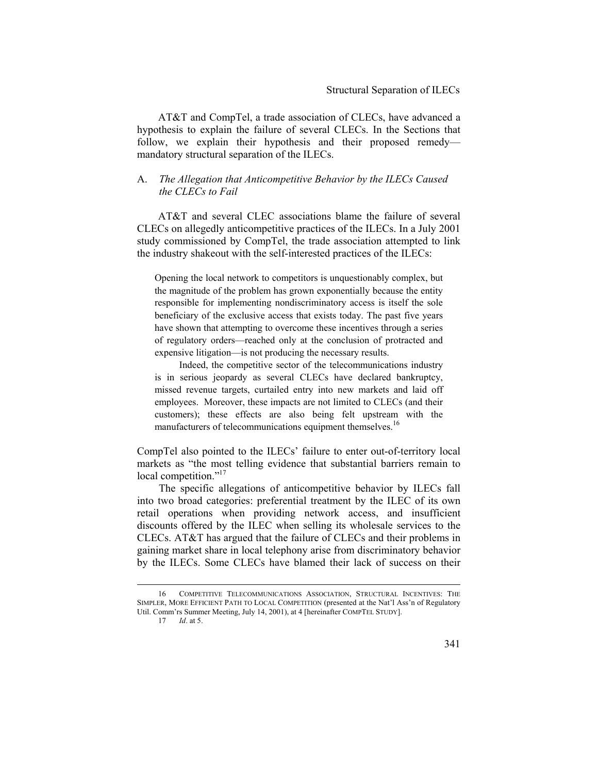AT&T and CompTel, a trade association of CLECs, have advanced a hypothesis to explain the failure of several CLECs. In the Sections that follow, we explain their hypothesis and their proposed remedy mandatory structural separation of the ILECs.

### A. *The Allegation that Anticompetitive Behavior by the ILECs Caused the CLECs to Fail*

AT&T and several CLEC associations blame the failure of several CLECs on allegedly anticompetitive practices of the ILECs. In a July 2001 study commissioned by CompTel, the trade association attempted to link the industry shakeout with the self-interested practices of the ILECs:

Opening the local network to competitors is unquestionably complex, but the magnitude of the problem has grown exponentially because the entity responsible for implementing nondiscriminatory access is itself the sole beneficiary of the exclusive access that exists today. The past five years have shown that attempting to overcome these incentives through a series of regulatory orders—reached only at the conclusion of protracted and expensive litigation—is not producing the necessary results.

 Indeed, the competitive sector of the telecommunications industry is in serious jeopardy as several CLECs have declared bankruptcy, missed revenue targets, curtailed entry into new markets and laid off employees. Moreover, these impacts are not limited to CLECs (and their customers); these effects are also being felt upstream with the manufacturers of telecommunications equipment themselves.<sup>16</sup>

CompTel also pointed to the ILECs' failure to enter out-of-territory local markets as "the most telling evidence that substantial barriers remain to local competition."<sup>17</sup>

The specific allegations of anticompetitive behavior by ILECs fall into two broad categories: preferential treatment by the ILEC of its own retail operations when providing network access, and insufficient discounts offered by the ILEC when selling its wholesale services to the CLECs. AT&T has argued that the failure of CLECs and their problems in gaining market share in local telephony arise from discriminatory behavior by the ILECs. Some CLECs have blamed their lack of success on their

 <sup>16</sup> COMPETITIVE TELECOMMUNICATIONS ASSOCIATION, STRUCTURAL INCENTIVES: THE SIMPLER, MORE EFFICIENT PATH TO LOCAL COMPETITION (presented at the Nat'l Ass'n of Regulatory Util. Comm'rs Summer Meeting, July 14, 2001), at 4 [hereinafter COMPTEL STUDY].

<sup>17</sup> *Id*. at 5.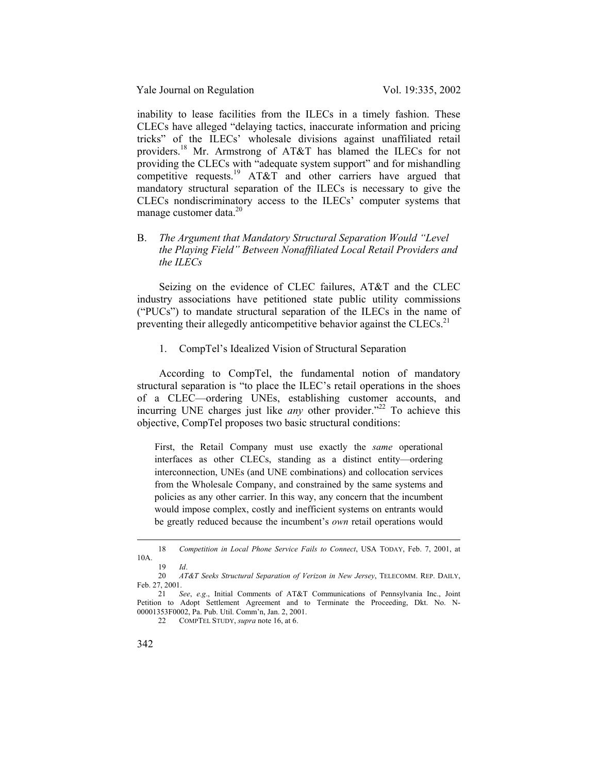inability to lease facilities from the ILECs in a timely fashion. These CLECs have alleged "delaying tactics, inaccurate information and pricing tricks" of the ILECs' wholesale divisions against unaffiliated retail providers.<sup>18</sup> Mr. Armstrong of AT&T has blamed the ILECs for not providing the CLECs with "adequate system support" and for mishandling competitive requests.<sup>19</sup> AT&T and other carriers have argued that mandatory structural separation of the ILECs is necessary to give the CLECs nondiscriminatory access to the ILECs' computer systems that manage customer data.<sup>20</sup>

## B. *The Argument that Mandatory Structural Separation Would "Level the Playing Field" Between Nonaffiliated Local Retail Providers and the ILECs*

Seizing on the evidence of CLEC failures, AT&T and the CLEC industry associations have petitioned state public utility commissions ("PUCs") to mandate structural separation of the ILECs in the name of preventing their allegedly anticompetitive behavior against the CLECs.<sup>21</sup>

### 1. CompTel's Idealized Vision of Structural Separation

According to CompTel, the fundamental notion of mandatory structural separation is "to place the ILEC's retail operations in the shoes of a CLEC—ordering UNEs, establishing customer accounts, and incurring UNE charges just like *any* other provider."<sup>22</sup> To achieve this objective, CompTel proposes two basic structural conditions:

First, the Retail Company must use exactly the *same* operational interfaces as other CLECs, standing as a distinct entity—ordering interconnection, UNEs (and UNE combinations) and collocation services from the Wholesale Company, and constrained by the same systems and policies as any other carrier. In this way, any concern that the incumbent would impose complex, costly and inefficient systems on entrants would be greatly reduced because the incumbent's *own* retail operations would

 <sup>18</sup> *Competition in Local Phone Service Fails to Connect*, USA TODAY, Feb. 7, 2001, at 10A.

<sup>19</sup> *Id*.

<sup>20</sup> *AT&T Seeks Structural Separation of Verizon in New Jersey*, TELECOMM. REP. DAILY, Feb. 27, 2001.

<sup>21</sup> *See*, *e.g*., Initial Comments of AT&T Communications of Pennsylvania Inc., Joint Petition to Adopt Settlement Agreement and to Terminate the Proceeding, Dkt. No. N-00001353F0002, Pa. Pub. Util. Comm'n, Jan. 2, 2001.

<sup>22</sup> COMPTEL STUDY, *supra* note 16, at 6.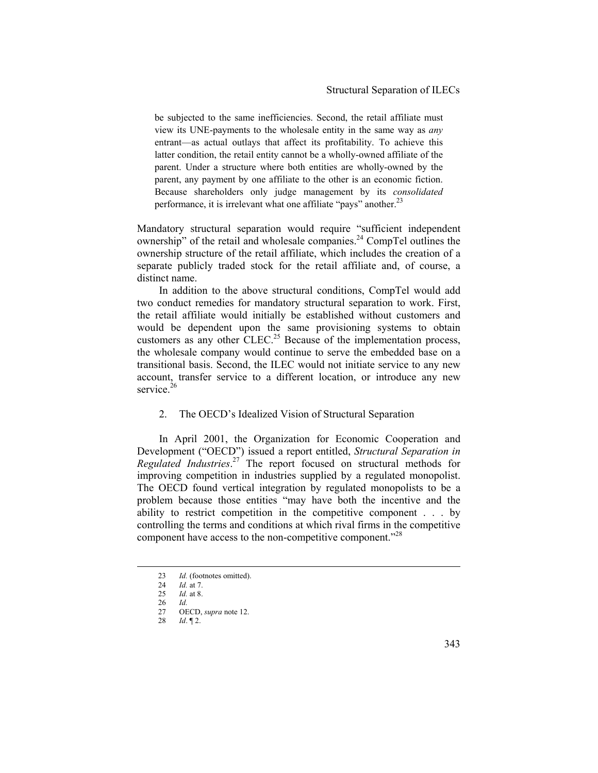be subjected to the same inefficiencies. Second, the retail affiliate must view its UNE-payments to the wholesale entity in the same way as *any* entrant—as actual outlays that affect its profitability. To achieve this latter condition, the retail entity cannot be a wholly-owned affiliate of the parent. Under a structure where both entities are wholly-owned by the parent, any payment by one affiliate to the other is an economic fiction. Because shareholders only judge management by its *consolidated*  performance, it is irrelevant what one affiliate "pays" another.<sup>23</sup>

Mandatory structural separation would require "sufficient independent ownership" of the retail and wholesale companies.<sup>24</sup> CompTel outlines the ownership structure of the retail affiliate, which includes the creation of a separate publicly traded stock for the retail affiliate and, of course, a distinct name.

In addition to the above structural conditions, CompTel would add two conduct remedies for mandatory structural separation to work. First, the retail affiliate would initially be established without customers and would be dependent upon the same provisioning systems to obtain customers as any other CLEC.<sup>25</sup> Because of the implementation process, the wholesale company would continue to serve the embedded base on a transitional basis. Second, the ILEC would not initiate service to any new account, transfer service to a different location, or introduce any new service. $26$ 

### 2. The OECD's Idealized Vision of Structural Separation

In April 2001, the Organization for Economic Cooperation and Development ("OECD") issued a report entitled, *Structural Separation in Regulated Industries*. 27 The report focused on structural methods for improving competition in industries supplied by a regulated monopolist. The OECD found vertical integration by regulated monopolists to be a problem because those entities "may have both the incentive and the ability to restrict competition in the competitive component . . . by controlling the terms and conditions at which rival firms in the competitive component have access to the non-competitive component.<sup>"28</sup>

28 *Id*. ¶ 2.

<sup>23</sup> *Id.* (footnotes omitted).

<sup>24</sup> *Id.* at 7.<br>25 *Id.* at 8

*Id.* at 8.

<sup>26</sup> *Id.*

OECD, *supra* note 12.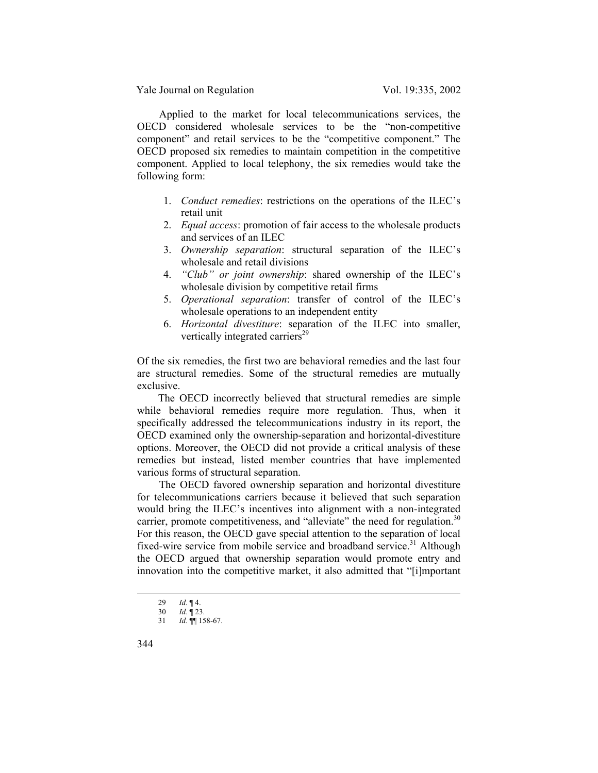Applied to the market for local telecommunications services, the OECD considered wholesale services to be the "non-competitive component" and retail services to be the "competitive component." The OECD proposed six remedies to maintain competition in the competitive component. Applied to local telephony, the six remedies would take the following form:

- 1. *Conduct remedies*: restrictions on the operations of the ILEC's retail unit
- 2. *Equal access*: promotion of fair access to the wholesale products and services of an ILEC
- 3. *Ownership separation*: structural separation of the ILEC's wholesale and retail divisions
- 4. *"Club" or joint ownership*: shared ownership of the ILEC's wholesale division by competitive retail firms
- 5. *Operational separation*: transfer of control of the ILEC's wholesale operations to an independent entity
- 6. *Horizontal divestiture*: separation of the ILEC into smaller, vertically integrated carriers<sup>29</sup>

Of the six remedies, the first two are behavioral remedies and the last four are structural remedies. Some of the structural remedies are mutually exclusive.

The OECD incorrectly believed that structural remedies are simple while behavioral remedies require more regulation. Thus, when it specifically addressed the telecommunications industry in its report, the OECD examined only the ownership-separation and horizontal-divestiture options. Moreover, the OECD did not provide a critical analysis of these remedies but instead, listed member countries that have implemented various forms of structural separation.

The OECD favored ownership separation and horizontal divestiture for telecommunications carriers because it believed that such separation would bring the ILEC's incentives into alignment with a non-integrated carrier, promote competitiveness, and "alleviate" the need for regulation.<sup>30</sup> For this reason, the OECD gave special attention to the separation of local fixed-wire service from mobile service and broadband service.<sup>31</sup> Although the OECD argued that ownership separation would promote entry and innovation into the competitive market, it also admitted that "[i]mportant

<sup>29</sup> *Id*. ¶ 4.<br>30 *Id*. ¶ 23

<sup>30</sup> *Id*. ¶ 23.

<sup>31</sup> *Id*. ¶¶ 158-67.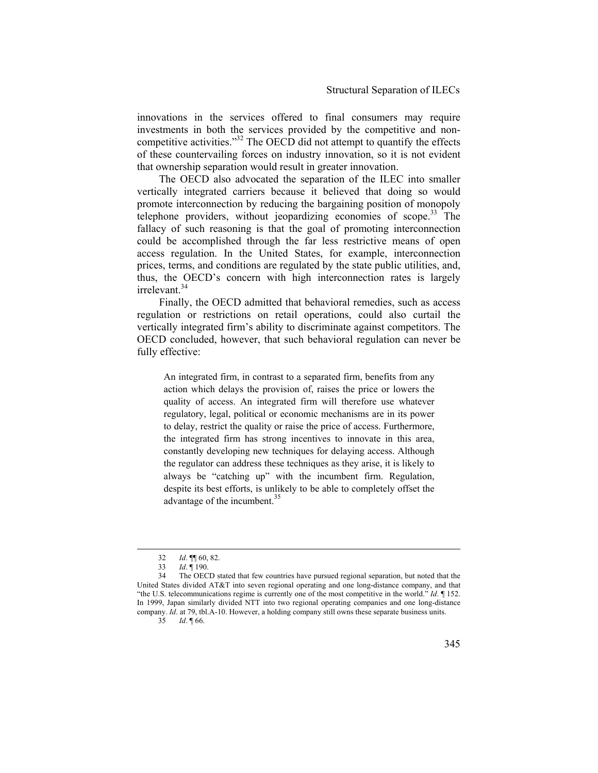innovations in the services offered to final consumers may require investments in both the services provided by the competitive and noncompetitive activities."32 The OECD did not attempt to quantify the effects of these countervailing forces on industry innovation, so it is not evident that ownership separation would result in greater innovation.

The OECD also advocated the separation of the ILEC into smaller vertically integrated carriers because it believed that doing so would promote interconnection by reducing the bargaining position of monopoly telephone providers, without jeopardizing economies of scope.33 The fallacy of such reasoning is that the goal of promoting interconnection could be accomplished through the far less restrictive means of open access regulation. In the United States, for example, interconnection prices, terms, and conditions are regulated by the state public utilities, and, thus, the OECD's concern with high interconnection rates is largely irrelevant.<sup>34</sup>

Finally, the OECD admitted that behavioral remedies, such as access regulation or restrictions on retail operations, could also curtail the vertically integrated firm's ability to discriminate against competitors. The OECD concluded, however, that such behavioral regulation can never be fully effective:

An integrated firm, in contrast to a separated firm, benefits from any action which delays the provision of, raises the price or lowers the quality of access. An integrated firm will therefore use whatever regulatory, legal, political or economic mechanisms are in its power to delay, restrict the quality or raise the price of access. Furthermore, the integrated firm has strong incentives to innovate in this area, constantly developing new techniques for delaying access. Although the regulator can address these techniques as they arise, it is likely to always be "catching up" with the incumbent firm. Regulation, despite its best efforts, is unlikely to be able to completely offset the advantage of the incumbent.<sup>35</sup>

35 *Id*. ¶ 66.

 <sup>32</sup> *Id*. ¶¶ 60, 82.

<sup>33</sup> *Id*. ¶ 190.

The OECD stated that few countries have pursued regional separation, but noted that the United States divided AT&T into seven regional operating and one long-distance company, and that "the U.S. telecommunications regime is currently one of the most competitive in the world." *Id*. ¶ 152. In 1999, Japan similarly divided NTT into two regional operating companies and one long-distance company. *Id*. at 79, tbl.A-10. However, a holding company still owns these separate business units.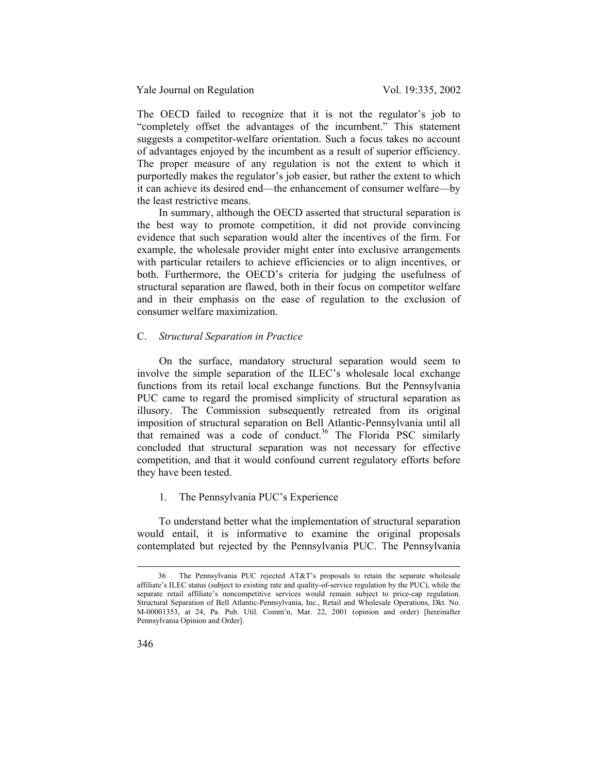The OECD failed to recognize that it is not the regulator's job to "completely offset the advantages of the incumbent." This statement suggests a competitor-welfare orientation. Such a focus takes no account of advantages enjoyed by the incumbent as a result of superior efficiency. The proper measure of any regulation is not the extent to which it purportedly makes the regulator's job easier, but rather the extent to which it can achieve its desired end—the enhancement of consumer welfare—by the least restrictive means.

In summary, although the OECD asserted that structural separation is the best way to promote competition, it did not provide convincing evidence that such separation would alter the incentives of the firm. For example, the wholesale provider might enter into exclusive arrangements with particular retailers to achieve efficiencies or to align incentives, or both. Furthermore, the OECD's criteria for judging the usefulness of structural separation are flawed, both in their focus on competitor welfare and in their emphasis on the ease of regulation to the exclusion of consumer welfare maximization.

### C. *Structural Separation in Practice*

On the surface, mandatory structural separation would seem to involve the simple separation of the ILEC's wholesale local exchange functions from its retail local exchange functions. But the Pennsylvania PUC came to regard the promised simplicity of structural separation as illusory. The Commission subsequently retreated from its original imposition of structural separation on Bell Atlantic-Pennsylvania until all that remained was a code of conduct.<sup>36</sup> The Florida PSC similarly concluded that structural separation was not necessary for effective competition, and that it would confound current regulatory efforts before they have been tested.

### 1. The Pennsylvania PUC's Experience

To understand better what the implementation of structural separation would entail, it is informative to examine the original proposals contemplated but rejected by the Pennsylvania PUC. The Pennsylvania

 <sup>36</sup> The Pennsylvania PUC rejected AT&T's proposals to retain the separate wholesale affiliate's ILEC status (subject to existing rate and quality-of-service regulation by the PUC), while the separate retail affiliate's noncompetitive services would remain subject to price-cap regulation. Structural Separation of Bell Atlantic-Pennsylvania, Inc., Retail and Wholesale Operations, Dkt. No. M-00001353, at 24, Pa. Pub. Util. Comm'n, Mar. 22, 2001 (opinion and order) [hereinafter Pennsylvania Opinion and Order].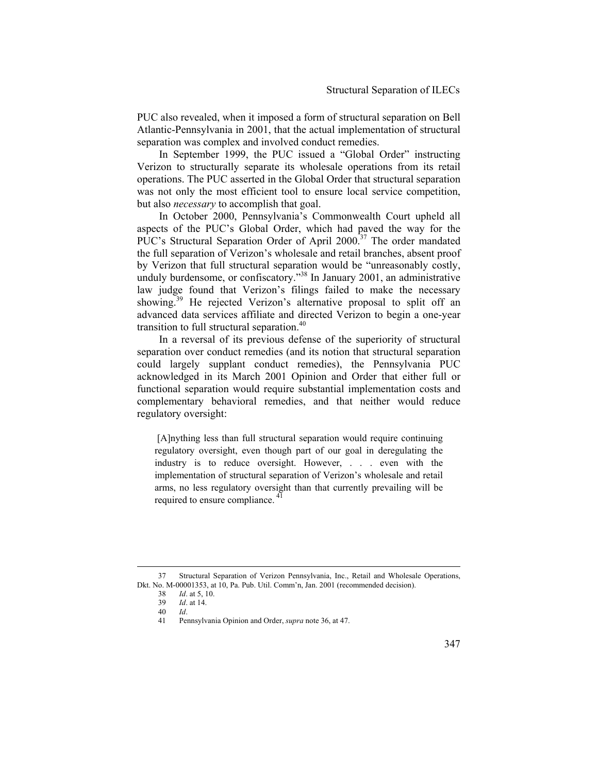PUC also revealed, when it imposed a form of structural separation on Bell Atlantic-Pennsylvania in 2001, that the actual implementation of structural separation was complex and involved conduct remedies.

In September 1999, the PUC issued a "Global Order" instructing Verizon to structurally separate its wholesale operations from its retail operations. The PUC asserted in the Global Order that structural separation was not only the most efficient tool to ensure local service competition, but also *necessary* to accomplish that goal.

In October 2000, Pennsylvania's Commonwealth Court upheld all aspects of the PUC's Global Order, which had paved the way for the PUC's Structural Separation Order of April 2000.<sup>37</sup> The order mandated the full separation of Verizon's wholesale and retail branches, absent proof by Verizon that full structural separation would be "unreasonably costly, unduly burdensome, or confiscatory."<sup>38</sup> In January 2001, an administrative law judge found that Verizon's filings failed to make the necessary showing.<sup>39</sup> He rejected Verizon's alternative proposal to split off an advanced data services affiliate and directed Verizon to begin a one-year transition to full structural separation.<sup>40</sup>

In a reversal of its previous defense of the superiority of structural separation over conduct remedies (and its notion that structural separation could largely supplant conduct remedies), the Pennsylvania PUC acknowledged in its March 2001 Opinion and Order that either full or functional separation would require substantial implementation costs and complementary behavioral remedies, and that neither would reduce regulatory oversight:

 [A]nything less than full structural separation would require continuing regulatory oversight, even though part of our goal in deregulating the industry is to reduce oversight. However, . . . even with the implementation of structural separation of Verizon's wholesale and retail arms, no less regulatory oversight than that currently prevailing will be required to ensure compliance. 41

 <sup>37</sup> Structural Separation of Verizon Pennsylvania, Inc., Retail and Wholesale Operations, Dkt. No. M-00001353, at 10, Pa. Pub. Util. Comm'n, Jan. 2001 (recommended decision).

<sup>38</sup> *Id*. at 5, 10.

<sup>39</sup> *Id*. at 14.

<sup>40</sup> *Id*.

<sup>41</sup> Pennsylvania Opinion and Order, *supra* note 36, at 47.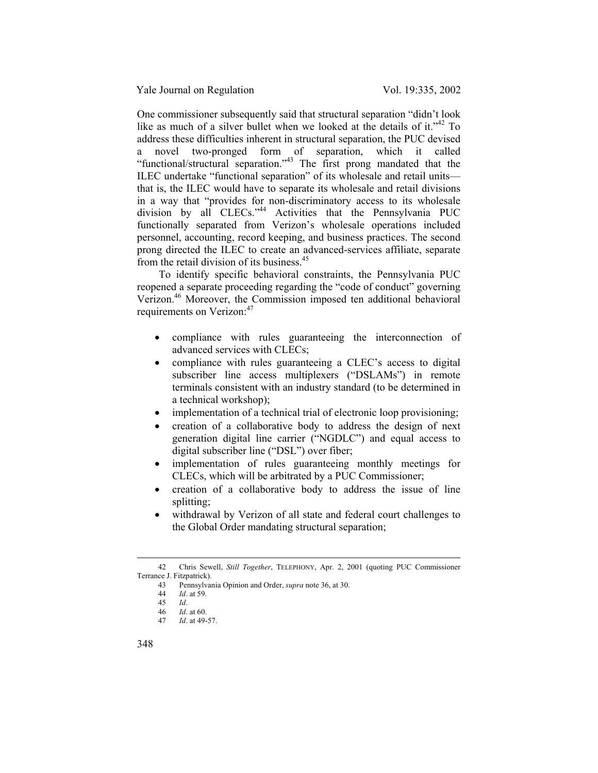One commissioner subsequently said that structural separation "didn't look like as much of a silver bullet when we looked at the details of it."<sup>42</sup> To address these difficulties inherent in structural separation, the PUC devised a novel two-pronged form of separation, which it called "functional/structural separation."43 The first prong mandated that the ILEC undertake "functional separation" of its wholesale and retail units that is, the ILEC would have to separate its wholesale and retail divisions in a way that "provides for non-discriminatory access to its wholesale division by all CLECs."<sup>44</sup> Activities that the Pennsylvania PUC functionally separated from Verizon's wholesale operations included personnel, accounting, record keeping, and business practices. The second prong directed the ILEC to create an advanced-services affiliate, separate from the retail division of its business.<sup>45</sup>

To identify specific behavioral constraints, the Pennsylvania PUC reopened a separate proceeding regarding the "code of conduct" governing Verizon.46 Moreover, the Commission imposed ten additional behavioral requirements on Verizon:<sup>47</sup>

- compliance with rules guaranteeing the interconnection of advanced services with CLECs;
- compliance with rules guaranteeing a CLEC's access to digital subscriber line access multiplexers ("DSLAMs") in remote terminals consistent with an industry standard (to be determined in a technical workshop);
- implementation of a technical trial of electronic loop provisioning;
- creation of a collaborative body to address the design of next generation digital line carrier ("NGDLC") and equal access to digital subscriber line ("DSL") over fiber;
- implementation of rules guaranteeing monthly meetings for CLECs, which will be arbitrated by a PUC Commissioner;
- creation of a collaborative body to address the issue of line splitting;
- withdrawal by Verizon of all state and federal court challenges to the Global Order mandating structural separation;

 <sup>42</sup> Chris Sewell, *Still Together*, TELEPHONY, Apr. 2, 2001 (quoting PUC Commissioner Terrance J. Fitzpatrick).

<sup>43</sup> Pennsylvania Opinion and Order, *supra* note 36, at 30.

<sup>44</sup> *Id*. at 59.

<sup>45</sup> *Id*.

*Id.* at 60.

<sup>47</sup> *Id*. at 49-57.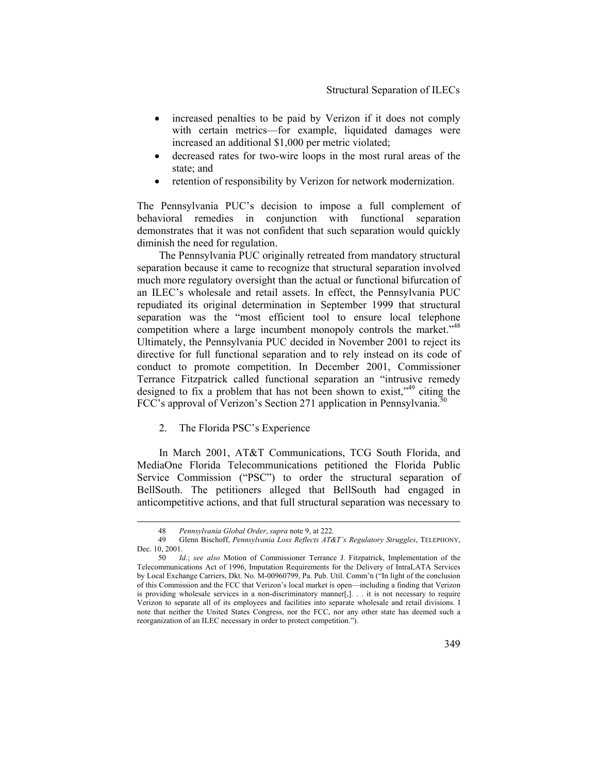- increased penalties to be paid by Verizon if it does not comply with certain metrics—for example, liquidated damages were increased an additional \$1,000 per metric violated;
- decreased rates for two-wire loops in the most rural areas of the state; and
- retention of responsibility by Verizon for network modernization.

The Pennsylvania PUC's decision to impose a full complement of behavioral remedies in conjunction with functional separation demonstrates that it was not confident that such separation would quickly diminish the need for regulation.

The Pennsylvania PUC originally retreated from mandatory structural separation because it came to recognize that structural separation involved much more regulatory oversight than the actual or functional bifurcation of an ILEC's wholesale and retail assets. In effect, the Pennsylvania PUC repudiated its original determination in September 1999 that structural separation was the "most efficient tool to ensure local telephone competition where a large incumbent monopoly controls the market."<sup>48</sup> Ultimately, the Pennsylvania PUC decided in November 2001 to reject its directive for full functional separation and to rely instead on its code of conduct to promote competition. In December 2001, Commissioner Terrance Fitzpatrick called functional separation an "intrusive remedy designed to fix a problem that has not been shown to exist,"<sup>49</sup> citing the FCC's approval of Verizon's Section 271 application in Pennsylvania.<sup>50</sup>

### 2. The Florida PSC's Experience

In March 2001, AT&T Communications, TCG South Florida, and MediaOne Florida Telecommunications petitioned the Florida Public Service Commission ("PSC") to order the structural separation of BellSouth. The petitioners alleged that BellSouth had engaged in anticompetitive actions, and that full structural separation was necessary to

 <sup>48</sup> *Pennsylvania Global Order*, *supra* note 9, at 222*.* 

<sup>49</sup> Glenn Bischoff, *Pennsylvania Loss Reflects AT&T's Regulatory Struggles*, TELEPHONY, Dec. 10, 2001.

<sup>50</sup> *Id.*; *see also* Motion of Commissioner Terrance J. Fitzpatrick, Implementation of the Telecommunications Act of 1996, Imputation Requirements for the Delivery of IntraLATA Services by Local Exchange Carriers, Dkt. No. M-00960799, Pa. Pub. Util. Comm'n ("In light of the conclusion of this Commission and the FCC that Verizon's local market is open—including a finding that Verizon is providing wholesale services in a non-discriminatory manner[,]. . . it is not necessary to require Verizon to separate all of its employees and facilities into separate wholesale and retail divisions. I note that neither the United States Congress, nor the FCC, nor any other state has deemed such a reorganization of an ILEC necessary in order to protect competition.").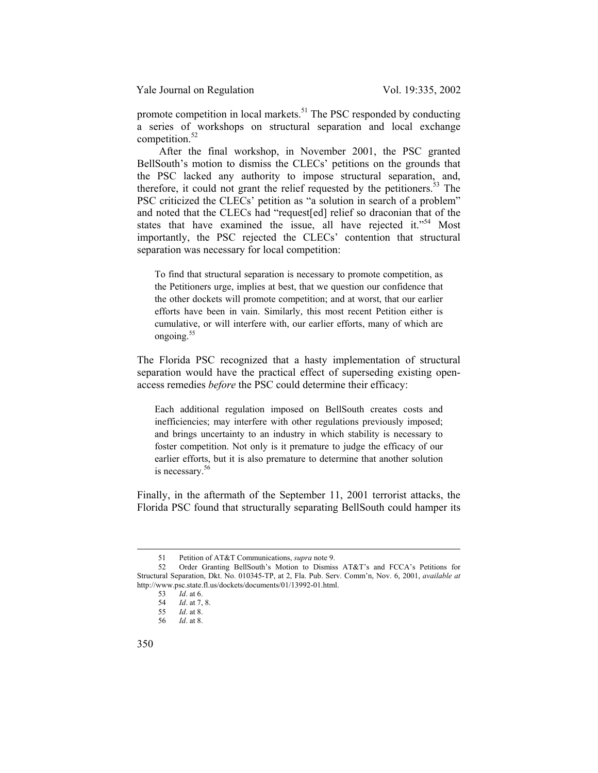promote competition in local markets.<sup>51</sup> The PSC responded by conducting a series of workshops on structural separation and local exchange competition.<sup>52</sup>

After the final workshop, in November 2001, the PSC granted BellSouth's motion to dismiss the CLECs' petitions on the grounds that the PSC lacked any authority to impose structural separation, and, therefore, it could not grant the relief requested by the petitioners.<sup>53</sup> The PSC criticized the CLECs' petition as "a solution in search of a problem" and noted that the CLECs had "request[ed] relief so draconian that of the states that have examined the issue, all have rejected it."<sup>54</sup> Most importantly, the PSC rejected the CLECs' contention that structural separation was necessary for local competition:

To find that structural separation is necessary to promote competition, as the Petitioners urge, implies at best, that we question our confidence that the other dockets will promote competition; and at worst, that our earlier efforts have been in vain. Similarly, this most recent Petition either is cumulative, or will interfere with, our earlier efforts, many of which are ongoing.<sup>55</sup>

The Florida PSC recognized that a hasty implementation of structural separation would have the practical effect of superseding existing openaccess remedies *before* the PSC could determine their efficacy:

Each additional regulation imposed on BellSouth creates costs and inefficiencies; may interfere with other regulations previously imposed; and brings uncertainty to an industry in which stability is necessary to foster competition. Not only is it premature to judge the efficacy of our earlier efforts, but it is also premature to determine that another solution is necessary.<sup>56</sup>

Finally, in the aftermath of the September 11, 2001 terrorist attacks, the Florida PSC found that structurally separating BellSouth could hamper its

 <sup>51</sup> Petition of AT&T Communications, *supra* note 9.

<sup>52</sup> Order Granting BellSouth's Motion to Dismiss AT&T's and FCCA's Petitions for Structural Separation, Dkt. No. 010345-TP, at 2, Fla. Pub. Serv. Comm'n, Nov. 6, 2001, *available at* http://www.psc.state.fl.us/dockets/documents/01/13992-01.html.

<sup>53</sup> *Id*. at 6.

<sup>54</sup> *Id*. at 7, 8. *Id*. at 8.

<sup>56</sup> *Id*. at 8.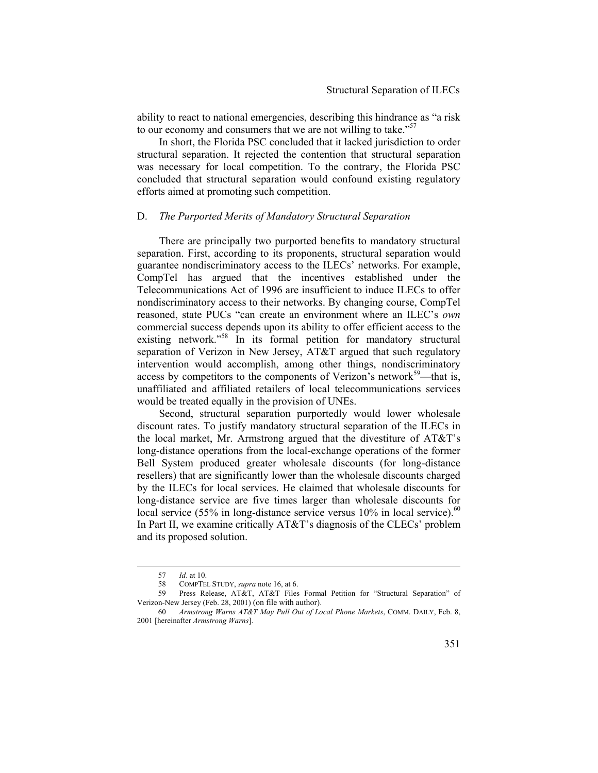ability to react to national emergencies, describing this hindrance as "a risk to our economy and consumers that we are not willing to take."<sup>57</sup>

In short, the Florida PSC concluded that it lacked jurisdiction to order structural separation. It rejected the contention that structural separation was necessary for local competition. To the contrary, the Florida PSC concluded that structural separation would confound existing regulatory efforts aimed at promoting such competition.

#### D. *The Purported Merits of Mandatory Structural Separation*

There are principally two purported benefits to mandatory structural separation. First, according to its proponents, structural separation would guarantee nondiscriminatory access to the ILECs' networks. For example, CompTel has argued that the incentives established under the Telecommunications Act of 1996 are insufficient to induce ILECs to offer nondiscriminatory access to their networks. By changing course, CompTel reasoned, state PUCs "can create an environment where an ILEC's *own* commercial success depends upon its ability to offer efficient access to the existing network."<sup>58</sup> In its formal petition for mandatory structural separation of Verizon in New Jersey, AT&T argued that such regulatory intervention would accomplish, among other things, nondiscriminatory access by competitors to the components of Verizon's network<sup>59</sup>—that is, unaffiliated and affiliated retailers of local telecommunications services would be treated equally in the provision of UNEs.

Second, structural separation purportedly would lower wholesale discount rates. To justify mandatory structural separation of the ILECs in the local market, Mr. Armstrong argued that the divestiture of AT&T's long-distance operations from the local-exchange operations of the former Bell System produced greater wholesale discounts (for long-distance resellers) that are significantly lower than the wholesale discounts charged by the ILECs for local services. He claimed that wholesale discounts for long-distance service are five times larger than wholesale discounts for local service (55% in long-distance service versus  $10\%$  in local service).<sup>60</sup> In Part II, we examine critically AT&T's diagnosis of the CLECs' problem and its proposed solution.

 <sup>57</sup> *Id*. at 10.

<sup>58</sup> COMPTEL STUDY, *supra* note 16, at 6.

<sup>59</sup> Press Release, AT&T, AT&T Files Formal Petition for "Structural Separation" of Verizon*-*New Jersey (Feb. 28, 2001) (on file with author).

<sup>60</sup> *Armstrong Warns AT&T May Pull Out of Local Phone Markets*, COMM. DAILY, Feb. 8, 2001 [hereinafter *Armstrong Warns*].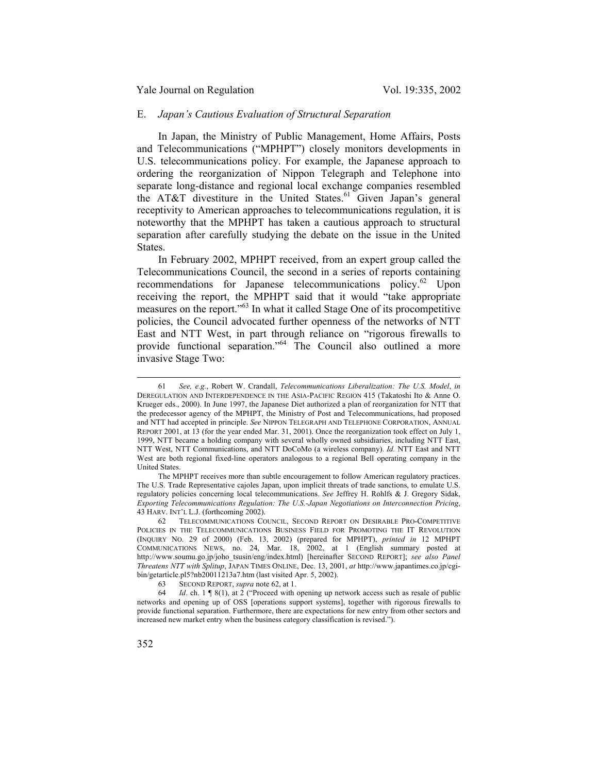### E. *Japan's Cautious Evaluation of Structural Separation*

In Japan, the Ministry of Public Management, Home Affairs, Posts and Telecommunications ("MPHPT") closely monitors developments in U.S. telecommunications policy. For example, the Japanese approach to ordering the reorganization of Nippon Telegraph and Telephone into separate long-distance and regional local exchange companies resembled the AT&T divestiture in the United States.<sup>61</sup> Given Japan's general receptivity to American approaches to telecommunications regulation, it is noteworthy that the MPHPT has taken a cautious approach to structural separation after carefully studying the debate on the issue in the United States.

In February 2002, MPHPT received, from an expert group called the Telecommunications Council, the second in a series of reports containing recommendations for Japanese telecommunications policy. $62$  Upon receiving the report, the MPHPT said that it would "take appropriate measures on the report."63 In what it called Stage One of its procompetitive policies, the Council advocated further openness of the networks of NTT East and NTT West, in part through reliance on "rigorous firewalls to provide functional separation."<sup>64</sup> The Council also outlined a more invasive Stage Two:

 <sup>61</sup> *See, e.g.*, Robert W. Crandall, *Telecommunications Liberalization: The U.S. Model*, *in* DEREGULATION AND INTERDEPENDENCE IN THE ASIA-PACIFIC REGION 415 (Takatoshi Ito & Anne O. Krueger eds., 2000). In June 1997, the Japanese Diet authorized a plan of reorganization for NTT that the predecessor agency of the MPHPT, the Ministry of Post and Telecommunications, had proposed and NTT had accepted in principle. *See* NIPPON TELEGRAPH AND TELEPHONE CORPORATION, ANNUAL REPORT 2001, at 13 (for the year ended Mar. 31, 2001). Once the reorganization took effect on July 1, 1999, NTT became a holding company with several wholly owned subsidiaries, including NTT East, NTT West, NTT Communications, and NTT DoCoMo (a wireless company). *Id.* NTT East and NTT West are both regional fixed-line operators analogous to a regional Bell operating company in the United States.

The MPHPT receives more than subtle encouragement to follow American regulatory practices. The U.S. Trade Representative cajoles Japan, upon implicit threats of trade sanctions, to emulate U.S. regulatory policies concerning local telecommunications. *See* Jeffrey H. Rohlfs & J. Gregory Sidak, *Exporting Telecommunications Regulation: The U.S.-Japan Negotiations on Interconnection Pricing*, 43 HARV. INT'L L.J. (forthcoming 2002).

TELECOMMUNICATIONS COUNCIL, SECOND REPORT ON DESIRABLE PRO-COMPETITIVE POLICIES IN THE TELECOMMUNICATIONS BUSINESS FIELD FOR PROMOTING THE IT REVOLUTION (INQUIRY NO. 29 of 2000) (Feb. 13, 2002) (prepared for MPHPT), *printed in* 12 MPHPT COMMUNICATIONS NEWS, no. 24, Mar. 18, 2002, at 1 (English summary posted at http://www.soumu.go.jp/joho\_tsusin/eng/index.html) [hereinafter SECOND REPORT]; *see also Panel Threatens NTT with Splitup*, JAPAN TIMES ONLINE, Dec. 13, 2001, *at* http://www.japantimes.co.jp/cgibin/getarticle.pl5?nb20011213a7.htm (last visited Apr. 5, 2002).

<sup>63</sup> SECOND REPORT, *supra* note 62, at 1.

<sup>64</sup> *Id*. ch. 1 ¶ 8(1), at 2 ("Proceed with opening up network access such as resale of public networks and opening up of OSS [operations support systems], together with rigorous firewalls to provide functional separation. Furthermore, there are expectations for new entry from other sectors and increased new market entry when the business category classification is revised.").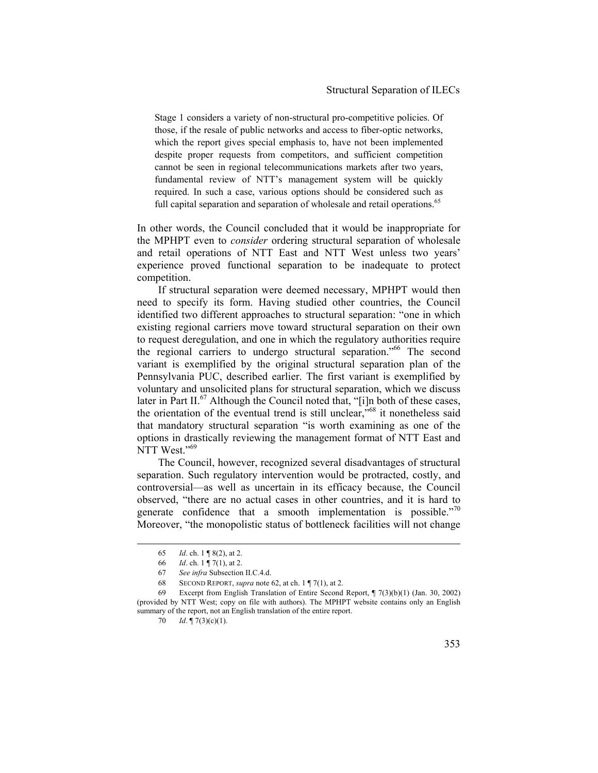Stage 1 considers a variety of non-structural pro-competitive policies. Of those, if the resale of public networks and access to fiber-optic networks, which the report gives special emphasis to, have not been implemented despite proper requests from competitors, and sufficient competition cannot be seen in regional telecommunications markets after two years, fundamental review of NTT's management system will be quickly required. In such a case, various options should be considered such as full capital separation and separation of wholesale and retail operations.<sup>65</sup>

In other words, the Council concluded that it would be inappropriate for the MPHPT even to *consider* ordering structural separation of wholesale and retail operations of NTT East and NTT West unless two years' experience proved functional separation to be inadequate to protect competition.

If structural separation were deemed necessary, MPHPT would then need to specify its form. Having studied other countries, the Council identified two different approaches to structural separation: "one in which existing regional carriers move toward structural separation on their own to request deregulation, and one in which the regulatory authorities require the regional carriers to undergo structural separation.<sup>566</sup> The second variant is exemplified by the original structural separation plan of the Pennsylvania PUC, described earlier. The first variant is exemplified by voluntary and unsolicited plans for structural separation, which we discuss later in Part II.<sup>67</sup> Although the Council noted that, "[i]n both of these cases, the orientation of the eventual trend is still unclear,"<sup>68</sup> it nonetheless said that mandatory structural separation "is worth examining as one of the options in drastically reviewing the management format of NTT East and NTT West."<sup>69</sup>

The Council, however, recognized several disadvantages of structural separation. Such regulatory intervention would be protracted, costly, and controversial—as well as uncertain in its efficacy because, the Council observed, "there are no actual cases in other countries, and it is hard to generate confidence that a smooth implementation is possible."<sup>70</sup> Moreover, "the monopolistic status of bottleneck facilities will not change

 <sup>65</sup> *Id*. ch. 1 ¶ 8(2), at 2.

<sup>66</sup> *Id*. ch. 1 ¶ 7(1), at 2.

<sup>67</sup> *See infra* Subsection II.C.4.d.

<sup>68</sup> SECOND REPORT, *supra* note 62, at ch. 1 ¶ 7(1), at 2.

<sup>69</sup> Excerpt from English Translation of Entire Second Report, ¶ 7(3)(b)(1) (Jan. 30, 2002) (provided by NTT West; copy on file with authors). The MPHPT website contains only an English summary of the report, not an English translation of the entire report.

<sup>70</sup> *Id*. ¶ 7(3)(c)(1).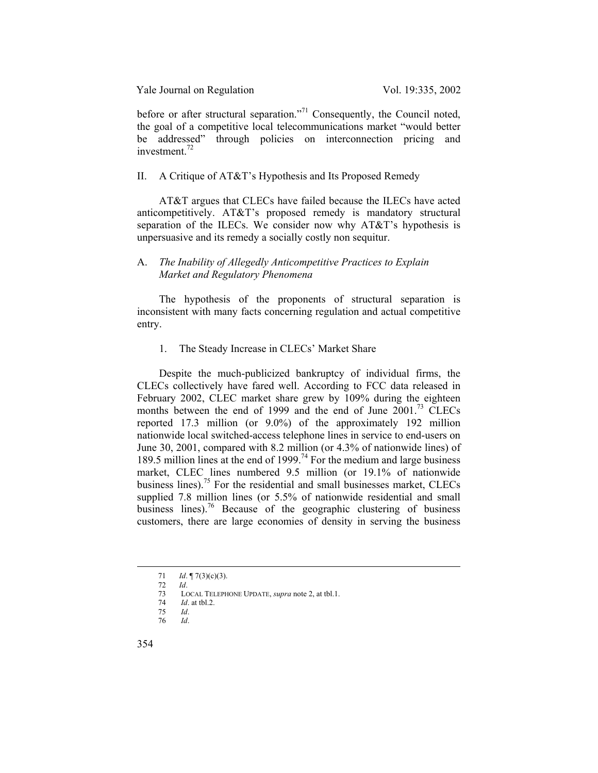before or after structural separation."<sup>71</sup> Consequently, the Council noted, the goal of a competitive local telecommunications market "would better be addressed" through policies on interconnection pricing and investment. $72$ 

### II. A Critique of AT&T's Hypothesis and Its Proposed Remedy

AT&T argues that CLECs have failed because the ILECs have acted anticompetitively. AT&T's proposed remedy is mandatory structural separation of the ILECs. We consider now why AT&T's hypothesis is unpersuasive and its remedy a socially costly non sequitur.

### A. *The Inability of Allegedly Anticompetitive Practices to Explain Market and Regulatory Phenomena*

The hypothesis of the proponents of structural separation is inconsistent with many facts concerning regulation and actual competitive entry.

## 1. The Steady Increase in CLECs' Market Share

Despite the much-publicized bankruptcy of individual firms, the CLECs collectively have fared well. According to FCC data released in February 2002, CLEC market share grew by 109% during the eighteen months between the end of 1999 and the end of June 2001.<sup>73</sup> CLECs reported 17.3 million (or 9.0%) of the approximately 192 million nationwide local switched-access telephone lines in service to end-users on June 30, 2001, compared with 8.2 million (or 4.3% of nationwide lines) of 189.5 million lines at the end of 1999.<sup>74</sup> For the medium and large business market, CLEC lines numbered 9.5 million (or 19.1% of nationwide business lines).75 For the residential and small businesses market, CLECs supplied 7.8 million lines (or 5.5% of nationwide residential and small business lines).<sup>76</sup> Because of the geographic clustering of business customers, there are large economies of density in serving the business

 <sup>71</sup> *Id*. ¶ 7(3)(c)(3).

<sup>72</sup> *Id*.

<sup>73</sup> LOCAL TELEPHONE UPDATE, *supra* note 2, at tbl.1.

<sup>74</sup> *Id*. at tbl.2. 75 *Id*.

<sup>76</sup> *Id*.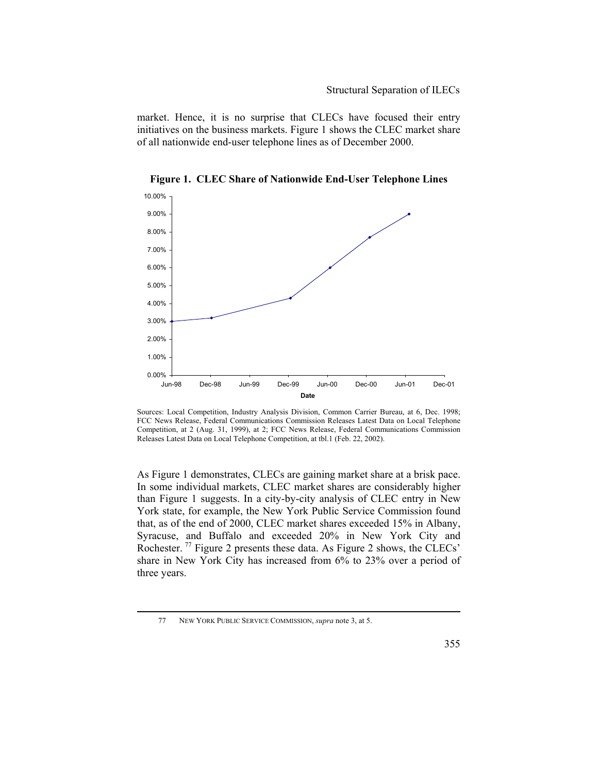market. Hence, it is no surprise that CLECs have focused their entry initiatives on the business markets. Figure 1 shows the CLEC market share of all nationwide end-user telephone lines as of December 2000.



**Figure 1. CLEC Share of Nationwide End-User Telephone Lines** 

Sources: Local Competition, Industry Analysis Division, Common Carrier Bureau, at 6, Dec. 1998; FCC News Release, Federal Communications Commission Releases Latest Data on Local Telephone Competition, at 2 (Aug. 31, 1999), at 2; FCC News Release, Federal Communications Commission Releases Latest Data on Local Telephone Competition, at tbl.1 (Feb. 22, 2002).

As Figure 1 demonstrates, CLECs are gaining market share at a brisk pace. In some individual markets, CLEC market shares are considerably higher than Figure 1 suggests. In a city-by-city analysis of CLEC entry in New York state, for example, the New York Public Service Commission found that, as of the end of 2000, CLEC market shares exceeded 15% in Albany, Syracuse, and Buffalo and exceeded 20% in New York City and Rochester.<sup>77</sup> Figure 2 presents these data. As Figure 2 shows, the CLECs' share in New York City has increased from 6% to 23% over a period of three years.

 <sup>77</sup> NEW YORK PUBLIC SERVICE COMMISSION, *supra* note 3, at 5.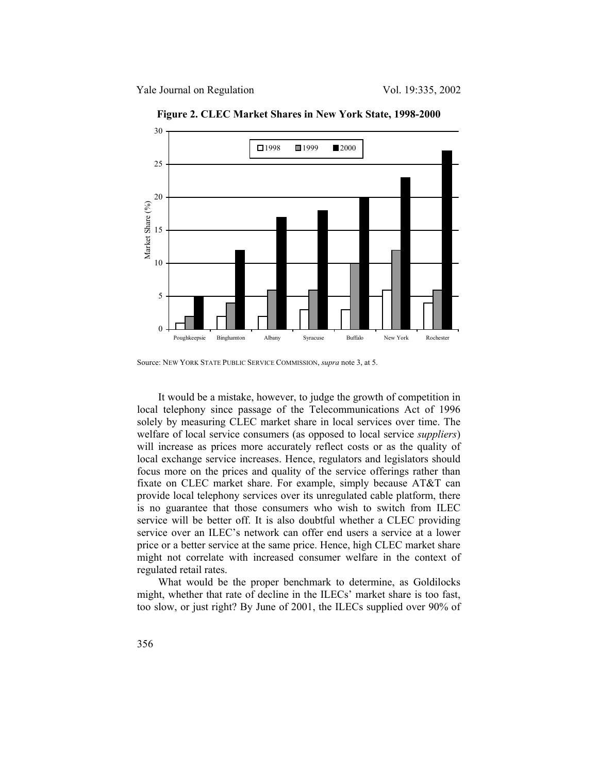

**Figure 2. CLEC Market Shares in New York State, 1998-2000** 

It would be a mistake, however, to judge the growth of competition in local telephony since passage of the Telecommunications Act of 1996 solely by measuring CLEC market share in local services over time. The welfare of local service consumers (as opposed to local service *suppliers*) will increase as prices more accurately reflect costs or as the quality of local exchange service increases. Hence, regulators and legislators should focus more on the prices and quality of the service offerings rather than fixate on CLEC market share. For example, simply because AT&T can provide local telephony services over its unregulated cable platform, there is no guarantee that those consumers who wish to switch from ILEC service will be better off. It is also doubtful whether a CLEC providing service over an ILEC's network can offer end users a service at a lower price or a better service at the same price. Hence, high CLEC market share might not correlate with increased consumer welfare in the context of regulated retail rates.

What would be the proper benchmark to determine, as Goldilocks might, whether that rate of decline in the ILECs' market share is too fast, too slow, or just right? By June of 2001, the ILECs supplied over 90% of

Source: NEW YORK STATE PUBLIC SERVICE COMMISSION, *supra* note 3, at 5.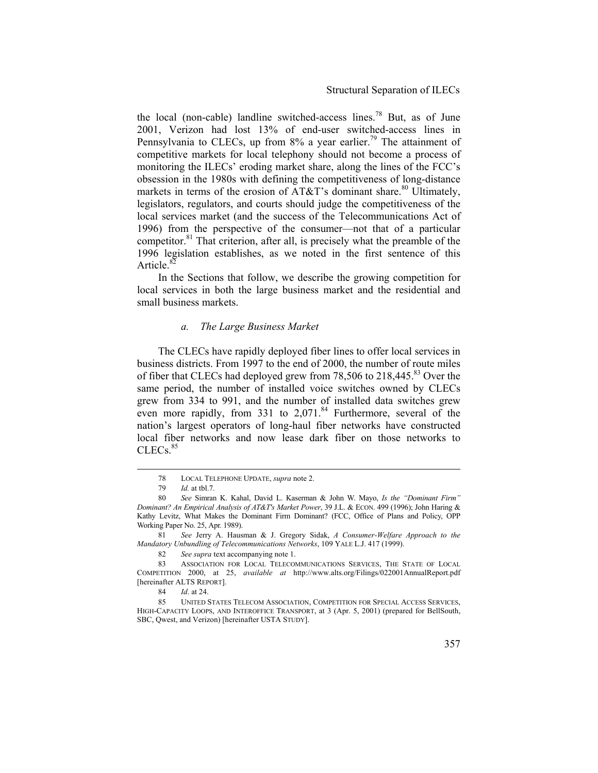the local (non-cable) landline switched-access lines.<sup>78</sup> But, as of June 2001, Verizon had lost 13% of end-user switched-access lines in Pennsylvania to CLECs, up from  $8\%$  a year earlier.<sup>79</sup> The attainment of competitive markets for local telephony should not become a process of monitoring the ILECs' eroding market share, along the lines of the FCC's obsession in the 1980s with defining the competitiveness of long-distance markets in terms of the erosion of  $AT&T$ 's dominant share.<sup>80</sup> Ultimately, legislators, regulators, and courts should judge the competitiveness of the local services market (and the success of the Telecommunications Act of 1996) from the perspective of the consumer—not that of a particular competitor. $81$ <sup>l</sup> That criterion, after all, is precisely what the preamble of the 1996 legislation establishes, as we noted in the first sentence of this Article<sup>82</sup>

In the Sections that follow, we describe the growing competition for local services in both the large business market and the residential and small business markets.

### *a. The Large Business Market*

The CLECs have rapidly deployed fiber lines to offer local services in business districts. From 1997 to the end of 2000, the number of route miles of fiber that CLECs had deployed grew from 78,506 to 218,445.<sup>83</sup> Over the same period, the number of installed voice switches owned by CLECs grew from 334 to 991, and the number of installed data switches grew even more rapidly, from 331 to  $2,071$ .<sup>84</sup> Furthermore, several of the nation's largest operators of long-haul fiber networks have constructed local fiber networks and now lease dark fiber on those networks to CLEC<sub>s.</sub>85

 <sup>78</sup> LOCAL TELEPHONE UPDATE, *supra* note 2.

<sup>79</sup> *Id.* at tbl.7.

<sup>80</sup> *See* Simran K. Kahal, David L. Kaserman & John W. Mayo, *Is the "Dominant Firm" Dominant? An Empirical Analysis of AT&T's Market Power*, 39 J.L. & ECON. 499 (1996); John Haring & Kathy Levitz, What Makes the Dominant Firm Dominant? (FCC, Office of Plans and Policy, OPP Working Paper No. 25, Apr. 1989).

<sup>81</sup> *See* Jerry A. Hausman & J. Gregory Sidak, *A Consumer-Welfare Approach to the Mandatory Unbundling of Telecommunications Networks*, 109 YALE L.J. 417 (1999).

<sup>82</sup> *See supra* text accompanying note 1.

<sup>83</sup> ASSOCIATION FOR LOCAL TELECOMMUNICATIONS SERVICES, THE STATE OF LOCAL COMPETITION 2000, at 25, *available at* http://www.alts.org/Filings/022001AnnualReport.pdf [hereinafter ALTS REPORT].

<sup>84</sup> *Id*. at 24.

<sup>85</sup> UNITED STATES TELECOM ASSOCIATION, COMPETITION FOR SPECIAL ACCESS SERVICES, HIGH-CAPACITY LOOPS, AND INTEROFFICE TRANSPORT, at 3 (Apr. 5, 2001) (prepared for BellSouth, SBC, Qwest, and Verizon) [hereinafter USTA STUDY].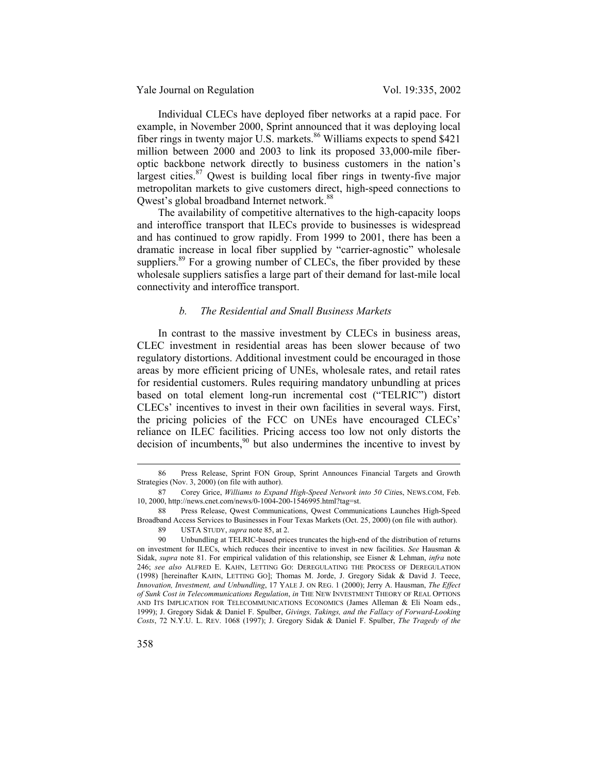Individual CLECs have deployed fiber networks at a rapid pace. For example, in November 2000, Sprint announced that it was deploying local fiber rings in twenty major U.S. markets.<sup>86</sup> Williams expects to spend \$421 million between 2000 and 2003 to link its proposed 33,000-mile fiberoptic backbone network directly to business customers in the nation's largest cities. $87$  Qwest is building local fiber rings in twenty-five major metropolitan markets to give customers direct, high-speed connections to Qwest's global broadband Internet network.<sup>88</sup>

The availability of competitive alternatives to the high-capacity loops and interoffice transport that ILECs provide to businesses is widespread and has continued to grow rapidly. From 1999 to 2001, there has been a dramatic increase in local fiber supplied by "carrier-agnostic" wholesale suppliers.<sup>89</sup> For a growing number of CLECs, the fiber provided by these wholesale suppliers satisfies a large part of their demand for last-mile local connectivity and interoffice transport.

### *b. The Residential and Small Business Markets*

In contrast to the massive investment by CLECs in business areas, CLEC investment in residential areas has been slower because of two regulatory distortions. Additional investment could be encouraged in those areas by more efficient pricing of UNEs, wholesale rates, and retail rates for residential customers. Rules requiring mandatory unbundling at prices based on total element long-run incremental cost ("TELRIC") distort CLECs' incentives to invest in their own facilities in several ways. First, the pricing policies of the FCC on UNEs have encouraged CLECs' reliance on ILEC facilities. Pricing access too low not only distorts the decision of incumbents, $90$  but also undermines the incentive to invest by

 <sup>86</sup> Press Release, Sprint FON Group, Sprint Announces Financial Targets and Growth Strategies (Nov. 3, 2000) (on file with author).

<sup>87</sup> Corey Grice, *Williams to Expand High-Speed Network into 50 Citi*es, NEWS.COM, Feb. 10, 2000, http://news.cnet.com/news/0-1004-200-1546995.html?tag=st.

<sup>88</sup> Press Release, Qwest Communications, Qwest Communications Launches High-Speed Broadband Access Services to Businesses in Four Texas Markets (Oct. 25, 2000) (on file with author).

<sup>89</sup> USTA STUDY, *supra* note 85, at 2.

<sup>90</sup> Unbundling at TELRIC-based prices truncates the high-end of the distribution of returns on investment for ILECs, which reduces their incentive to invest in new facilities. *See* Hausman & Sidak, *supra* note 81. For empirical validation of this relationship, see Eisner & Lehman, *infra* note 246; *see also* ALFRED E. KAHN, LETTING GO: DEREGULATING THE PROCESS OF DEREGULATION (1998) [hereinafter KAHN, LETTING GO]; Thomas M. Jorde, J. Gregory Sidak & David J. Teece, *Innovation, Investment, and Unbundling*, 17 YALE J. ON REG. 1 (2000); Jerry A. Hausman, *The Effect of Sunk Cost in Telecommunications Regulation*, *in* THE NEW INVESTMENT THEORY OF REAL OPTIONS AND ITS IMPLICATION FOR TELECOMMUNICATIONS ECONOMICS (James Alleman & Eli Noam eds., 1999); J. Gregory Sidak & Daniel F. Spulber, *Givings, Takings, and the Fallacy of Forward-Looking Costs*, 72 N.Y.U. L. REV. 1068 (1997); J. Gregory Sidak & Daniel F. Spulber, *The Tragedy of the*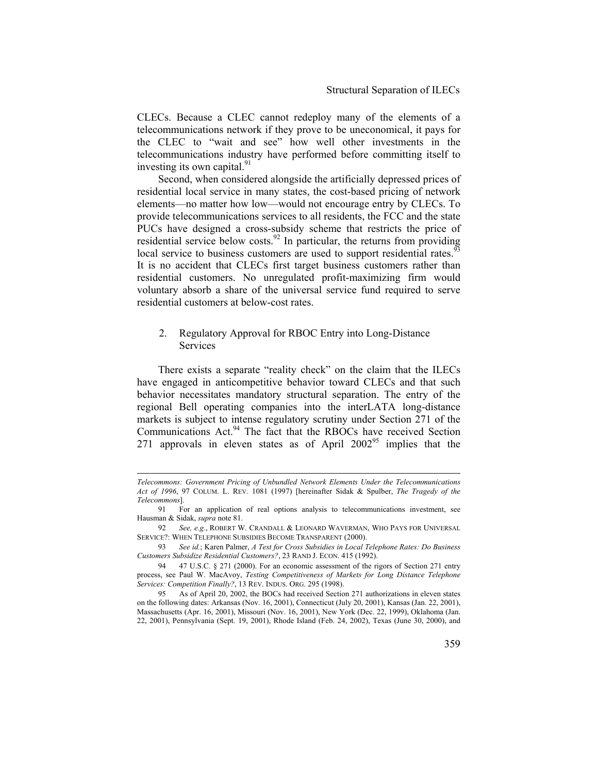CLECs. Because a CLEC cannot redeploy many of the elements of a telecommunications network if they prove to be uneconomical, it pays for the CLEC to "wait and see" how well other investments in the telecommunications industry have performed before committing itself to investing its own capital.<sup>91</sup>

Second, when considered alongside the artificially depressed prices of residential local service in many states, the cost-based pricing of network elements—no matter how low—would not encourage entry by CLECs. To provide telecommunications services to all residents, the FCC and the state PUCs have designed a cross-subsidy scheme that restricts the price of residential service below costs.<sup>92</sup> In particular, the returns from providing local service to business customers are used to support residential rates.<sup>93</sup> It is no accident that CLECs first target business customers rather than residential customers. No unregulated profit-maximizing firm would voluntary absorb a share of the universal service fund required to serve residential customers at below-cost rates.

# 2. Regulatory Approval for RBOC Entry into Long-Distance **Services**

There exists a separate "reality check" on the claim that the ILECs have engaged in anticompetitive behavior toward CLECs and that such behavior necessitates mandatory structural separation. The entry of the regional Bell operating companies into the interLATA long-distance markets is subject to intense regulatory scrutiny under Section 271 of the Communications Act.<sup>94</sup> The fact that the RBOCs have received Section 271 approvals in eleven states as of April 2002<sup>95</sup> implies that the

 $\overline{a}$ 

*Telecommons: Government Pricing of Unbundled Network Elements Under the Telecommunications Act of 1996*, 97 COLUM. L. REV*.* 1081 (1997) [hereinafter Sidak & Spulber, *The Tragedy of the Telecommons*].

<sup>91</sup> For an application of real options analysis to telecommunications investment, see Hausman & Sidak, *supra* note 81.

<sup>92</sup> *See, e.g.*, ROBERT W. CRANDALL & LEONARD WAVERMAN, WHO PAYS FOR UNIVERSAL SERVICE?: WHEN TELEPHONE SUBSIDIES BECOME TRANSPARENT (2000).

<sup>93</sup> *See id.*; Karen Palmer, *A Test for Cross Subsidies in Local Telephone Rates: Do Business Customers Subsidize Residential Customers?*, 23 RAND J. ECON. 415 (1992).

<sup>94 47</sup> U.S.C. § 271 (2000). For an economic assessment of the rigors of Section 271 entry process, see Paul W. MacAvoy, *Testing Competitiveness of Markets for Long Distance Telephone Services: Competition Finally?*, 13 REV. INDUS. ORG. 295 (1998).

<sup>95</sup> As of April 20, 2002, the BOCs had received Section 271 authorizations in eleven states on the following dates: Arkansas (Nov. 16, 2001), Connecticut (July 20, 2001), Kansas (Jan. 22, 2001), Massachusetts (Apr. 16, 2001), Missouri (Nov. 16, 2001), New York (Dec. 22, 1999), Oklahoma (Jan. 22, 2001), Pennsylvania (Sept. 19, 2001), Rhode Island (Feb. 24, 2002), Texas (June 30, 2000), and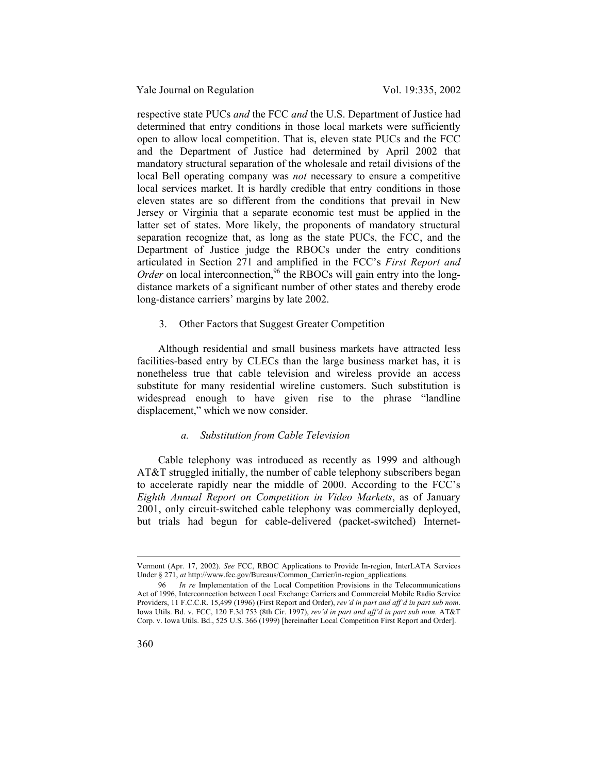respective state PUCs *and* the FCC *and* the U.S. Department of Justice had determined that entry conditions in those local markets were sufficiently open to allow local competition. That is, eleven state PUCs and the FCC and the Department of Justice had determined by April 2002 that mandatory structural separation of the wholesale and retail divisions of the local Bell operating company was *not* necessary to ensure a competitive local services market. It is hardly credible that entry conditions in those eleven states are so different from the conditions that prevail in New Jersey or Virginia that a separate economic test must be applied in the latter set of states. More likely, the proponents of mandatory structural separation recognize that, as long as the state PUCs, the FCC, and the Department of Justice judge the RBOCs under the entry conditions articulated in Section 271 and amplified in the FCC's *First Report and Order* on local interconnection,<sup>96</sup> the RBOCs will gain entry into the longdistance markets of a significant number of other states and thereby erode long-distance carriers' margins by late 2002.

### 3. Other Factors that Suggest Greater Competition

Although residential and small business markets have attracted less facilities-based entry by CLECs than the large business market has, it is nonetheless true that cable television and wireless provide an access substitute for many residential wireline customers. Such substitution is widespread enough to have given rise to the phrase "landline displacement," which we now consider.

### *a. Substitution from Cable Television*

Cable telephony was introduced as recently as 1999 and although AT&T struggled initially, the number of cable telephony subscribers began to accelerate rapidly near the middle of 2000. According to the FCC's *Eighth Annual Report on Competition in Video Markets*, as of January 2001, only circuit-switched cable telephony was commercially deployed, but trials had begun for cable-delivered (packet-switched) Internet-

 $\overline{a}$ 

Vermont (Apr. 17, 2002). *See* FCC, RBOC Applications to Provide In-region, InterLATA Services Under § 271, *at* http://www.fcc.gov/Bureaus/Common\_Carrier/in-region\_applications.

<sup>96</sup> *In re* Implementation of the Local Competition Provisions in the Telecommunications Act of 1996, Interconnection between Local Exchange Carriers and Commercial Mobile Radio Service Providers, 11 F.C.C.R. 15,499 (1996) (First Report and Order), *rev'd in part and aff'd in part sub nom*. Iowa Utils. Bd. v. FCC, 120 F.3d 753 (8th Cir. 1997), *rev'd in part and aff'd in part sub nom.* AT&T Corp. v. Iowa Utils. Bd., 525 U.S. 366 (1999) [hereinafter Local Competition First Report and Order].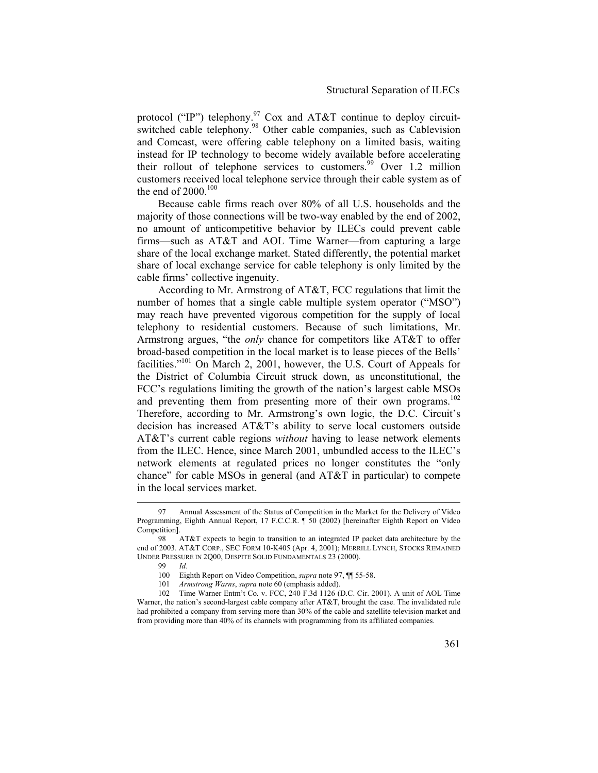protocol ("IP") telephony.<sup>97</sup> Cox and AT&T continue to deploy circuitswitched cable telephony.<sup>98</sup> Other cable companies, such as Cablevision and Comcast, were offering cable telephony on a limited basis, waiting instead for IP technology to become widely available before accelerating their rollout of telephone services to customers.<sup>99</sup> Over 1.2 million customers received local telephone service through their cable system as of the end of  $2000$ .<sup>100</sup>

Because cable firms reach over 80% of all U.S. households and the majority of those connections will be two-way enabled by the end of 2002, no amount of anticompetitive behavior by ILECs could prevent cable firms—such as AT&T and AOL Time Warner—from capturing a large share of the local exchange market. Stated differently, the potential market share of local exchange service for cable telephony is only limited by the cable firms' collective ingenuity.

According to Mr. Armstrong of AT&T, FCC regulations that limit the number of homes that a single cable multiple system operator ("MSO") may reach have prevented vigorous competition for the supply of local telephony to residential customers. Because of such limitations, Mr. Armstrong argues, "the *only* chance for competitors like AT&T to offer broad-based competition in the local market is to lease pieces of the Bells' facilities."<sup>101</sup> On March 2, 2001, however, the U.S. Court of Appeals for the District of Columbia Circuit struck down, as unconstitutional, the FCC's regulations limiting the growth of the nation's largest cable MSOs and preventing them from presenting more of their own programs.<sup>102</sup> Therefore, according to Mr. Armstrong's own logic, the D.C. Circuit's decision has increased AT&T's ability to serve local customers outside AT&T's current cable regions *without* having to lease network elements from the ILEC. Hence, since March 2001, unbundled access to the ILEC's network elements at regulated prices no longer constitutes the "only chance" for cable MSOs in general (and AT&T in particular) to compete in the local services market.

 <sup>97</sup> Annual Assessment of the Status of Competition in the Market for the Delivery of Video Programming, Eighth Annual Report, 17 F.C.C.R. ¶ 50 (2002) [hereinafter Eighth Report on Video Competition].

<sup>98</sup> AT&T expects to begin to transition to an integrated IP packet data architecture by the end of 2003. AT&T CORP., SEC FORM 10-K405 (Apr. 4, 2001); MERRILL LYNCH, STOCKS REMAINED UNDER PRESSURE IN 2Q00, DESPITE SOLID FUNDAMENTALS 23 (2000).

<sup>99</sup> *Id.*

<sup>100</sup> Eighth Report on Video Competition, *supra* note 97, ¶¶ 55-58.

<sup>101</sup> *Armstrong Warns*, *supra* note 60 (emphasis added).

<sup>102</sup> Time Warner Entm't Co*.* v. FCC, 240 F.3d 1126 (D.C. Cir. 2001). A unit of AOL Time Warner, the nation's second-largest cable company after AT&T, brought the case. The invalidated rule had prohibited a company from serving more than 30% of the cable and satellite television market and from providing more than 40% of its channels with programming from its affiliated companies.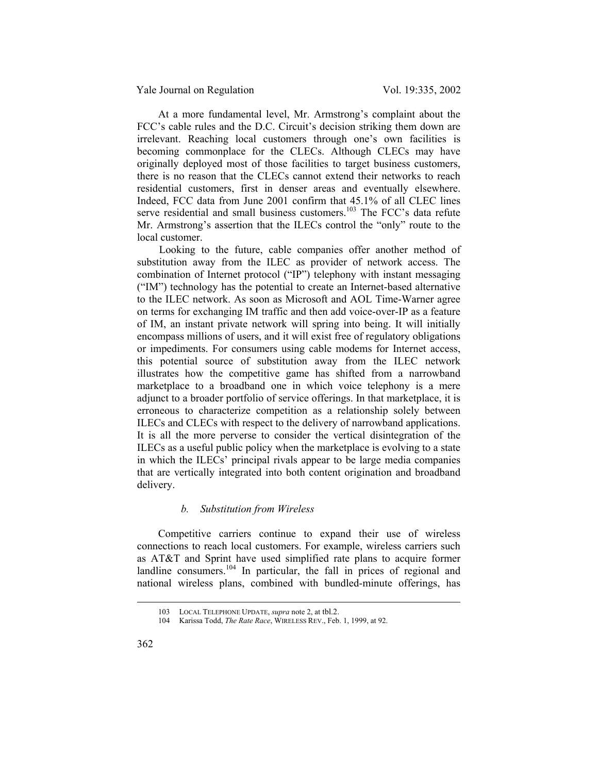At a more fundamental level, Mr. Armstrong's complaint about the FCC's cable rules and the D.C. Circuit's decision striking them down are irrelevant. Reaching local customers through one's own facilities is becoming commonplace for the CLECs. Although CLECs may have originally deployed most of those facilities to target business customers, there is no reason that the CLECs cannot extend their networks to reach residential customers, first in denser areas and eventually elsewhere. Indeed, FCC data from June 2001 confirm that 45.1% of all CLEC lines serve residential and small business customers.<sup>103</sup> The FCC's data refute Mr. Armstrong's assertion that the ILECs control the "only" route to the local customer.

 Looking to the future, cable companies offer another method of substitution away from the ILEC as provider of network access. The combination of Internet protocol ("IP") telephony with instant messaging ("IM") technology has the potential to create an Internet-based alternative to the ILEC network. As soon as Microsoft and AOL Time-Warner agree on terms for exchanging IM traffic and then add voice-over-IP as a feature of IM, an instant private network will spring into being. It will initially encompass millions of users, and it will exist free of regulatory obligations or impediments. For consumers using cable modems for Internet access, this potential source of substitution away from the ILEC network illustrates how the competitive game has shifted from a narrowband marketplace to a broadband one in which voice telephony is a mere adjunct to a broader portfolio of service offerings. In that marketplace, it is erroneous to characterize competition as a relationship solely between ILECs and CLECs with respect to the delivery of narrowband applications. It is all the more perverse to consider the vertical disintegration of the ILECs as a useful public policy when the marketplace is evolving to a state in which the ILECs' principal rivals appear to be large media companies that are vertically integrated into both content origination and broadband delivery.

### *b. Substitution from Wireless*

Competitive carriers continue to expand their use of wireless connections to reach local customers. For example, wireless carriers such as AT&T and Sprint have used simplified rate plans to acquire former landline consumers. $104$  In particular, the fall in prices of regional and national wireless plans, combined with bundled-minute offerings, has

 <sup>103</sup> LOCAL TELEPHONE UPDATE, *supra* note 2, at tbl.2.

<sup>104</sup> Karissa Todd, *The Rate Race*, WIRELESS REV., Feb. 1, 1999, at 92.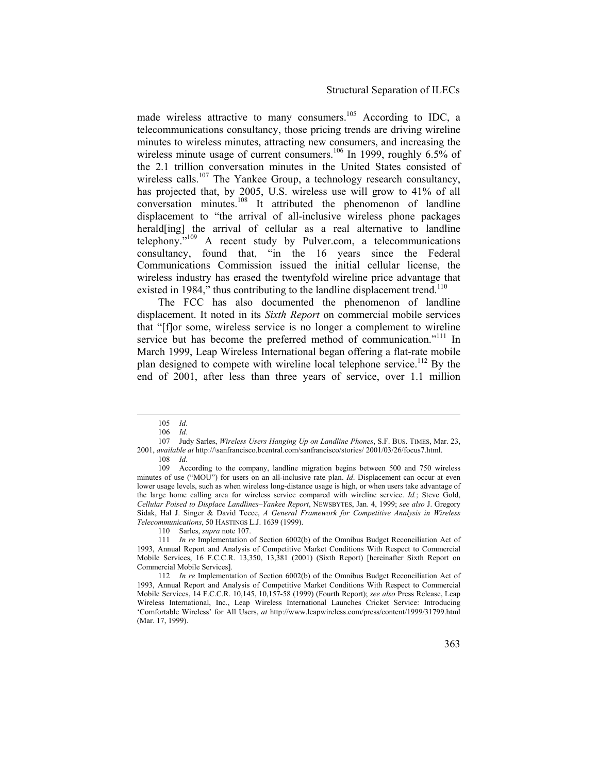made wireless attractive to many consumers.<sup>105</sup> According to IDC, a telecommunications consultancy, those pricing trends are driving wireline minutes to wireless minutes, attracting new consumers, and increasing the wireless minute usage of current consumers.<sup>106</sup> In 1999, roughly 6.5% of the 2.1 trillion conversation minutes in the United States consisted of wireless calls.<sup>107</sup> The Yankee Group, a technology research consultancy, has projected that, by 2005, U.S. wireless use will grow to 41% of all conversation minutes.108 It attributed the phenomenon of landline displacement to "the arrival of all-inclusive wireless phone packages herald[ing] the arrival of cellular as a real alternative to landline telephony."109 A recent study by Pulver.com, a telecommunications consultancy, found that, "in the 16 years since the Federal Communications Commission issued the initial cellular license, the wireless industry has erased the twentyfold wireline price advantage that existed in 1984," thus contributing to the landline displacement trend.<sup>110</sup>

The FCC has also documented the phenomenon of landline displacement. It noted in its *Sixth Report* on commercial mobile services that "[f]or some, wireless service is no longer a complement to wireline service but has become the preferred method of communication."<sup>111</sup> In March 1999, Leap Wireless International began offering a flat-rate mobile plan designed to compete with wireline local telephone service.<sup>112</sup> By the end of 2001, after less than three years of service, over 1.1 million

 <sup>105</sup> *Id*.

<sup>106</sup> *Id*.

<sup>107</sup> Judy Sarles, *Wireless Users Hanging Up on Landline Phones*, S.F. BUS. TIMES, Mar. 23, 2001, *available at* http://\sanfrancisco.bcentral.com/sanfrancisco/stories/ 2001/03/26/focus7.html. 108 *Id*.

<sup>109</sup> According to the company, landline migration begins between 500 and 750 wireless minutes of use ("MOU") for users on an all-inclusive rate plan. *Id*. Displacement can occur at even lower usage levels, such as when wireless long-distance usage is high, or when users take advantage of the large home calling area for wireless service compared with wireline service. *Id.*; Steve Gold, *Cellular Poised to Displace Landlines–Yankee Report*, NEWSBYTES, Jan. 4, 1999; *see also* J. Gregory Sidak, Hal J. Singer & David Teece, *A General Framework for Competitive Analysis in Wireless Telecommunications*, 50 HASTINGS L.J. 1639 (1999).

<sup>110</sup> Sarles, *supra* note 107.

<sup>111</sup> *In re* Implementation of Section 6002(b) of the Omnibus Budget Reconciliation Act of 1993, Annual Report and Analysis of Competitive Market Conditions With Respect to Commercial Mobile Services, 16 F.C.C.R. 13,350, 13,381 (2001) (Sixth Report) [hereinafter Sixth Report on Commercial Mobile Services].

<sup>112</sup> *In re* Implementation of Section 6002(b) of the Omnibus Budget Reconciliation Act of 1993, Annual Report and Analysis of Competitive Market Conditions With Respect to Commercial Mobile Services, 14 F.C.C.R. 10,145, 10,157-58 (1999) (Fourth Report); *see also* Press Release, Leap Wireless International, Inc., Leap Wireless International Launches Cricket Service: Introducing 'Comfortable Wireless' for All Users, *at* http://www.leapwireless.com/press/content/1999/31799.html (Mar. 17, 1999).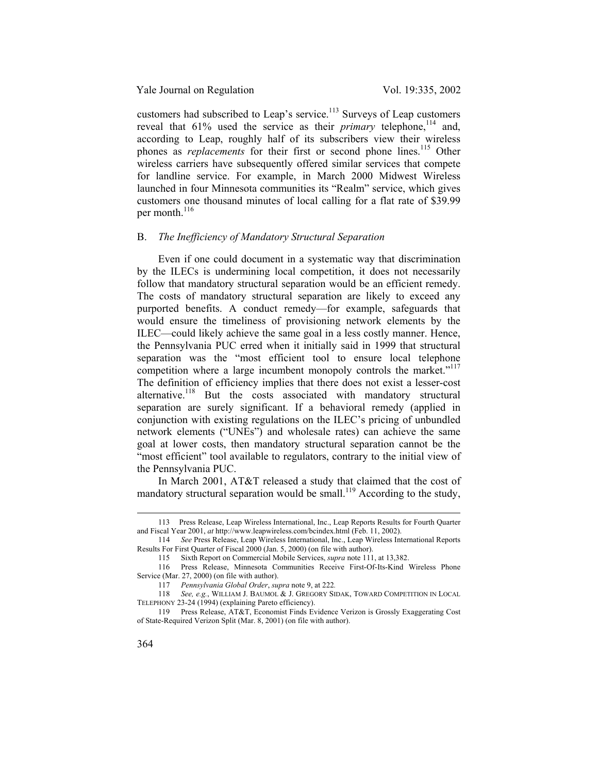customers had subscribed to Leap's service.<sup>113</sup> Surveys of Leap customers reveal that  $61\%$  used the service as their *primary* telephone,<sup>114</sup> and, according to Leap, roughly half of its subscribers view their wireless phones as *replacements* for their first or second phone lines.<sup>115</sup> Other wireless carriers have subsequently offered similar services that compete for landline service. For example, in March 2000 Midwest Wireless launched in four Minnesota communities its "Realm" service, which gives customers one thousand minutes of local calling for a flat rate of \$39.99 per month.<sup>116</sup>

### B. *The Inefficiency of Mandatory Structural Separation*

Even if one could document in a systematic way that discrimination by the ILECs is undermining local competition, it does not necessarily follow that mandatory structural separation would be an efficient remedy. The costs of mandatory structural separation are likely to exceed any purported benefits. A conduct remedy—for example, safeguards that would ensure the timeliness of provisioning network elements by the ILEC—could likely achieve the same goal in a less costly manner. Hence, the Pennsylvania PUC erred when it initially said in 1999 that structural separation was the "most efficient tool to ensure local telephone competition where a large incumbent monopoly controls the market."<sup>117</sup> The definition of efficiency implies that there does not exist a lesser-cost alternative.<sup>118</sup> But the costs associated with mandatory structural separation are surely significant. If a behavioral remedy (applied in conjunction with existing regulations on the ILEC's pricing of unbundled network elements ("UNEs") and wholesale rates) can achieve the same goal at lower costs, then mandatory structural separation cannot be the "most efficient" tool available to regulators, contrary to the initial view of the Pennsylvania PUC.

In March 2001, AT&T released a study that claimed that the cost of mandatory structural separation would be small.<sup>119</sup> According to the study,

 <sup>113</sup> Press Release, Leap Wireless International, Inc., Leap Reports Results for Fourth Quarter and Fiscal Year 2001, *at* http://www.leapwireless.com/bcindex.html (Feb. 11, 2002).

<sup>114</sup> *See* Press Release, Leap Wireless International, Inc., Leap Wireless International Reports Results For First Quarter of Fiscal 2000 (Jan. 5, 2000) (on file with author).

<sup>115</sup> Sixth Report on Commercial Mobile Services, *supra* note 111, at 13,382.

<sup>116</sup> Press Release, Minnesota Communities Receive First-Of-Its-Kind Wireless Phone Service (Mar. 27, 2000) (on file with author).

<sup>117</sup> *Pennsylvania Global Order*, *supra* note 9, at 222*.* 

<sup>118</sup> *See, e.g.*, WILLIAM J. BAUMOL & J. GREGORY SIDAK, TOWARD COMPETITION IN LOCAL TELEPHONY 23-24 (1994) (explaining Pareto efficiency).

<sup>119</sup> Press Release, AT&T, Economist Finds Evidence Verizon is Grossly Exaggerating Cost of State-Required Verizon Split (Mar. 8, 2001) (on file with author).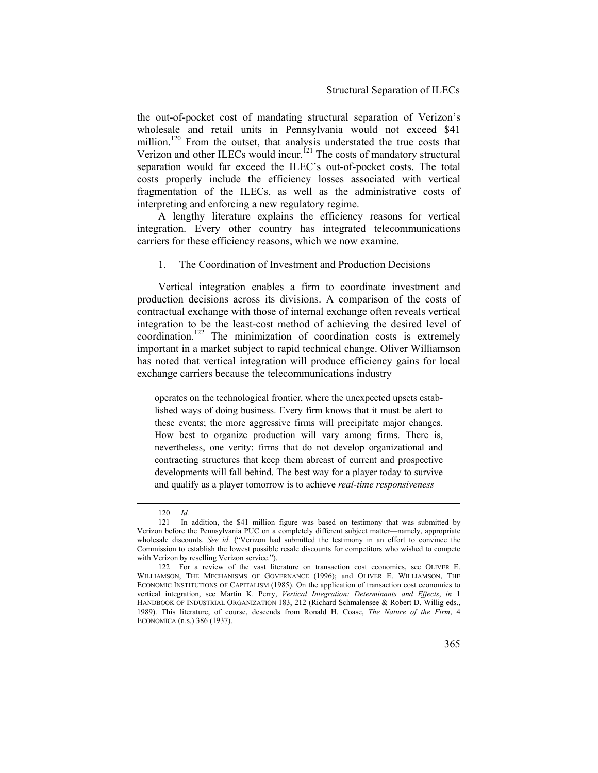the out-of-pocket cost of mandating structural separation of Verizon's wholesale and retail units in Pennsylvania would not exceed \$41 million.<sup>120</sup> From the outset, that analysis understated the true costs that Verizon and other ILECs would incur.<sup>121</sup> The costs of mandatory structural separation would far exceed the ILEC's out-of-pocket costs. The total costs properly include the efficiency losses associated with vertical fragmentation of the ILECs, as well as the administrative costs of interpreting and enforcing a new regulatory regime.

A lengthy literature explains the efficiency reasons for vertical integration. Every other country has integrated telecommunications carriers for these efficiency reasons, which we now examine.

### 1. The Coordination of Investment and Production Decisions

Vertical integration enables a firm to coordinate investment and production decisions across its divisions. A comparison of the costs of contractual exchange with those of internal exchange often reveals vertical integration to be the least-cost method of achieving the desired level of coordination.122 The minimization of coordination costs is extremely important in a market subject to rapid technical change. Oliver Williamson has noted that vertical integration will produce efficiency gains for local exchange carriers because the telecommunications industry

operates on the technological frontier, where the unexpected upsets established ways of doing business. Every firm knows that it must be alert to these events; the more aggressive firms will precipitate major changes. How best to organize production will vary among firms. There is, nevertheless, one verity: firms that do not develop organizational and contracting structures that keep them abreast of current and prospective developments will fall behind. The best way for a player today to survive and qualify as a player tomorrow is to achieve *real-time responsiveness—*

 <sup>120</sup> *Id.*

<sup>121</sup> In addition, the \$41 million figure was based on testimony that was submitted by Verizon before the Pennsylvania PUC on a completely different subject matter—namely, appropriate wholesale discounts. *See id*. ("Verizon had submitted the testimony in an effort to convince the Commission to establish the lowest possible resale discounts for competitors who wished to compete with Verizon by reselling Verizon service.").

<sup>122</sup> For a review of the vast literature on transaction cost economics, see OLIVER E. WILLIAMSON, THE MECHANISMS OF GOVERNANCE (1996); and OLIVER E. WILLIAMSON, THE ECONOMIC INSTITUTIONS OF CAPITALISM (1985). On the application of transaction cost economics to vertical integration, see Martin K. Perry, *Vertical Integration: Determinants and Effects*, *in* 1 HANDBOOK OF INDUSTRIAL ORGANIZATION 183, 212 (Richard Schmalensee & Robert D. Willig eds., 1989). This literature, of course, descends from Ronald H. Coase, *The Nature of the Firm*, 4 ECONOMICA (n.s.) 386 (1937).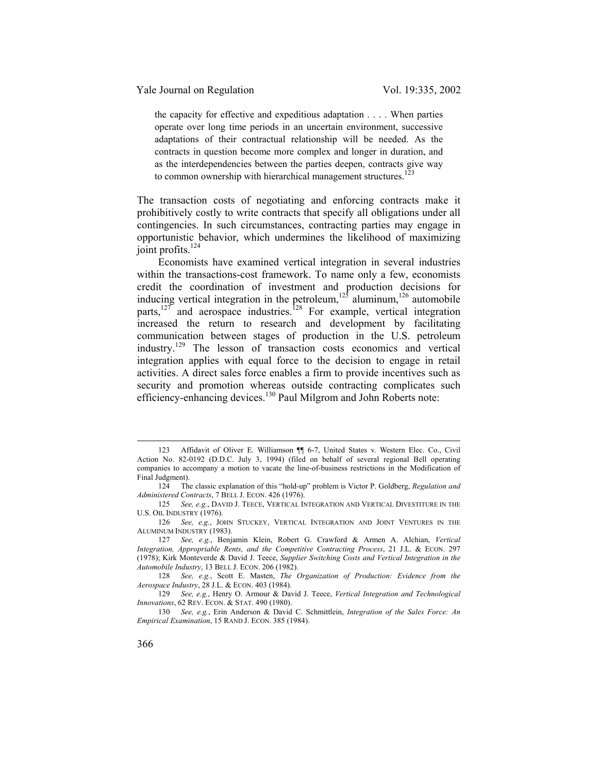the capacity for effective and expeditious adaptation . . . . When parties operate over long time periods in an uncertain environment, successive adaptations of their contractual relationship will be needed. As the contracts in question become more complex and longer in duration, and as the interdependencies between the parties deepen, contracts give way to common ownership with hierarchical management structures.<sup>123</sup>

The transaction costs of negotiating and enforcing contracts make it prohibitively costly to write contracts that specify all obligations under all contingencies. In such circumstances, contracting parties may engage in opportunistic behavior, which undermines the likelihood of maximizing joint profits.<sup>124</sup>

Economists have examined vertical integration in several industries within the transactions-cost framework. To name only a few, economists credit the coordination of investment and production decisions for inducing vertical integration in the petroleum,<sup>125</sup> aluminum,<sup>126</sup> automobile parts, $127$  and aerospace industries.<sup>128</sup> For example, vertical integration increased the return to research and development by facilitating communication between stages of production in the U.S. petroleum industry.129 The lesson of transaction costs economics and vertical integration applies with equal force to the decision to engage in retail activities. A direct sales force enables a firm to provide incentives such as security and promotion whereas outside contracting complicates such efficiency-enhancing devices.<sup>130</sup> Paul Milgrom and John Roberts note:

128 *See, e.g.*, Scott E. Masten, *The Organization of Production: Evidence from the Aerospace Industry*, 28 J.L. & ECON. 403 (1984).

<sup>123</sup> Affidavit of Oliver E. Williamson 11 6-7, United States v. Western Elec. Co., Civil Action No. 82-0192 (D.D.C. July 3, 1994) (filed on behalf of several regional Bell operating companies to accompany a motion to vacate the line-of-business restrictions in the Modification of Final Judgment).

<sup>124</sup> The classic explanation of this "hold-up" problem is Victor P. Goldberg, *Regulation and Administered Contracts*, 7 BELL J. ECON. 426 (1976).

<sup>125</sup> *See, e.g.*, DAVID J. TEECE, VERTICAL INTEGRATION AND VERTICAL DIVESTITURE IN THE U.S. OIL INDUSTRY (1976).

<sup>126</sup> *See, e.g.*, JOHN STUCKEY, VERTICAL INTEGRATION AND JOINT VENTURES IN THE ALUMINUM INDUSTRY (1983).

<sup>127</sup> *See, e.g.*, Benjamin Klein, Robert G. Crawford & Armen A. Alchian, *Vertical Integration, Appropriable Rents, and the Competitive Contracting Process*, 21 J.L. & ECON. 297 (1978); Kirk Monteverde & David J. Teece, *Supplier Switching Costs and Vertical Integration in the Automobile Industry*, 13 BELL J. ECON. 206 (1982).

<sup>129</sup> *See, e.g.*, Henry O. Armour & David J. Teece, *Vertical Integration and Technological Innovations*, 62 REV. ECON. & STAT. 490 (1980).

<sup>130</sup> *See, e.g.*, Erin Anderson & David C. Schmittlein, *Integration of the Sales Force: An Empirical Examination*, 15 RAND J. ECON. 385 (1984).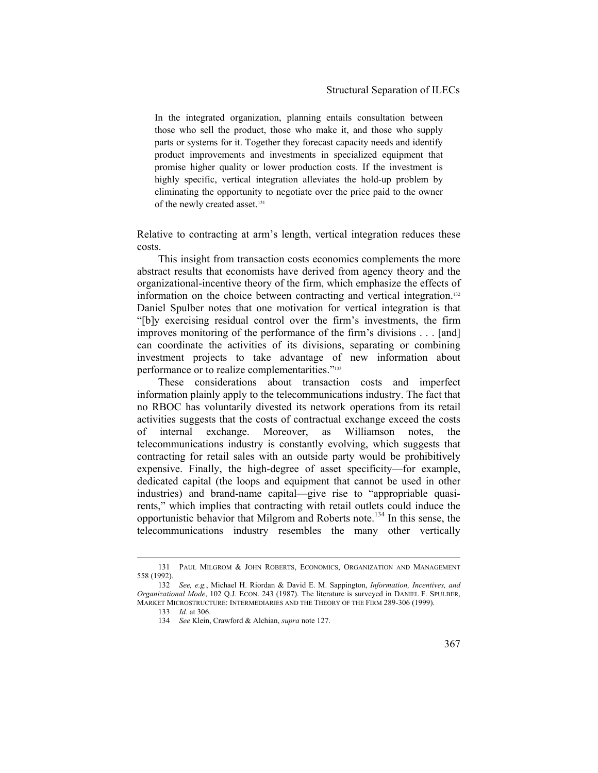In the integrated organization, planning entails consultation between those who sell the product, those who make it, and those who supply parts or systems for it. Together they forecast capacity needs and identify product improvements and investments in specialized equipment that promise higher quality or lower production costs. If the investment is highly specific, vertical integration alleviates the hold-up problem by eliminating the opportunity to negotiate over the price paid to the owner of the newly created asset.<sup>131</sup>

Relative to contracting at arm's length, vertical integration reduces these costs.

This insight from transaction costs economics complements the more abstract results that economists have derived from agency theory and the organizational-incentive theory of the firm, which emphasize the effects of information on the choice between contracting and vertical integration.132 Daniel Spulber notes that one motivation for vertical integration is that "[b]y exercising residual control over the firm's investments, the firm improves monitoring of the performance of the firm's divisions . . . [and] can coordinate the activities of its divisions, separating or combining investment projects to take advantage of new information about performance or to realize complementarities."<sup>133</sup>

These considerations about transaction costs and imperfect information plainly apply to the telecommunications industry. The fact that no RBOC has voluntarily divested its network operations from its retail activities suggests that the costs of contractual exchange exceed the costs of internal exchange. Moreover, as Williamson notes, the telecommunications industry is constantly evolving, which suggests that contracting for retail sales with an outside party would be prohibitively expensive. Finally, the high-degree of asset specificity—for example, dedicated capital (the loops and equipment that cannot be used in other industries) and brand-name capital—give rise to "appropriable quasirents," which implies that contracting with retail outlets could induce the opportunistic behavior that Milgrom and Roberts note.134 In this sense, the telecommunications industry resembles the many other vertically

 <sup>131</sup> PAUL MILGROM & JOHN ROBERTS, ECONOMICS, ORGANIZATION AND MANAGEMENT 558 (1992).

<sup>132</sup> *See, e.g.*, Michael H. Riordan & David E. M. Sappington, *Information, Incentives, and Organizational Mode*, 102 Q.J. ECON. 243 (1987). The literature is surveyed in DANIEL F. SPULBER, MARKET MICROSTRUCTURE: INTERMEDIARIES AND THE THEORY OF THE FIRM 289-306 (1999).

<sup>133</sup> *Id*. at 306.

<sup>134</sup> *See* Klein, Crawford & Alchian, *supra* note 127.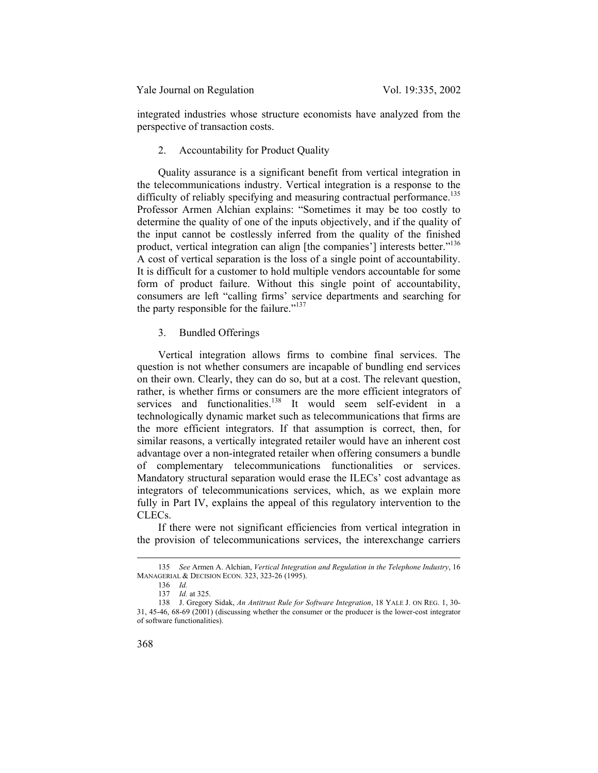integrated industries whose structure economists have analyzed from the perspective of transaction costs.

### 2. Accountability for Product Quality

Quality assurance is a significant benefit from vertical integration in the telecommunications industry. Vertical integration is a response to the difficulty of reliably specifying and measuring contractual performance.<sup>135</sup> Professor Armen Alchian explains: "Sometimes it may be too costly to determine the quality of one of the inputs objectively, and if the quality of the input cannot be costlessly inferred from the quality of the finished product, vertical integration can align [the companies'] interests better."<sup>136</sup> A cost of vertical separation is the loss of a single point of accountability. It is difficult for a customer to hold multiple vendors accountable for some form of product failure. Without this single point of accountability, consumers are left "calling firms' service departments and searching for the party responsible for the failure."<sup>137</sup>

### 3. Bundled Offerings

Vertical integration allows firms to combine final services. The question is not whether consumers are incapable of bundling end services on their own. Clearly, they can do so, but at a cost. The relevant question, rather, is whether firms or consumers are the more efficient integrators of services and functionalities.<sup>138</sup> It would seem self-evident in a technologically dynamic market such as telecommunications that firms are the more efficient integrators. If that assumption is correct, then, for similar reasons, a vertically integrated retailer would have an inherent cost advantage over a non-integrated retailer when offering consumers a bundle of complementary telecommunications functionalities or services. Mandatory structural separation would erase the ILECs' cost advantage as integrators of telecommunications services, which, as we explain more fully in Part IV, explains the appeal of this regulatory intervention to the CLECs.

If there were not significant efficiencies from vertical integration in the provision of telecommunications services, the interexchange carriers

 <sup>135</sup> *See* Armen A. Alchian, *Vertical Integration and Regulation in the Telephone Industry*, 16 MANAGERIAL & DECISION ECON. 323, 323-26 (1995).

<sup>136</sup> *Id.*

<sup>137</sup> *Id.* at 325.

<sup>138</sup> J. Gregory Sidak, *An Antitrust Rule for Software Integration*, 18 YALE J. ON REG. 1, 30- 31, 45-46, 68-69 (2001) (discussing whether the consumer or the producer is the lower-cost integrator of software functionalities).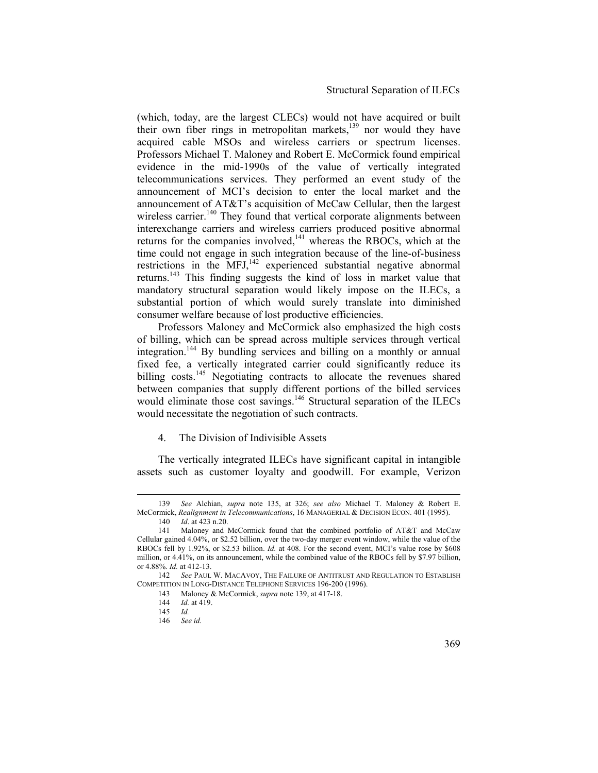(which, today, are the largest CLECs) would not have acquired or built their own fiber rings in metropolitan markets,<sup>139</sup> nor would they have acquired cable MSOs and wireless carriers or spectrum licenses. Professors Michael T. Maloney and Robert E. McCormick found empirical evidence in the mid-1990s of the value of vertically integrated telecommunications services. They performed an event study of the announcement of MCI's decision to enter the local market and the announcement of AT&T's acquisition of McCaw Cellular, then the largest wireless carrier.<sup>140</sup> They found that vertical corporate alignments between interexchange carriers and wireless carriers produced positive abnormal returns for the companies involved, $141$  whereas the RBOCs, which at the time could not engage in such integration because of the line-of-business restrictions in the MFJ,<sup>142</sup> experienced substantial negative abnormal returns.143 This finding suggests the kind of loss in market value that mandatory structural separation would likely impose on the ILECs, a substantial portion of which would surely translate into diminished consumer welfare because of lost productive efficiencies.

Professors Maloney and McCormick also emphasized the high costs of billing, which can be spread across multiple services through vertical integration.144 By bundling services and billing on a monthly or annual fixed fee, a vertically integrated carrier could significantly reduce its billing costs.<sup>145</sup> Negotiating contracts to allocate the revenues shared between companies that supply different portions of the billed services would eliminate those cost savings.<sup>146</sup> Structural separation of the ILECs would necessitate the negotiation of such contracts.

#### 4. The Division of Indivisible Assets

The vertically integrated ILECs have significant capital in intangible assets such as customer loyalty and goodwill. For example, Verizon

 <sup>139</sup> *See* Alchian, *supra* note 135, at 326; *see also* Michael T. Maloney & Robert E. McCormick, *Realignment in Telecommunications*, 16 MANAGERIAL & DECISION ECON. 401 (1995). 140 *Id*. at 423 n.20.

<sup>141</sup> Maloney and McCormick found that the combined portfolio of AT&T and McCaw Cellular gained 4.04%, or \$2.52 billion, over the two-day merger event window, while the value of the RBOCs fell by 1.92%, or \$2.53 billion. *Id.* at 408. For the second event, MCI's value rose by \$608 million, or 4.41%, on its announcement, while the combined value of the RBOCs fell by \$7.97 billion, or 4.88%. *Id.* at 412-13.

<sup>142</sup> *See* PAUL W. MACAVOY, THE FAILURE OF ANTITRUST AND REGULATION TO ESTABLISH COMPETITION IN LONG-DISTANCE TELEPHONE SERVICES 196-200 (1996).

<sup>143</sup> Maloney & McCormick, *supra* note 139, at 417-18.

<sup>144</sup> *Id.* at 419.

<sup>145</sup> *Id.*

<sup>146</sup> *See id.*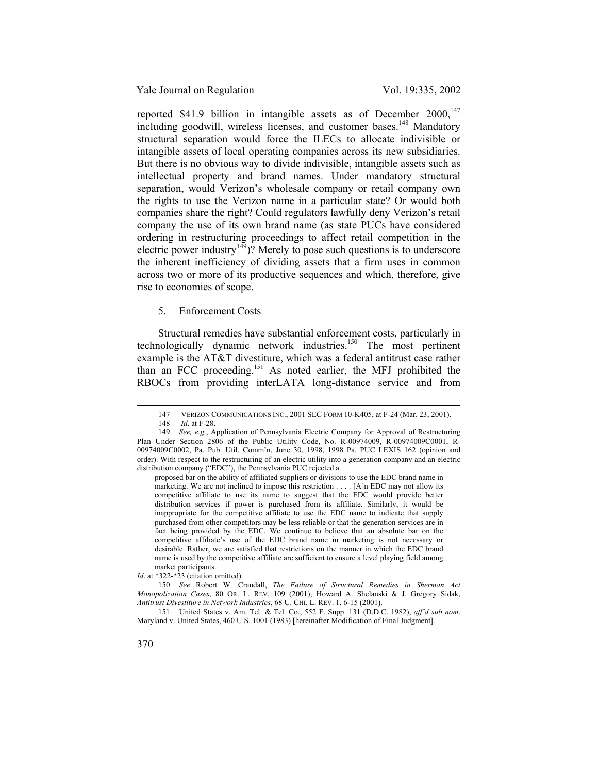reported \$41.9 billion in intangible assets as of December  $2000$ ,<sup>147</sup> including goodwill, wireless licenses, and customer bases.<sup>148</sup> Mandatory structural separation would force the ILECs to allocate indivisible or intangible assets of local operating companies across its new subsidiaries. But there is no obvious way to divide indivisible, intangible assets such as intellectual property and brand names. Under mandatory structural separation, would Verizon's wholesale company or retail company own the rights to use the Verizon name in a particular state? Or would both companies share the right? Could regulators lawfully deny Verizon's retail company the use of its own brand name (as state PUCs have considered ordering in restructuring proceedings to affect retail competition in the electric power industry<sup>149</sup>)? Merely to pose such questions is to underscore the inherent inefficiency of dividing assets that a firm uses in common across two or more of its productive sequences and which, therefore, give rise to economies of scope.

5. Enforcement Costs

Structural remedies have substantial enforcement costs, particularly in technologically dynamic network industries.<sup>150</sup> The most pertinent example is the AT&T divestiture, which was a federal antitrust case rather than an FCC proceeding.151 As noted earlier, the MFJ prohibited the RBOCs from providing interLATA long-distance service and from

proposed bar on the ability of affiliated suppliers or divisions to use the EDC brand name in marketing. We are not inclined to impose this restriction . . . . [A]n EDC may not allow its competitive affiliate to use its name to suggest that the EDC would provide better distribution services if power is purchased from its affiliate. Similarly, it would be inappropriate for the competitive affiliate to use the EDC name to indicate that supply purchased from other competitors may be less reliable or that the generation services are in fact being provided by the EDC. We continue to believe that an absolute bar on the competitive affiliate's use of the EDC brand name in marketing is not necessary or desirable. Rather, we are satisfied that restrictions on the manner in which the EDC brand name is used by the competitive affiliate are sufficient to ensure a level playing field among market participants.

*Id*. at \*322-\*23 (citation omitted).

150 *See* Robert W. Crandall, *The Failure of Structural Remedies in Sherman Act Monopolization Cases*, 80 OR. L. REV. 109 (2001); Howard A. Shelanski & J. Gregory Sidak, *Antitrust Divestiture in Network Industries*, 68 U. CHI. L. REV. 1, 6-15 (2001).

151 United States v. Am. Tel. & Tel. Co., 552 F. Supp. 131 (D.D.C. 1982), *aff'd sub nom*. Maryland v. United States, 460 U.S. 1001 (1983) [hereinafter Modification of Final Judgment].

<sup>147</sup> VERIZON COMMUNICATIONS INC., 2001 SEC FORM 10-K405, at F-24 (Mar. 23, 2001).<br>148 *Id.* at F-28.

*Id*. at F-28.

<sup>149</sup> *See, e.g.*, Application of Pennsylvania Electric Company for Approval of Restructuring Plan Under Section 2806 of the Public Utility Code, No. R-00974009, R-00974009C0001, R-00974009C0002, Pa. Pub. Util. Comm'n, June 30, 1998, 1998 Pa. PUC LEXIS 162 (opinion and order). With respect to the restructuring of an electric utility into a generation company and an electric distribution company ("EDC"), the Pennsylvania PUC rejected a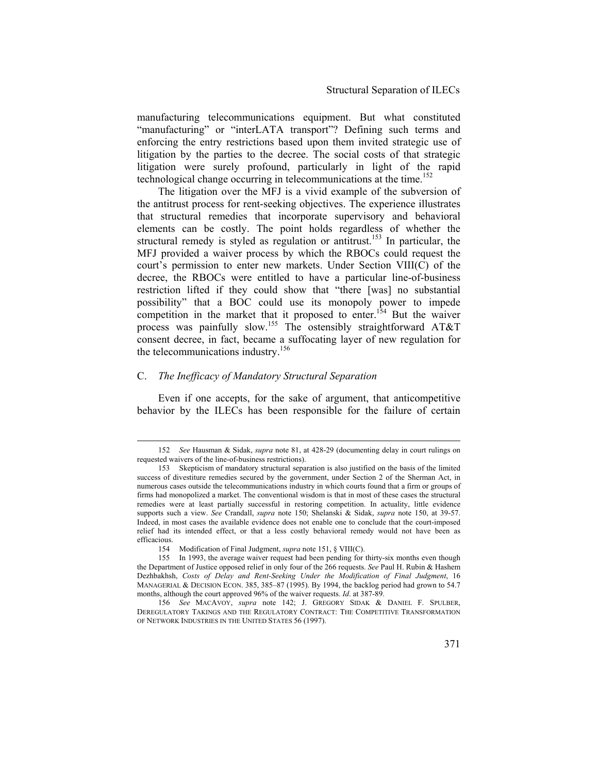manufacturing telecommunications equipment. But what constituted "manufacturing" or "interLATA transport"? Defining such terms and enforcing the entry restrictions based upon them invited strategic use of litigation by the parties to the decree. The social costs of that strategic litigation were surely profound, particularly in light of the rapid technological change occurring in telecommunications at the time.<sup>152</sup>

The litigation over the MFJ is a vivid example of the subversion of the antitrust process for rent-seeking objectives. The experience illustrates that structural remedies that incorporate supervisory and behavioral elements can be costly. The point holds regardless of whether the structural remedy is styled as regulation or antitrust.<sup>153</sup> In particular, the MFJ provided a waiver process by which the RBOCs could request the court's permission to enter new markets. Under Section VIII(C) of the decree, the RBOCs were entitled to have a particular line-of-business restriction lifted if they could show that "there [was] no substantial possibility" that a BOC could use its monopoly power to impede competition in the market that it proposed to enter.<sup>154</sup> But the waiver process was painfully slow.<sup>155</sup> The ostensibly straightforward AT&T consent decree, in fact, became a suffocating layer of new regulation for the telecommunications industry.<sup>156</sup>

## C. *The Inefficacy of Mandatory Structural Separation*

Even if one accepts, for the sake of argument, that anticompetitive behavior by the ILECs has been responsible for the failure of certain

 <sup>152</sup> *See* Hausman & Sidak, *supra* note 81, at 428-29 (documenting delay in court rulings on requested waivers of the line-of-business restrictions).

<sup>153</sup> Skepticism of mandatory structural separation is also justified on the basis of the limited success of divestiture remedies secured by the government, under Section 2 of the Sherman Act, in numerous cases outside the telecommunications industry in which courts found that a firm or groups of firms had monopolized a market. The conventional wisdom is that in most of these cases the structural remedies were at least partially successful in restoring competition. In actuality, little evidence supports such a view. *See* Crandall, *supra* note 150; Shelanski & Sidak, *supra* note 150, at 39-57. Indeed, in most cases the available evidence does not enable one to conclude that the court-imposed relief had its intended effect, or that a less costly behavioral remedy would not have been as efficacious.

<sup>154</sup> Modification of Final Judgment, *supra* note 151, § VIII(C).

<sup>155</sup> In 1993, the average waiver request had been pending for thirty-six months even though the Department of Justice opposed relief in only four of the 266 requests. *See* Paul H. Rubin & Hashem Dezhbakhsh, *Costs of Delay and Rent-Seeking Under the Modification of Final Judgment*, 16 MANAGERIAL & DECISION ECON. 385, 385–87 (1995). By 1994, the backlog period had grown to 54.7 months, although the court approved 96% of the waiver requests. *Id*. at 387-89.

<sup>156</sup> *See* MACAVOY, *supra* note 142; J. GREGORY SIDAK & DANIEL F. SPULBER, DEREGULATORY TAKINGS AND THE REGULATORY CONTRACT: THE COMPETITIVE TRANSFORMATION OF NETWORK INDUSTRIES IN THE UNITED STATES 56 (1997).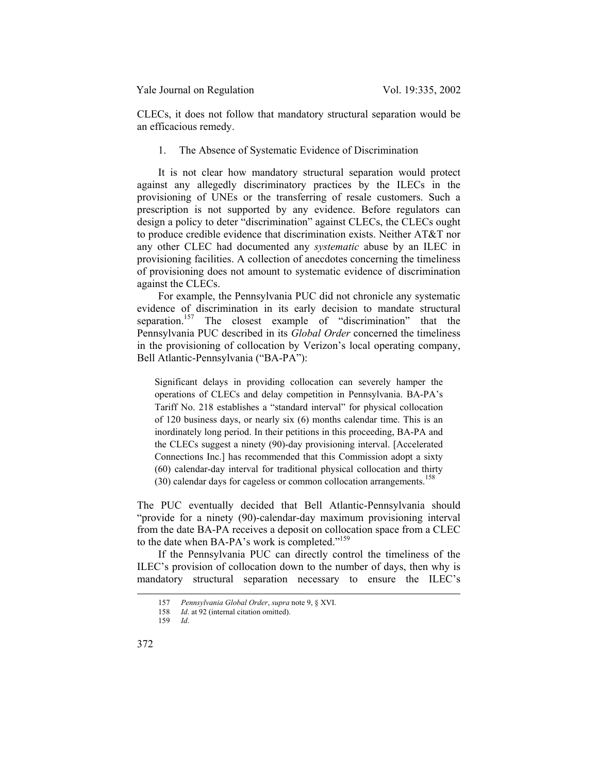CLECs, it does not follow that mandatory structural separation would be an efficacious remedy.

1. The Absence of Systematic Evidence of Discrimination

It is not clear how mandatory structural separation would protect against any allegedly discriminatory practices by the ILECs in the provisioning of UNEs or the transferring of resale customers. Such a prescription is not supported by any evidence. Before regulators can design a policy to deter "discrimination" against CLECs, the CLECs ought to produce credible evidence that discrimination exists. Neither AT&T nor any other CLEC had documented any *systematic* abuse by an ILEC in provisioning facilities. A collection of anecdotes concerning the timeliness of provisioning does not amount to systematic evidence of discrimination against the CLECs.

For example, the Pennsylvania PUC did not chronicle any systematic evidence of discrimination in its early decision to mandate structural separation.<sup>157</sup> The closest example of "discrimination" that the Pennsylvania PUC described in its *Global Order* concerned the timeliness in the provisioning of collocation by Verizon's local operating company, Bell Atlantic-Pennsylvania ("BA-PA"):

Significant delays in providing collocation can severely hamper the operations of CLECs and delay competition in Pennsylvania. BA-PA's Tariff No. 218 establishes a "standard interval" for physical collocation of 120 business days, or nearly six (6) months calendar time. This is an inordinately long period. In their petitions in this proceeding, BA-PA and the CLECs suggest a ninety (90)-day provisioning interval. [Accelerated Connections Inc.] has recommended that this Commission adopt a sixty (60) calendar-day interval for traditional physical collocation and thirty  $(30)$  calendar days for cageless or common collocation arrangements.<sup>158</sup>

The PUC eventually decided that Bell Atlantic-Pennsylvania should "provide for a ninety (90)-calendar-day maximum provisioning interval from the date BA-PA receives a deposit on collocation space from a CLEC to the date when BA-PA's work is completed."<sup>159</sup>

If the Pennsylvania PUC can directly control the timeliness of the ILEC's provision of collocation down to the number of days, then why is mandatory structural separation necessary to ensure the ILEC's

 <sup>157</sup> *Pennsylvania Global Order*, *supra* note 9, § XVI.

*Id.* at 92 (internal citation omitted).

<sup>159</sup> *Id*.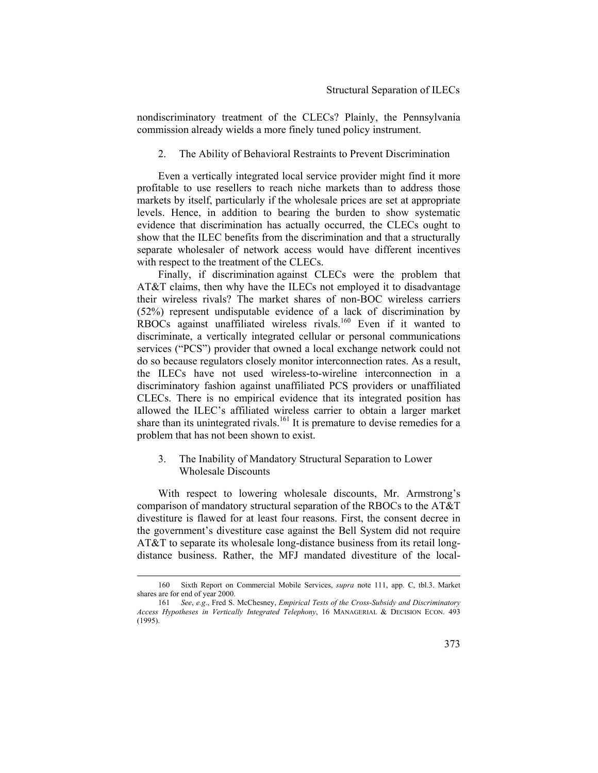nondiscriminatory treatment of the CLECs? Plainly, the Pennsylvania commission already wields a more finely tuned policy instrument.

2. The Ability of Behavioral Restraints to Prevent Discrimination

Even a vertically integrated local service provider might find it more profitable to use resellers to reach niche markets than to address those markets by itself, particularly if the wholesale prices are set at appropriate levels. Hence, in addition to bearing the burden to show systematic evidence that discrimination has actually occurred, the CLECs ought to show that the ILEC benefits from the discrimination and that a structurally separate wholesaler of network access would have different incentives with respect to the treatment of the CLECs.

Finally, if discrimination against CLECs were the problem that AT&T claims, then why have the ILECs not employed it to disadvantage their wireless rivals? The market shares of non-BOC wireless carriers (52%) represent undisputable evidence of a lack of discrimination by RBOCs against unaffiliated wireless rivals.<sup>160</sup> Even if it wanted to discriminate, a vertically integrated cellular or personal communications services ("PCS") provider that owned a local exchange network could not do so because regulators closely monitor interconnection rates. As a result, the ILECs have not used wireless-to-wireline interconnection in a discriminatory fashion against unaffiliated PCS providers or unaffiliated CLECs. There is no empirical evidence that its integrated position has allowed the ILEC's affiliated wireless carrier to obtain a larger market share than its unintegrated rivals.<sup>161</sup> It is premature to devise remedies for a problem that has not been shown to exist.

# 3. The Inability of Mandatory Structural Separation to Lower Wholesale Discounts

With respect to lowering wholesale discounts, Mr. Armstrong's comparison of mandatory structural separation of the RBOCs to the AT&T divestiture is flawed for at least four reasons. First, the consent decree in the government's divestiture case against the Bell System did not require AT&T to separate its wholesale long-distance business from its retail longdistance business. Rather, the MFJ mandated divestiture of the local-

 <sup>160</sup> Sixth Report on Commercial Mobile Services, *supra* note 111, app. C, tbl.3. Market shares are for end of year 2000.

<sup>161</sup> *See*, *e.g*., Fred S. McChesney, *Empirical Tests of the Cross-Subsidy and Discriminatory Access Hypotheses in Vertically Integrated Telephony*, 16 MANAGERIAL & DECISION ECON. 493 (1995).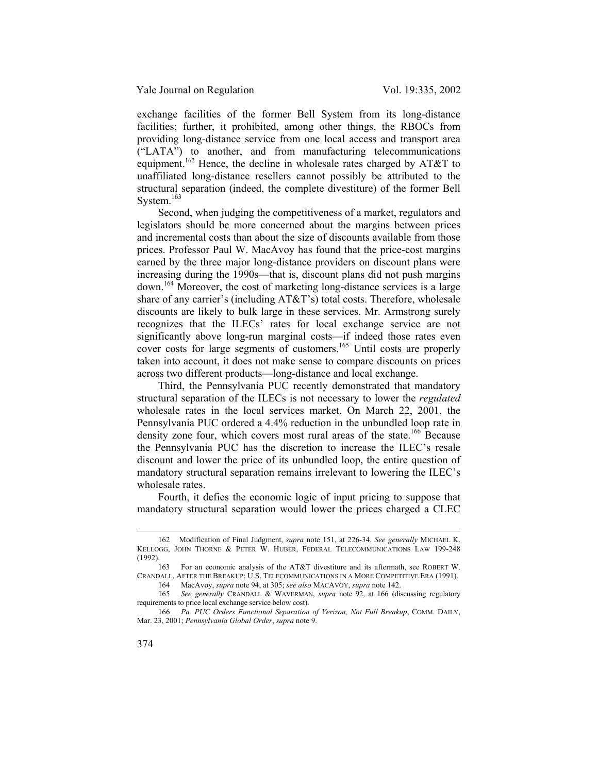exchange facilities of the former Bell System from its long-distance facilities; further, it prohibited, among other things, the RBOCs from providing long-distance service from one local access and transport area ("LATA") to another, and from manufacturing telecommunications equipment.<sup>162</sup> Hence, the decline in wholesale rates charged by  $AT&T$  to unaffiliated long-distance resellers cannot possibly be attributed to the structural separation (indeed, the complete divestiture) of the former Bell System.<sup>163</sup>

Second, when judging the competitiveness of a market, regulators and legislators should be more concerned about the margins between prices and incremental costs than about the size of discounts available from those prices. Professor Paul W. MacAvoy has found that the price-cost margins earned by the three major long-distance providers on discount plans were increasing during the 1990s—that is, discount plans did not push margins down.164 Moreover, the cost of marketing long-distance services is a large share of any carrier's (including AT&T's) total costs. Therefore, wholesale discounts are likely to bulk large in these services. Mr. Armstrong surely recognizes that the ILECs' rates for local exchange service are not significantly above long-run marginal costs—if indeed those rates even cover costs for large segments of customers.<sup>165</sup> Until costs are properly taken into account, it does not make sense to compare discounts on prices across two different products—long-distance and local exchange.

Third, the Pennsylvania PUC recently demonstrated that mandatory structural separation of the ILECs is not necessary to lower the *regulated*  wholesale rates in the local services market. On March 22, 2001, the Pennsylvania PUC ordered a 4.4% reduction in the unbundled loop rate in density zone four, which covers most rural areas of the state.<sup>166</sup> Because the Pennsylvania PUC has the discretion to increase the ILEC's resale discount and lower the price of its unbundled loop, the entire question of mandatory structural separation remains irrelevant to lowering the ILEC's wholesale rates.

Fourth, it defies the economic logic of input pricing to suppose that mandatory structural separation would lower the prices charged a CLEC

164 MacAvoy, *supra* note 94, at 305; *see also* MACAVOY, *supra* note 142.

 <sup>162</sup> Modification of Final Judgment, *supra* note 151, at 226-34. *See generally* MICHAEL K. KELLOGG, JOHN THORNE & PETER W. HUBER, FEDERAL TELECOMMUNICATIONS LAW 199-248 (1992).

<sup>163</sup> For an economic analysis of the AT&T divestiture and its aftermath, see ROBERT W. CRANDALL, AFTER THE BREAKUP: U.S. TELECOMMUNICATIONS IN A MORE COMPETITIVE ERA (1991).

<sup>165</sup> *See generally* CRANDALL & WAVERMAN, *supra* note 92, at 166 (discussing regulatory requirements to price local exchange service below cost).

<sup>166</sup> *Pa. PUC Orders Functional Separation of Verizon, Not Full Breakup*, COMM. DAILY, Mar. 23, 2001; *Pennsylvania Global Order*, *supra* note 9.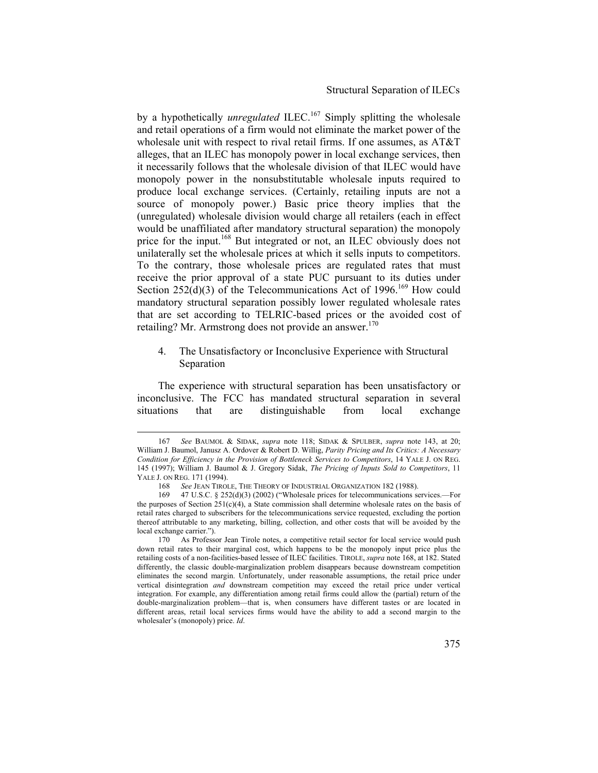by a hypothetically *unregulated* ILEC.<sup>167</sup> Simply splitting the wholesale and retail operations of a firm would not eliminate the market power of the wholesale unit with respect to rival retail firms. If one assumes, as AT&T alleges, that an ILEC has monopoly power in local exchange services, then it necessarily follows that the wholesale division of that ILEC would have monopoly power in the nonsubstitutable wholesale inputs required to produce local exchange services. (Certainly, retailing inputs are not a source of monopoly power.) Basic price theory implies that the (unregulated) wholesale division would charge all retailers (each in effect would be unaffiliated after mandatory structural separation) the monopoly price for the input.<sup>168</sup> But integrated or not, an ILEC obviously does not unilaterally set the wholesale prices at which it sells inputs to competitors. To the contrary, those wholesale prices are regulated rates that must receive the prior approval of a state PUC pursuant to its duties under Section 252 $(d)(3)$  of the Telecommunications Act of 1996.<sup>169</sup> How could mandatory structural separation possibly lower regulated wholesale rates that are set according to TELRIC-based prices or the avoided cost of retailing? Mr. Armstrong does not provide an answer. $170$ 

4. The Unsatisfactory or Inconclusive Experience with Structural Separation

The experience with structural separation has been unsatisfactory or inconclusive. The FCC has mandated structural separation in several situations that are distinguishable from local exchange

 <sup>167</sup> *See* BAUMOL & SIDAK, *supra* note 118; SIDAK & SPULBER, *supra* note 143, at 20; William J. Baumol, Janusz A. Ordover & Robert D. Willig, *Parity Pricing and Its Critics: A Necessary Condition for Efficiency in the Provision of Bottleneck Services to Competitors*, 14 YALE J. ON REG. 145 (1997); William J. Baumol & J. Gregory Sidak, *The Pricing of Inputs Sold to Competitors*, 11 YALE J. ON REG. 171 (1994).

<sup>168</sup> *See* JEAN TIROLE, THE THEORY OF INDUSTRIAL ORGANIZATION 182 (1988).

<sup>169 47</sup> U.S.C. § 252(d)(3) (2002) ("Wholesale prices for telecommunications services.—For the purposes of Section  $251(c)(4)$ , a State commission shall determine wholesale rates on the basis of retail rates charged to subscribers for the telecommunications service requested, excluding the portion thereof attributable to any marketing, billing, collection, and other costs that will be avoided by the local exchange carrier.").

<sup>170</sup> As Professor Jean Tirole notes, a competitive retail sector for local service would push down retail rates to their marginal cost, which happens to be the monopoly input price plus the retailing costs of a non-facilities-based lessee of ILEC facilities. TIROLE, *supra* note 168, at 182. Stated differently, the classic double-marginalization problem disappears because downstream competition eliminates the second margin. Unfortunately, under reasonable assumptions, the retail price under vertical disintegration *and* downstream competition may exceed the retail price under vertical integration. For example, any differentiation among retail firms could allow the (partial) return of the double-marginalization problem—that is, when consumers have different tastes or are located in different areas, retail local services firms would have the ability to add a second margin to the wholesaler's (monopoly) price. *Id*.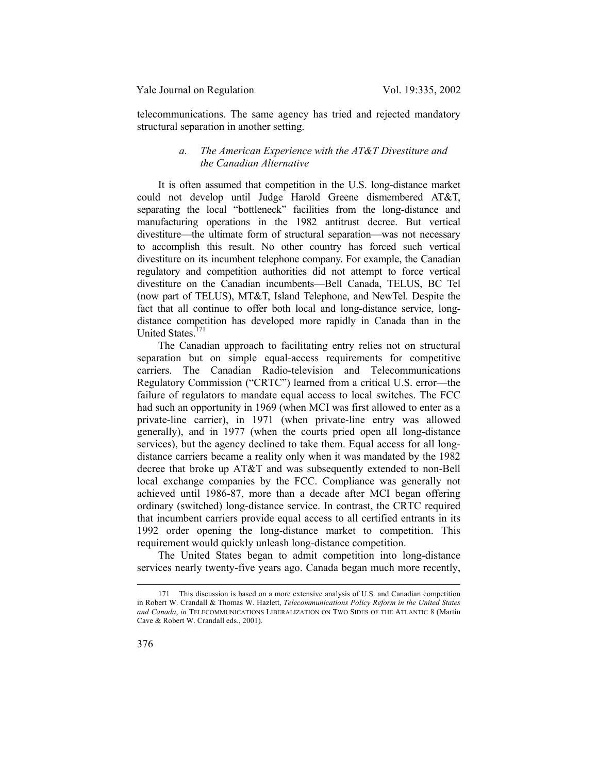telecommunications. The same agency has tried and rejected mandatory structural separation in another setting.

# *a. The American Experience with the AT&T Divestiture and the Canadian Alternative*

It is often assumed that competition in the U.S. long-distance market could not develop until Judge Harold Greene dismembered AT&T, separating the local "bottleneck" facilities from the long-distance and manufacturing operations in the 1982 antitrust decree. But vertical divestiture—the ultimate form of structural separation—was not necessary to accomplish this result. No other country has forced such vertical divestiture on its incumbent telephone company. For example, the Canadian regulatory and competition authorities did not attempt to force vertical divestiture on the Canadian incumbents—Bell Canada, TELUS, BC Tel (now part of TELUS), MT&T, Island Telephone, and NewTel. Despite the fact that all continue to offer both local and long-distance service, longdistance competition has developed more rapidly in Canada than in the United States<sup>171</sup>

The Canadian approach to facilitating entry relies not on structural separation but on simple equal-access requirements for competitive carriers. The Canadian Radio-television and Telecommunications Regulatory Commission ("CRTC") learned from a critical U.S. error—the failure of regulators to mandate equal access to local switches. The FCC had such an opportunity in 1969 (when MCI was first allowed to enter as a private-line carrier), in 1971 (when private-line entry was allowed generally), and in 1977 (when the courts pried open all long-distance services), but the agency declined to take them. Equal access for all longdistance carriers became a reality only when it was mandated by the 1982 decree that broke up AT&T and was subsequently extended to non-Bell local exchange companies by the FCC. Compliance was generally not achieved until 1986-87, more than a decade after MCI began offering ordinary (switched) long-distance service. In contrast, the CRTC required that incumbent carriers provide equal access to all certified entrants in its 1992 order opening the long-distance market to competition. This requirement would quickly unleash long-distance competition.

The United States began to admit competition into long-distance services nearly twenty-five years ago. Canada began much more recently,

 <sup>171</sup> This discussion is based on a more extensive analysis of U.S. and Canadian competition in Robert W. Crandall & Thomas W. Hazlett, *Telecommunications Policy Reform in the United States and Canada*, *in* TELECOMMUNICATIONS LIBERALIZATION ON TWO SIDES OF THE ATLANTIC 8 (Martin Cave & Robert W. Crandall eds., 2001).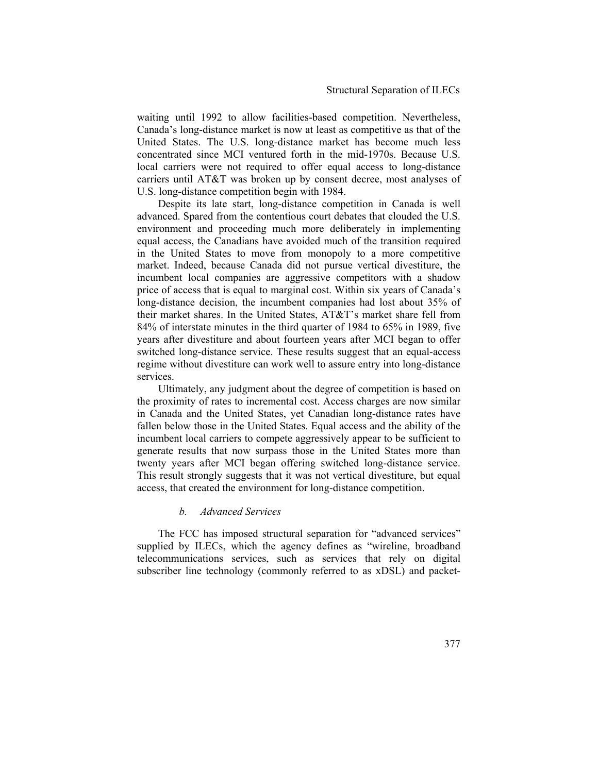waiting until 1992 to allow facilities-based competition. Nevertheless, Canada's long-distance market is now at least as competitive as that of the United States. The U.S. long-distance market has become much less concentrated since MCI ventured forth in the mid-1970s. Because U.S. local carriers were not required to offer equal access to long-distance carriers until AT&T was broken up by consent decree, most analyses of U.S. long-distance competition begin with 1984.

Despite its late start, long-distance competition in Canada is well advanced. Spared from the contentious court debates that clouded the U.S. environment and proceeding much more deliberately in implementing equal access, the Canadians have avoided much of the transition required in the United States to move from monopoly to a more competitive market. Indeed, because Canada did not pursue vertical divestiture, the incumbent local companies are aggressive competitors with a shadow price of access that is equal to marginal cost. Within six years of Canada's long-distance decision, the incumbent companies had lost about 35% of their market shares. In the United States, AT&T's market share fell from 84% of interstate minutes in the third quarter of 1984 to 65% in 1989, five years after divestiture and about fourteen years after MCI began to offer switched long-distance service. These results suggest that an equal-access regime without divestiture can work well to assure entry into long-distance services.

Ultimately, any judgment about the degree of competition is based on the proximity of rates to incremental cost. Access charges are now similar in Canada and the United States, yet Canadian long-distance rates have fallen below those in the United States. Equal access and the ability of the incumbent local carriers to compete aggressively appear to be sufficient to generate results that now surpass those in the United States more than twenty years after MCI began offering switched long-distance service. This result strongly suggests that it was not vertical divestiture, but equal access, that created the environment for long-distance competition.

## *b. Advanced Services*

The FCC has imposed structural separation for "advanced services" supplied by ILECs, which the agency defines as "wireline, broadband telecommunications services, such as services that rely on digital subscriber line technology (commonly referred to as xDSL) and packet-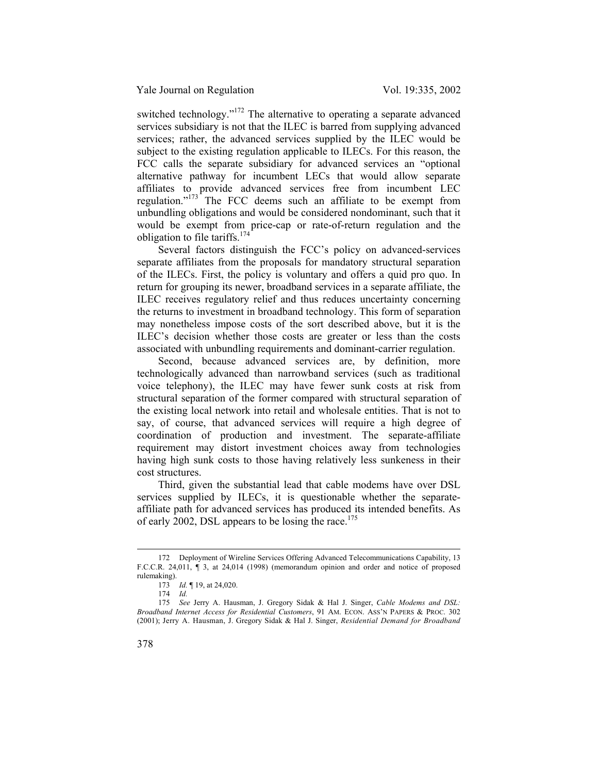switched technology."<sup>172</sup> The alternative to operating a separate advanced services subsidiary is not that the ILEC is barred from supplying advanced services; rather, the advanced services supplied by the ILEC would be subject to the existing regulation applicable to ILECs. For this reason, the FCC calls the separate subsidiary for advanced services an "optional alternative pathway for incumbent LECs that would allow separate affiliates to provide advanced services free from incumbent LEC regulation."<sup>173</sup> The FCC deems such an affiliate to be exempt from unbundling obligations and would be considered nondominant, such that it would be exempt from price-cap or rate-of-return regulation and the obligation to file tariffs.174

Several factors distinguish the FCC's policy on advanced-services separate affiliates from the proposals for mandatory structural separation of the ILECs. First, the policy is voluntary and offers a quid pro quo. In return for grouping its newer, broadband services in a separate affiliate, the ILEC receives regulatory relief and thus reduces uncertainty concerning the returns to investment in broadband technology. This form of separation may nonetheless impose costs of the sort described above, but it is the ILEC's decision whether those costs are greater or less than the costs associated with unbundling requirements and dominant-carrier regulation.

Second, because advanced services are, by definition, more technologically advanced than narrowband services (such as traditional voice telephony), the ILEC may have fewer sunk costs at risk from structural separation of the former compared with structural separation of the existing local network into retail and wholesale entities. That is not to say, of course, that advanced services will require a high degree of coordination of production and investment. The separate-affiliate requirement may distort investment choices away from technologies having high sunk costs to those having relatively less sunkeness in their cost structures.

Third, given the substantial lead that cable modems have over DSL services supplied by ILECs, it is questionable whether the separateaffiliate path for advanced services has produced its intended benefits. As of early 2002, DSL appears to be losing the race.<sup>175</sup>

 <sup>172</sup> Deployment of Wireline Services Offering Advanced Telecommunications Capability, 13 F.C.C.R. 24,011, ¶ 3, at 24,014 (1998) (memorandum opinion and order and notice of proposed rulemaking).

<sup>173</sup> *Id.* ¶ 19, at 24,020.

<sup>174</sup> *Id.*

<sup>175</sup> *See* Jerry A. Hausman, J. Gregory Sidak & Hal J. Singer, *Cable Modems and DSL: Broadband Internet Access for Residential Customers*, 91 AM. ECON. ASS'N PAPERS & PROC. 302 (2001); Jerry A. Hausman, J. Gregory Sidak & Hal J. Singer, *Residential Demand for Broadband*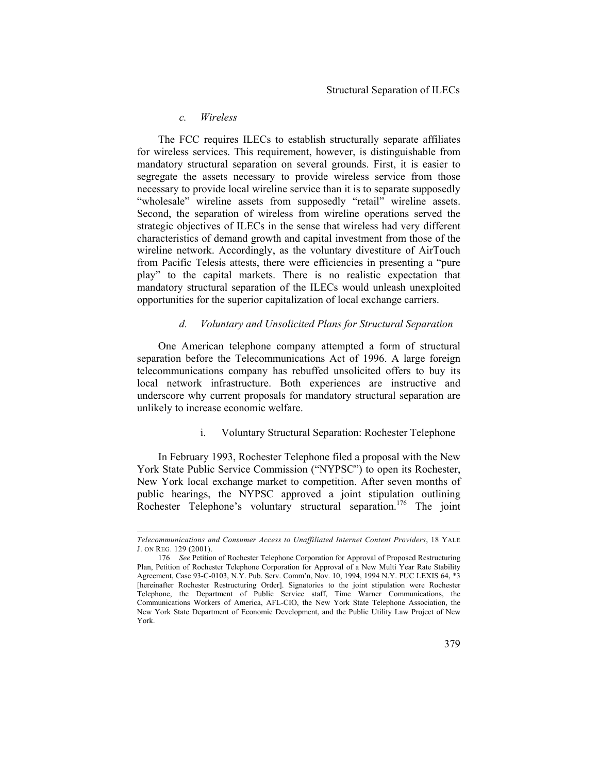#### *c. Wireless*

 $\overline{a}$ 

The FCC requires ILECs to establish structurally separate affiliates for wireless services. This requirement, however, is distinguishable from mandatory structural separation on several grounds. First, it is easier to segregate the assets necessary to provide wireless service from those necessary to provide local wireline service than it is to separate supposedly "wholesale" wireline assets from supposedly "retail" wireline assets. Second, the separation of wireless from wireline operations served the strategic objectives of ILECs in the sense that wireless had very different characteristics of demand growth and capital investment from those of the wireline network. Accordingly, as the voluntary divestiture of AirTouch from Pacific Telesis attests, there were efficiencies in presenting a "pure play" to the capital markets. There is no realistic expectation that mandatory structural separation of the ILECs would unleash unexploited opportunities for the superior capitalization of local exchange carriers.

## *d. Voluntary and Unsolicited Plans for Structural Separation*

One American telephone company attempted a form of structural separation before the Telecommunications Act of 1996. A large foreign telecommunications company has rebuffed unsolicited offers to buy its local network infrastructure. Both experiences are instructive and underscore why current proposals for mandatory structural separation are unlikely to increase economic welfare.

## i. Voluntary Structural Separation: Rochester Telephone

In February 1993, Rochester Telephone filed a proposal with the New York State Public Service Commission ("NYPSC") to open its Rochester, New York local exchange market to competition. After seven months of public hearings, the NYPSC approved a joint stipulation outlining Rochester Telephone's voluntary structural separation.<sup>176</sup> The joint

*Telecommunications and Consumer Access to Unaffiliated Internet Content Providers*, 18 YALE J. ON REG. 129 (2001).

<sup>176</sup> *See* Petition of Rochester Telephone Corporation for Approval of Proposed Restructuring Plan, Petition of Rochester Telephone Corporation for Approval of a New Multi Year Rate Stability Agreement, Case 93-C-0103, N.Y. Pub. Serv. Comm'n, Nov. 10, 1994, 1994 N.Y. PUC LEXIS 64, \*3 [hereinafter Rochester Restructuring Order]. Signatories to the joint stipulation were Rochester Telephone, the Department of Public Service staff, Time Warner Communications, the Communications Workers of America, AFL-CIO, the New York State Telephone Association, the New York State Department of Economic Development, and the Public Utility Law Project of New York.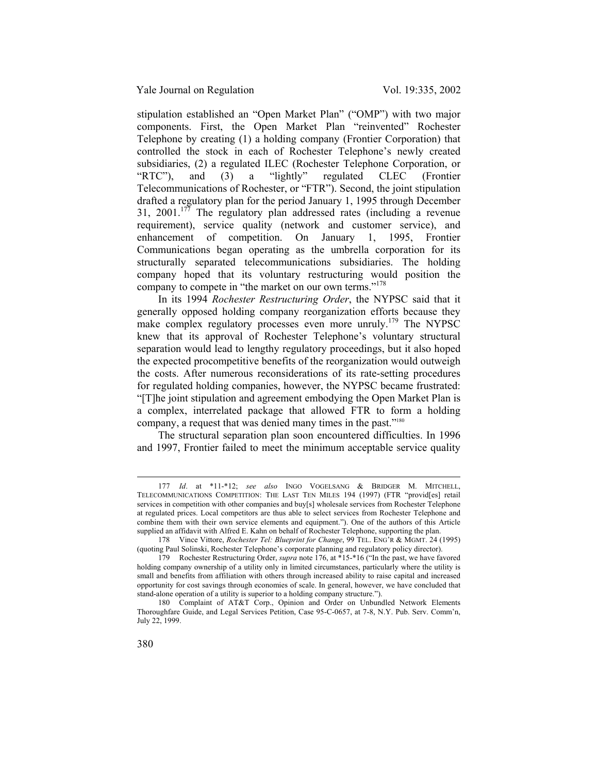stipulation established an "Open Market Plan" ("OMP") with two major components. First, the Open Market Plan "reinvented" Rochester Telephone by creating (1) a holding company (Frontier Corporation) that controlled the stock in each of Rochester Telephone's newly created subsidiaries, (2) a regulated ILEC (Rochester Telephone Corporation, or "RTC"), and (3) a "lightly" regulated CLEC (Frontier Telecommunications of Rochester, or "FTR"). Second, the joint stipulation drafted a regulatory plan for the period January 1, 1995 through December 31, 2001.<sup>177</sup> The regulatory plan addressed rates (including a revenue requirement), service quality (network and customer service), and enhancement of competition. On January 1, 1995, Frontier Communications began operating as the umbrella corporation for its structurally separated telecommunications subsidiaries. The holding company hoped that its voluntary restructuring would position the company to compete in "the market on our own terms."<sup>178</sup>

In its 1994 *Rochester Restructuring Order*, the NYPSC said that it generally opposed holding company reorganization efforts because they make complex regulatory processes even more unruly.<sup>179</sup> The NYPSC knew that its approval of Rochester Telephone's voluntary structural separation would lead to lengthy regulatory proceedings, but it also hoped the expected procompetitive benefits of the reorganization would outweigh the costs. After numerous reconsiderations of its rate-setting procedures for regulated holding companies, however, the NYPSC became frustrated: "[T]he joint stipulation and agreement embodying the Open Market Plan is a complex, interrelated package that allowed FTR to form a holding company, a request that was denied many times in the past."180

The structural separation plan soon encountered difficulties. In 1996 and 1997, Frontier failed to meet the minimum acceptable service quality

 <sup>177</sup> *Id*. at \*11-\*12; *see also* INGO VOGELSANG & BRIDGER M. MITCHELL, TELECOMMUNICATIONS COMPETITION: THE LAST TEN MILES 194 (1997) (FTR "provid[es] retail services in competition with other companies and buy[s] wholesale services from Rochester Telephone at regulated prices. Local competitors are thus able to select services from Rochester Telephone and combine them with their own service elements and equipment."). One of the authors of this Article supplied an affidavit with Alfred E. Kahn on behalf of Rochester Telephone, supporting the plan.

<sup>178</sup> Vince Vittore, *Rochester Tel: Blueprint for Change*, 99 TEL. ENG'R & MGMT. 24 (1995) (quoting Paul Solinski, Rochester Telephone's corporate planning and regulatory policy director).

<sup>179</sup> Rochester Restructuring Order, *supra* note 176, at \*15-\*16 ("In the past, we have favored holding company ownership of a utility only in limited circumstances, particularly where the utility is small and benefits from affiliation with others through increased ability to raise capital and increased opportunity for cost savings through economies of scale. In general, however, we have concluded that stand-alone operation of a utility is superior to a holding company structure.").

<sup>180</sup> Complaint of AT&T Corp., Opinion and Order on Unbundled Network Elements Thoroughfare Guide, and Legal Services Petition, Case 95-C-0657, at 7-8, N.Y. Pub. Serv. Comm'n, July 22, 1999.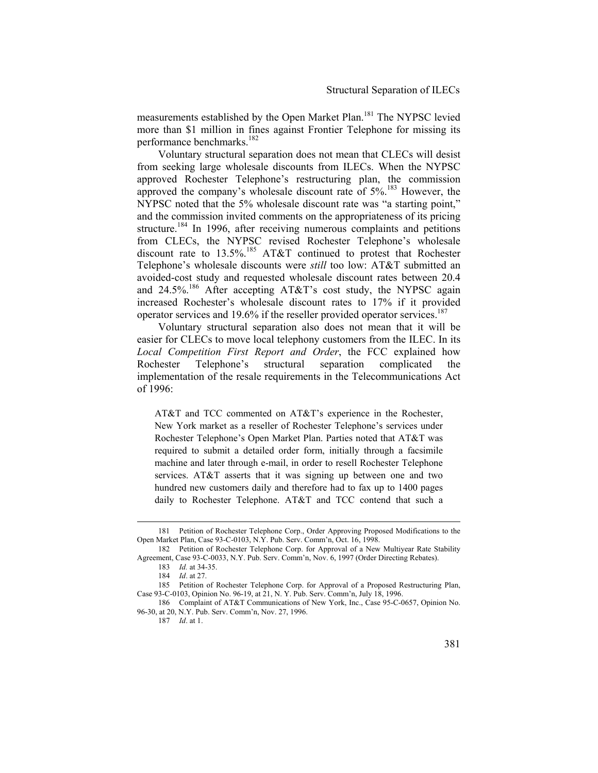measurements established by the Open Market Plan.<sup>181</sup> The NYPSC levied more than \$1 million in fines against Frontier Telephone for missing its performance benchmarks.<sup>182</sup>

Voluntary structural separation does not mean that CLECs will desist from seeking large wholesale discounts from ILECs. When the NYPSC approved Rochester Telephone's restructuring plan, the commission approved the company's wholesale discount rate of  $5\%$ <sup>183</sup> However, the NYPSC noted that the 5% wholesale discount rate was "a starting point," and the commission invited comments on the appropriateness of its pricing structure.<sup>184</sup> In 1996, after receiving numerous complaints and petitions from CLECs, the NYPSC revised Rochester Telephone's wholesale discount rate to  $13.5\%$ .<sup>185</sup> AT&T continued to protest that Rochester Telephone's wholesale discounts were *still* too low: AT&T submitted an avoided-cost study and requested wholesale discount rates between 20.4 and 24.5%.<sup>186</sup> After accepting AT&T's cost study, the NYPSC again increased Rochester's wholesale discount rates to 17% if it provided operator services and 19.6% if the reseller provided operator services.<sup>187</sup>

Voluntary structural separation also does not mean that it will be easier for CLECs to move local telephony customers from the ILEC. In its *Local Competition First Report and Order*, the FCC explained how Rochester Telephone's structural separation complicated the implementation of the resale requirements in the Telecommunications Act of 1996:

AT&T and TCC commented on AT&T's experience in the Rochester, New York market as a reseller of Rochester Telephone's services under Rochester Telephone's Open Market Plan. Parties noted that AT&T was required to submit a detailed order form, initially through a facsimile machine and later through e-mail, in order to resell Rochester Telephone services. AT&T asserts that it was signing up between one and two hundred new customers daily and therefore had to fax up to 1400 pages daily to Rochester Telephone. AT&T and TCC contend that such a

 <sup>181</sup> Petition of Rochester Telephone Corp., Order Approving Proposed Modifications to the Open Market Plan, Case 93-C-0103, N.Y. Pub. Serv. Comm'n, Oct. 16, 1998.

<sup>182</sup> Petition of Rochester Telephone Corp. for Approval of a New Multiyear Rate Stability Agreement, Case 93-C-0033, N.Y. Pub. Serv. Comm'n, Nov. 6, 1997 (Order Directing Rebates).

<sup>183</sup> *Id.* at 34-35.

<sup>184</sup> *Id*. at 27.

<sup>185</sup> Petition of Rochester Telephone Corp. for Approval of a Proposed Restructuring Plan, Case 93-C-0103, Opinion No. 96-19, at 21, N. Y. Pub. Serv. Comm'n, July 18, 1996.

<sup>186</sup> Complaint of AT&T Communications of New York, Inc., Case 95-C-0657, Opinion No. 96-30, at 20, N.Y. Pub. Serv. Comm'n, Nov. 27, 1996.

<sup>187</sup> *Id*. at 1.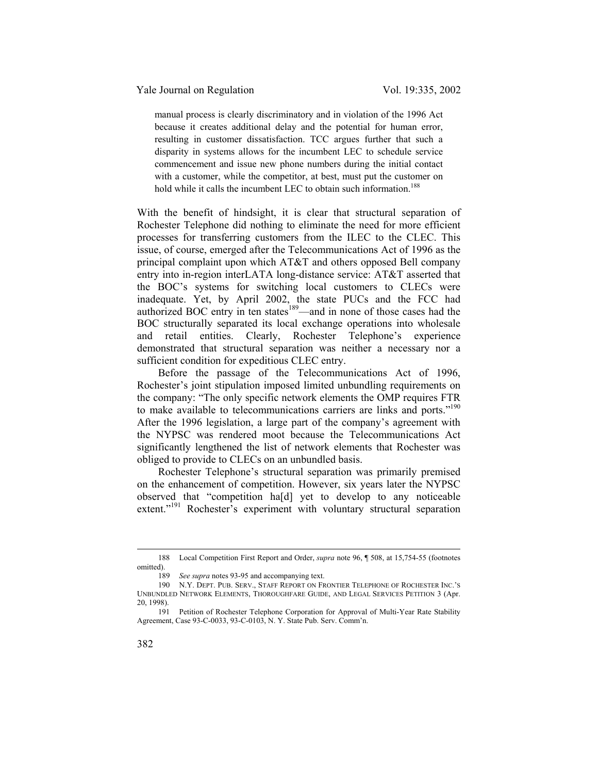manual process is clearly discriminatory and in violation of the 1996 Act because it creates additional delay and the potential for human error, resulting in customer dissatisfaction. TCC argues further that such a disparity in systems allows for the incumbent LEC to schedule service commencement and issue new phone numbers during the initial contact with a customer, while the competitor, at best, must put the customer on hold while it calls the incumbent LEC to obtain such information.<sup>188</sup>

With the benefit of hindsight, it is clear that structural separation of Rochester Telephone did nothing to eliminate the need for more efficient processes for transferring customers from the ILEC to the CLEC. This issue, of course, emerged after the Telecommunications Act of 1996 as the principal complaint upon which AT&T and others opposed Bell company entry into in-region interLATA long-distance service: AT&T asserted that the BOC's systems for switching local customers to CLECs were inadequate. Yet, by April 2002, the state PUCs and the FCC had authorized BOC entry in ten states<sup>189</sup>—and in none of those cases had the BOC structurally separated its local exchange operations into wholesale and retail entities. Clearly, Rochester Telephone's experience demonstrated that structural separation was neither a necessary nor a sufficient condition for expeditious CLEC entry.

Before the passage of the Telecommunications Act of 1996, Rochester's joint stipulation imposed limited unbundling requirements on the company: "The only specific network elements the OMP requires FTR to make available to telecommunications carriers are links and ports."<sup>190</sup> After the 1996 legislation, a large part of the company's agreement with the NYPSC was rendered moot because the Telecommunications Act significantly lengthened the list of network elements that Rochester was obliged to provide to CLECs on an unbundled basis.

Rochester Telephone's structural separation was primarily premised on the enhancement of competition. However, six years later the NYPSC observed that "competition ha[d] yet to develop to any noticeable extent."<sup>191</sup> Rochester's experiment with voluntary structural separation

 <sup>188</sup> Local Competition First Report and Order, *supra* note 96, ¶ 508, at 15,754-55 (footnotes omitted).<br>189

See supra notes 93-95 and accompanying text.

<sup>190</sup> N.Y. DEPT. PUB. SERV., STAFF REPORT ON FRONTIER TELEPHONE OF ROCHESTER INC.'S UNBUNDLED NETWORK ELEMENTS, THOROUGHFARE GUIDE, AND LEGAL SERVICES PETITION 3 (Apr. 20, 1998).

<sup>191</sup> Petition of Rochester Telephone Corporation for Approval of Multi-Year Rate Stability Agreement, Case 93-C-0033, 93-C-0103, N. Y. State Pub. Serv. Comm'n.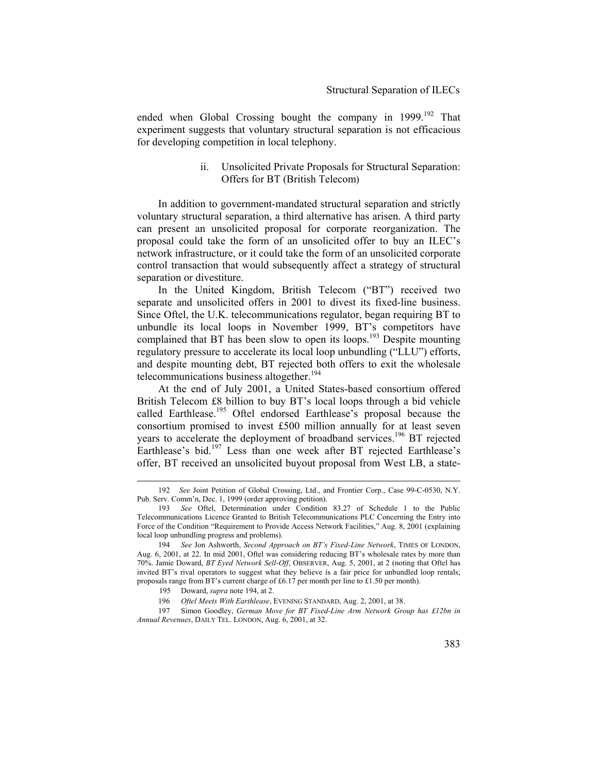ended when Global Crossing bought the company in  $1999$ <sup>192</sup> That experiment suggests that voluntary structural separation is not efficacious for developing competition in local telephony.

> ii. Unsolicited Private Proposals for Structural Separation: Offers for BT (British Telecom)

In addition to government-mandated structural separation and strictly voluntary structural separation, a third alternative has arisen. A third party can present an unsolicited proposal for corporate reorganization. The proposal could take the form of an unsolicited offer to buy an ILEC's network infrastructure, or it could take the form of an unsolicited corporate control transaction that would subsequently affect a strategy of structural separation or divestiture.

In the United Kingdom, British Telecom ("BT") received two separate and unsolicited offers in 2001 to divest its fixed-line business. Since Oftel, the U.K. telecommunications regulator, began requiring BT to unbundle its local loops in November 1999, BT's competitors have complained that BT has been slow to open its loops.<sup>193</sup> Despite mounting regulatory pressure to accelerate its local loop unbundling ("LLU") efforts, and despite mounting debt, BT rejected both offers to exit the wholesale telecommunications business altogether.<sup>194</sup>

At the end of July 2001, a United States-based consortium offered British Telecom £8 billion to buy BT's local loops through a bid vehicle called Earthlease.<sup>195</sup> Oftel endorsed Earthlease's proposal because the consortium promised to invest £500 million annually for at least seven years to accelerate the deployment of broadband services.<sup>196</sup> BT rejected Earthlease's bid.<sup>197</sup> Less than one week after BT rejected Earthlease's offer, BT received an unsolicited buyout proposal from West LB, a state-

 <sup>192</sup> *See* Joint Petition of Global Crossing, Ltd., and Frontier Corp., Case 99-C-0530, N.Y. Pub. Serv. Comm'n, Dec. 1, 1999 (order approving petition).

<sup>193</sup> *See* Oftel, Determination under Condition 83.27 of Schedule 1 to the Public Telecommunications Licence Granted to British Telecommunications PLC Concerning the Entry into Force of the Condition "Requirement to Provide Access Network Facilities," Aug. 8, 2001 (explaining local loop unbundling progress and problems).

<sup>194</sup> *See* Jon Ashworth, *Second Approach on BT's Fixed-Line Network*, TIMES OF LONDON, Aug. 6, 2001, at 22. In mid 2001, Oftel was considering reducing BT's wholesale rates by more than 70%. Jamie Doward, *BT Eyed Network Sell-Off*, OBSERVER, Aug. 5, 2001, at 2 (noting that Oftel has invited BT's rival operators to suggest what they believe is a fair price for unbundled loop rentals; proposals range from BT's current charge of £6.17 per month per line to £1.50 per month).

<sup>195</sup> Doward, *supra* note 194, at 2.

<sup>196</sup> *Oftel Meets With Earthlease*, EVENING STANDARD, Aug. 2, 2001, at 38.

<sup>197</sup> Simon Goodley, *German Move for BT Fixed-Line Arm Network Group has £12bn in Annual Revenues*, DAILY TEL. LONDON, Aug. 6, 2001, at 32.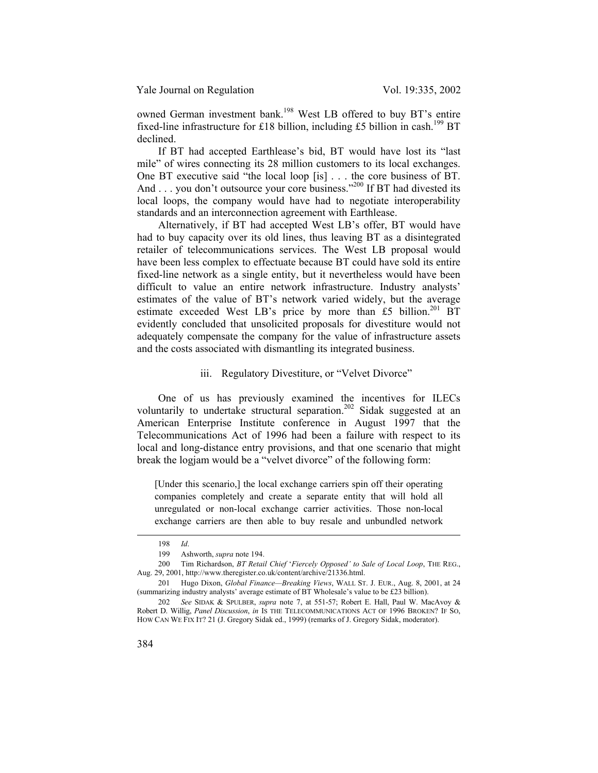owned German investment bank.<sup>198</sup> West LB offered to buy BT's entire fixed-line infrastructure for £18 billion, including £5 billion in cash.<sup>199</sup> BT declined.

If BT had accepted Earthlease's bid, BT would have lost its "last mile" of wires connecting its 28 million customers to its local exchanges. One BT executive said "the local loop [is] . . . the core business of BT. And . . . you don't outsource your core business."<sup>200</sup> If BT had divested its local loops, the company would have had to negotiate interoperability standards and an interconnection agreement with Earthlease.

Alternatively, if BT had accepted West LB's offer, BT would have had to buy capacity over its old lines, thus leaving BT as a disintegrated retailer of telecommunications services. The West LB proposal would have been less complex to effectuate because BT could have sold its entire fixed-line network as a single entity, but it nevertheless would have been difficult to value an entire network infrastructure. Industry analysts' estimates of the value of BT's network varied widely, but the average estimate exceeded West LB's price by more than £5 billion.<sup>201</sup> BT evidently concluded that unsolicited proposals for divestiture would not adequately compensate the company for the value of infrastructure assets and the costs associated with dismantling its integrated business.

#### iii. Regulatory Divestiture, or "Velvet Divorce"

One of us has previously examined the incentives for ILECs voluntarily to undertake structural separation.<sup>202</sup> Sidak suggested at an American Enterprise Institute conference in August 1997 that the Telecommunications Act of 1996 had been a failure with respect to its local and long-distance entry provisions, and that one scenario that might break the logjam would be a "velvet divorce" of the following form:

[Under this scenario,] the local exchange carriers spin off their operating companies completely and create a separate entity that will hold all unregulated or non-local exchange carrier activities. Those non-local exchange carriers are then able to buy resale and unbundled network

 <sup>198</sup> *Id*.

<sup>199</sup> Ashworth, *supra* note 194.

<sup>200</sup> Tim Richardson, *BT Retail Chief* '*Fiercely Opposed' to Sale of Local Loop*, THE REG., Aug. 29, 2001, http://www.theregister.co.uk/content/archive/21336.html.

<sup>201</sup> Hugo Dixon, *Global Finance—Breaking Views*, WALL ST. J. EUR., Aug. 8, 2001, at 24 (summarizing industry analysts' average estimate of BT Wholesale's value to be £23 billion).

<sup>202</sup> *See* SIDAK & SPULBER, *supra* note 7, at 551-57; Robert E. Hall, Paul W. MacAvoy & Robert D. Willig, *Panel Discussion*, *in* IS THE TELECOMMUNICATIONS ACT OF 1996 BROKEN? IF SO, HOW CAN WE FIX IT? 21 (J. Gregory Sidak ed., 1999) (remarks of J. Gregory Sidak, moderator).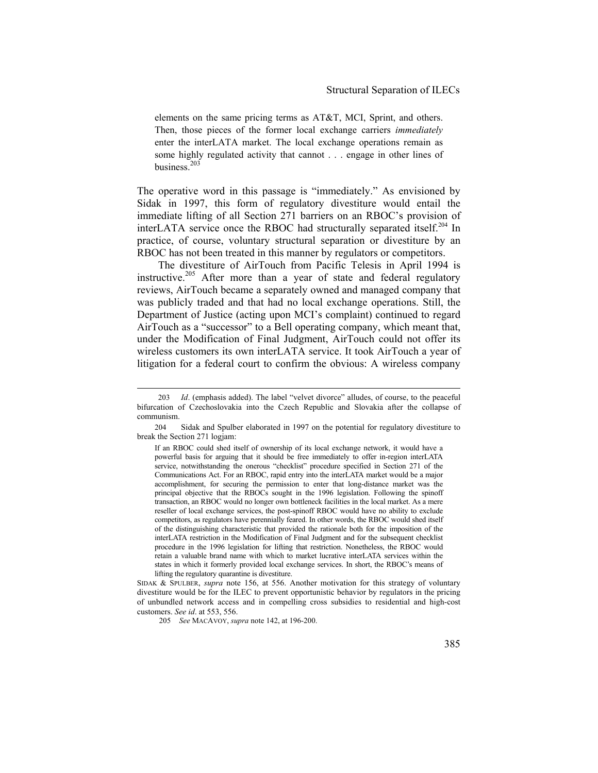elements on the same pricing terms as AT&T, MCI, Sprint, and others. Then, those pieces of the former local exchange carriers *immediately* enter the interLATA market. The local exchange operations remain as some highly regulated activity that cannot . . . engage in other lines of business.<sup>203</sup>

The operative word in this passage is "immediately." As envisioned by Sidak in 1997, this form of regulatory divestiture would entail the immediate lifting of all Section 271 barriers on an RBOC's provision of interLATA service once the RBOC had structurally separated itself.<sup>204</sup> In practice, of course, voluntary structural separation or divestiture by an RBOC has not been treated in this manner by regulators or competitors.

The divestiture of AirTouch from Pacific Telesis in April 1994 is instructive.<sup>205</sup> After more than a year of state and federal regulatory reviews, AirTouch became a separately owned and managed company that was publicly traded and that had no local exchange operations. Still, the Department of Justice (acting upon MCI's complaint) continued to regard AirTouch as a "successor" to a Bell operating company, which meant that, under the Modification of Final Judgment, AirTouch could not offer its wireless customers its own interLATA service. It took AirTouch a year of litigation for a federal court to confirm the obvious: A wireless company

 <sup>203</sup> *Id*. (emphasis added). The label "velvet divorce" alludes, of course, to the peaceful bifurcation of Czechoslovakia into the Czech Republic and Slovakia after the collapse of communism.

<sup>204</sup> Sidak and Spulber elaborated in 1997 on the potential for regulatory divestiture to break the Section 271 logjam:

If an RBOC could shed itself of ownership of its local exchange network, it would have a powerful basis for arguing that it should be free immediately to offer in-region interLATA service, notwithstanding the onerous "checklist" procedure specified in Section 271 of the Communications Act. For an RBOC, rapid entry into the interLATA market would be a major accomplishment, for securing the permission to enter that long-distance market was the principal objective that the RBOCs sought in the 1996 legislation. Following the spinoff transaction, an RBOC would no longer own bottleneck facilities in the local market. As a mere reseller of local exchange services, the post-spinoff RBOC would have no ability to exclude competitors, as regulators have perennially feared. In other words, the RBOC would shed itself of the distinguishing characteristic that provided the rationale both for the imposition of the interLATA restriction in the Modification of Final Judgment and for the subsequent checklist procedure in the 1996 legislation for lifting that restriction. Nonetheless, the RBOC would retain a valuable brand name with which to market lucrative interLATA services within the states in which it formerly provided local exchange services. In short, the RBOC's means of lifting the regulatory quarantine is divestiture.

SIDAK & SPULBER, *supra* note 156, at 556. Another motivation for this strategy of voluntary divestiture would be for the ILEC to prevent opportunistic behavior by regulators in the pricing of unbundled network access and in compelling cross subsidies to residential and high-cost customers. *See id*. at 553, 556.

<sup>205</sup> *See* MACAVOY, *supra* note 142, at 196-200.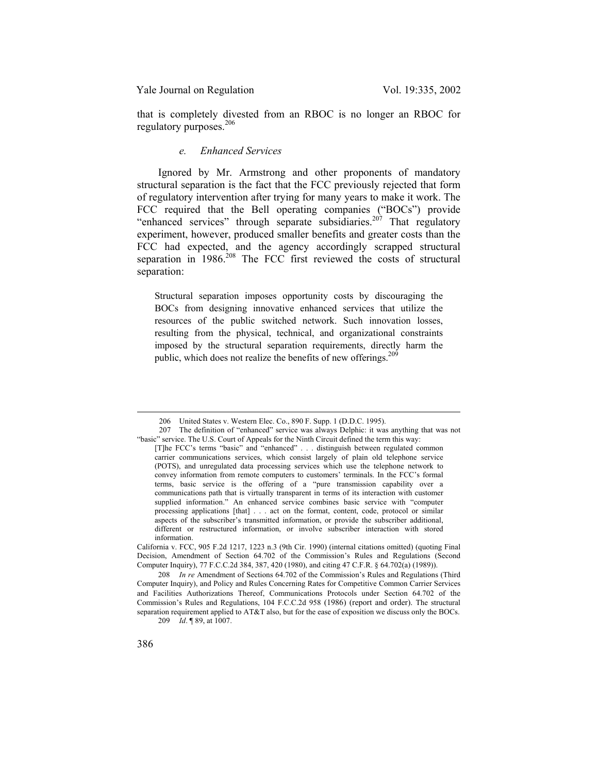that is completely divested from an RBOC is no longer an RBOC for regulatory purposes.<sup>206</sup>

## *e. Enhanced Services*

Ignored by Mr. Armstrong and other proponents of mandatory structural separation is the fact that the FCC previously rejected that form of regulatory intervention after trying for many years to make it work. The FCC required that the Bell operating companies ("BOCs") provide "enhanced services" through separate subsidiaries.<sup>207</sup> That regulatory experiment, however, produced smaller benefits and greater costs than the FCC had expected, and the agency accordingly scrapped structural separation in 1986.<sup>208</sup> The FCC first reviewed the costs of structural separation:

Structural separation imposes opportunity costs by discouraging the BOCs from designing innovative enhanced services that utilize the resources of the public switched network. Such innovation losses, resulting from the physical, technical, and organizational constraints imposed by the structural separation requirements, directly harm the public, which does not realize the benefits of new offerings.<sup>209</sup>

209 *Id*. ¶ 89, at 1007.

 <sup>206</sup> United States v. Western Elec. Co., 890 F. Supp. 1 (D.D.C. 1995).

<sup>207</sup> The definition of "enhanced" service was always Delphic: it was anything that was not "basic" service. The U.S. Court of Appeals for the Ninth Circuit defined the term this way:

<sup>[</sup>T]he FCC's terms "basic" and "enhanced" . . . distinguish between regulated common carrier communications services, which consist largely of plain old telephone service (POTS), and unregulated data processing services which use the telephone network to convey information from remote computers to customers' terminals. In the FCC's formal terms, basic service is the offering of a "pure transmission capability over a communications path that is virtually transparent in terms of its interaction with customer supplied information." An enhanced service combines basic service with "computer processing applications [that] . . . act on the format, content, code, protocol or similar aspects of the subscriber's transmitted information, or provide the subscriber additional, different or restructured information, or involve subscriber interaction with stored information.

California v. FCC, 905 F.2d 1217, 1223 n.3 (9th Cir. 1990) (internal citations omitted) (quoting Final Decision, Amendment of Section 64.702 of the Commission's Rules and Regulations (Second Computer Inquiry), 77 F.C.C.2d 384, 387, 420 (1980), and citing 47 C.F.R. § 64.702(a) (1989)).

<sup>208</sup> *In re* Amendment of Sections 64.702 of the Commission's Rules and Regulations (Third Computer Inquiry), and Policy and Rules Concerning Rates for Competitive Common Carrier Services and Facilities Authorizations Thereof, Communications Protocols under Section 64.702 of the Commission's Rules and Regulations, 104 F.C.C.2d 958 (1986) (report and order). The structural separation requirement applied to AT&T also, but for the ease of exposition we discuss only the BOCs.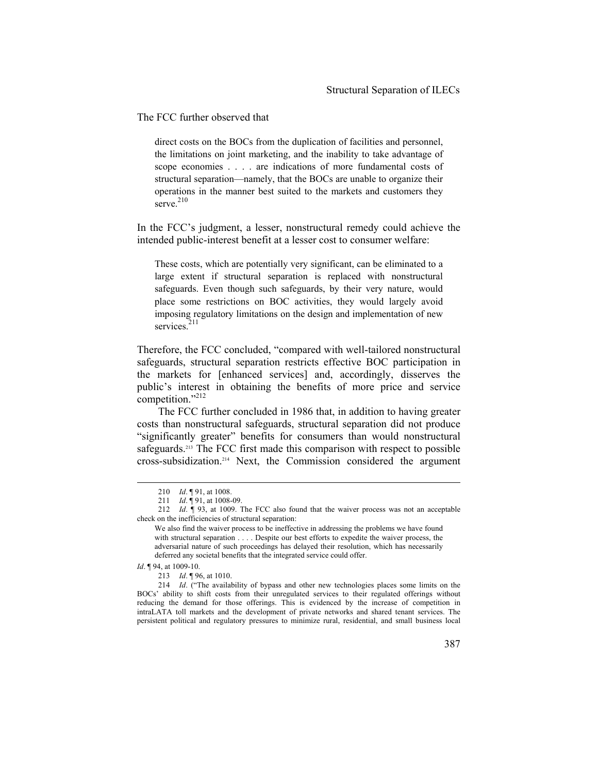The FCC further observed that

direct costs on the BOCs from the duplication of facilities and personnel, the limitations on joint marketing, and the inability to take advantage of scope economies . . . . are indications of more fundamental costs of structural separation—namely, that the BOCs are unable to organize their operations in the manner best suited to the markets and customers they serve. 210

In the FCC's judgment, a lesser, nonstructural remedy could achieve the intended public-interest benefit at a lesser cost to consumer welfare:

These costs, which are potentially very significant, can be eliminated to a large extent if structural separation is replaced with nonstructural safeguards. Even though such safeguards, by their very nature, would place some restrictions on BOC activities, they would largely avoid imposing regulatory limitations on the design and implementation of new services. $211$ 

Therefore, the FCC concluded, "compared with well-tailored nonstructural safeguards, structural separation restricts effective BOC participation in the markets for [enhanced services] and, accordingly, disserves the public's interest in obtaining the benefits of more price and service competition." $^{212}$ 

The FCC further concluded in 1986 that, in addition to having greater costs than nonstructural safeguards, structural separation did not produce "significantly greater" benefits for consumers than would nonstructural safeguards.<sup>213</sup> The FCC first made this comparison with respect to possible cross-subsidization.214 Next, the Commission considered the argument

 <sup>210</sup> *Id*. ¶ 91, at 1008.

<sup>211</sup> *Id*. ¶ 91, at 1008-09.

<sup>212</sup> *Id*. ¶ 93, at 1009. The FCC also found that the waiver process was not an acceptable check on the inefficiencies of structural separation:

We also find the waiver process to be ineffective in addressing the problems we have found with structural separation . . . . Despite our best efforts to expedite the waiver process, the adversarial nature of such proceedings has delayed their resolution, which has necessarily deferred any societal benefits that the integrated service could offer.

*Id*. ¶ 94, at 1009-10.

<sup>213</sup> *Id*. ¶ 96, at 1010.

<sup>214</sup> *Id*. ("The availability of bypass and other new technologies places some limits on the BOCs' ability to shift costs from their unregulated services to their regulated offerings without reducing the demand for those offerings. This is evidenced by the increase of competition in intraLATA toll markets and the development of private networks and shared tenant services. The persistent political and regulatory pressures to minimize rural, residential, and small business local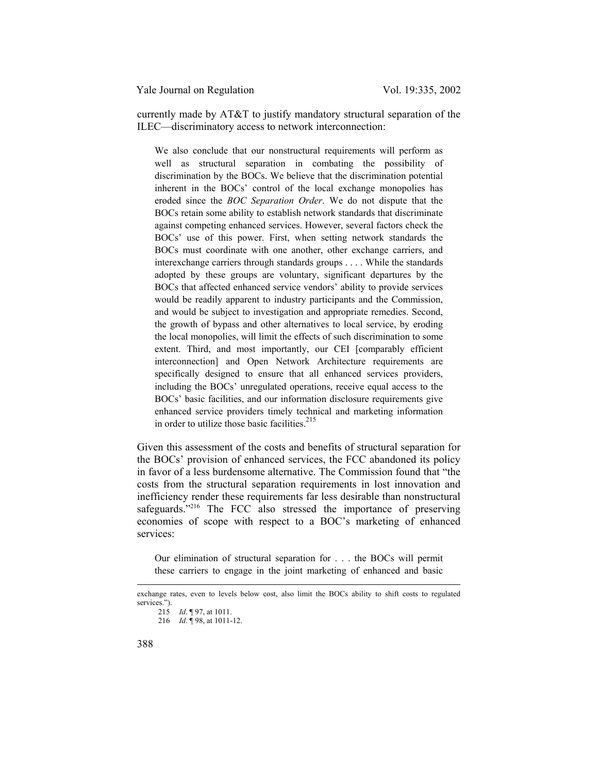currently made by AT&T to justify mandatory structural separation of the ILEC—discriminatory access to network interconnection:

We also conclude that our nonstructural requirements will perform as well as structural separation in combating the possibility of discrimination by the BOCs. We believe that the discrimination potential inherent in the BOCs' control of the local exchange monopolies has eroded since the *BOC Separation Order*. We do not dispute that the BOCs retain some ability to establish network standards that discriminate against competing enhanced services. However, several factors check the BOCs' use of this power. First, when setting network standards the BOCs must coordinate with one another, other exchange carriers, and interexchange carriers through standards groups . . . . While the standards adopted by these groups are voluntary, significant departures by the BOCs that affected enhanced service vendors' ability to provide services would be readily apparent to industry participants and the Commission, and would be subject to investigation and appropriate remedies. Second, the growth of bypass and other alternatives to local service, by eroding the local monopolies, will limit the effects of such discrimination to some extent. Third, and most importantly, our CEI [comparably efficient interconnection] and Open Network Architecture requirements are specifically designed to ensure that all enhanced services providers, including the BOCs' unregulated operations, receive equal access to the BOCs' basic facilities, and our information disclosure requirements give enhanced service providers timely technical and marketing information in order to utilize those basic facilities.<sup>215</sup>

Given this assessment of the costs and benefits of structural separation for the BOCs' provision of enhanced services, the FCC abandoned its policy in favor of a less burdensome alternative. The Commission found that "the costs from the structural separation requirements in lost innovation and inefficiency render these requirements far less desirable than nonstructural safeguards."<sup>216</sup> The FCC also stressed the importance of preserving economies of scope with respect to a BOC's marketing of enhanced services:

Our elimination of structural separation for . . . the BOCs will permit these carriers to engage in the joint marketing of enhanced and basic

 $\overline{a}$ 

exchange rates, even to levels below cost, also limit the BOCs ability to shift costs to regulated services."). 215 *Id*. ¶ 97, at 1011.

<sup>216</sup> *Id*. ¶ 98, at 1011-12.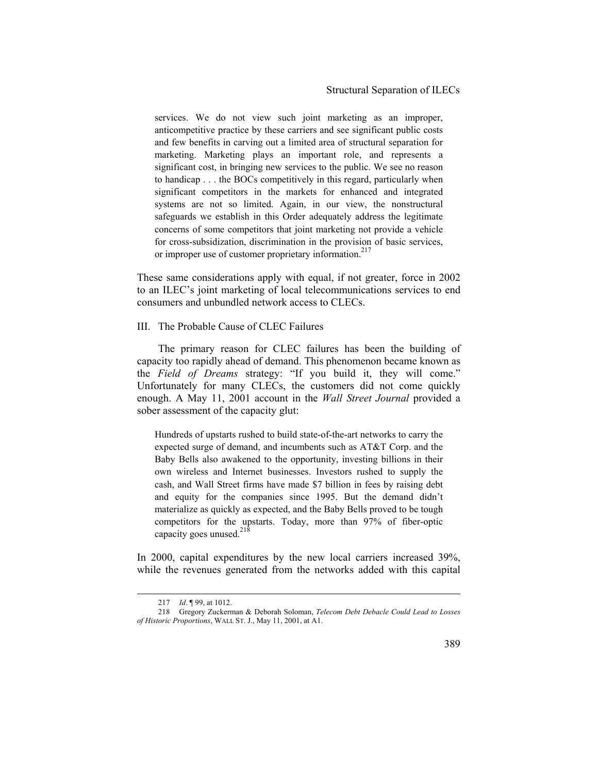## Structural Separation of ILECs

services. We do not view such joint marketing as an improper, anticompetitive practice by these carriers and see significant public costs and few benefits in carving out a limited area of structural separation for marketing. Marketing plays an important role, and represents a significant cost, in bringing new services to the public. We see no reason to handicap . . . the BOCs competitively in this regard, particularly when significant competitors in the markets for enhanced and integrated systems are not so limited. Again, in our view, the nonstructural safeguards we establish in this Order adequately address the legitimate concerns of some competitors that joint marketing not provide a vehicle for cross-subsidization, discrimination in the provision of basic services, or improper use of customer proprietary information.<sup>217</sup>

These same considerations apply with equal, if not greater, force in 2002 to an ILEC's joint marketing of local telecommunications services to end consumers and unbundled network access to CLECs.

## III. The Probable Cause of CLEC Failures

The primary reason for CLEC failures has been the building of capacity too rapidly ahead of demand. This phenomenon became known as the *Field of Dreams* strategy: "If you build it, they will come." Unfortunately for many CLECs, the customers did not come quickly enough. A May 11, 2001 account in the *Wall Street Journal* provided a sober assessment of the capacity glut:

Hundreds of upstarts rushed to build state-of-the-art networks to carry the expected surge of demand, and incumbents such as AT&T Corp. and the Baby Bells also awakened to the opportunity, investing billions in their own wireless and Internet businesses. Investors rushed to supply the cash, and Wall Street firms have made \$7 billion in fees by raising debt and equity for the companies since 1995. But the demand didn't materialize as quickly as expected, and the Baby Bells proved to be tough competitors for the upstarts. Today, more than 97% of fiber-optic capacity goes unused. $^{218}$ 

In 2000, capital expenditures by the new local carriers increased 39%, while the revenues generated from the networks added with this capital

 <sup>217</sup> *Id*. ¶ 99, at 1012.

<sup>218</sup> Gregory Zuckerman & Deborah Soloman, *Telecom Debt Debacle Could Lead to Losses of Historic Proportions*, WALL ST. J., May 11, 2001, at A1.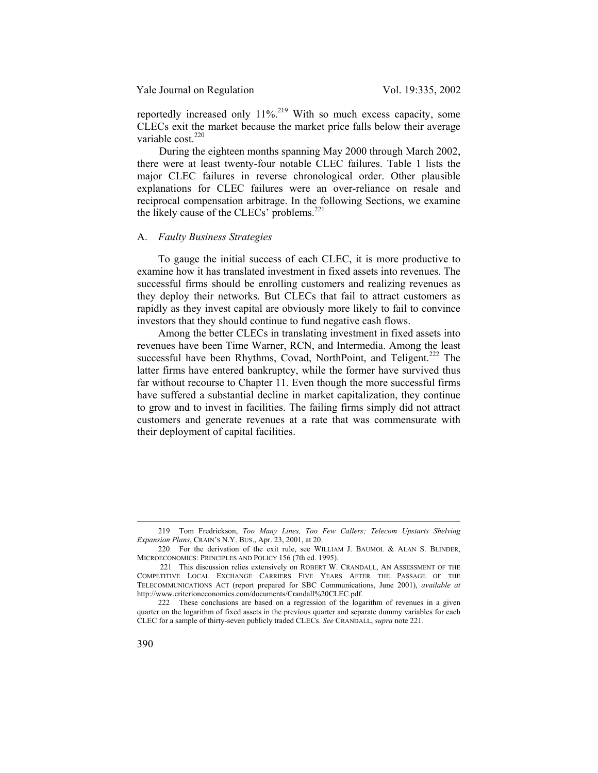reportedly increased only  $11\%$ <sup>219</sup> With so much excess capacity, some CLECs exit the market because the market price falls below their average variable cost.<sup>220</sup>

During the eighteen months spanning May 2000 through March 2002, there were at least twenty-four notable CLEC failures. Table 1 lists the major CLEC failures in reverse chronological order. Other plausible explanations for CLEC failures were an over-reliance on resale and reciprocal compensation arbitrage. In the following Sections, we examine the likely cause of the CLECs' problems.<sup>221</sup>

#### A. *Faulty Business Strategies*

To gauge the initial success of each CLEC, it is more productive to examine how it has translated investment in fixed assets into revenues. The successful firms should be enrolling customers and realizing revenues as they deploy their networks. But CLECs that fail to attract customers as rapidly as they invest capital are obviously more likely to fail to convince investors that they should continue to fund negative cash flows.

Among the better CLECs in translating investment in fixed assets into revenues have been Time Warner, RCN, and Intermedia. Among the least successful have been Rhythms, Covad, NorthPoint, and Teligent.<sup>222</sup> The latter firms have entered bankruptcy, while the former have survived thus far without recourse to Chapter 11. Even though the more successful firms have suffered a substantial decline in market capitalization, they continue to grow and to invest in facilities. The failing firms simply did not attract customers and generate revenues at a rate that was commensurate with their deployment of capital facilities.

 <sup>219</sup> Tom Fredrickson, *Too Many Lines, Too Few Callers; Telecom Upstarts Shelving Expansion Plans*, CRAIN'S N.Y. BUS., Apr. 23, 2001, at 20.

<sup>220</sup> For the derivation of the exit rule, see WILLIAM J. BAUMOL & ALAN S. BLINDER, MICROECONOMICS: PRINCIPLES AND POLICY 156 (7th ed. 1995).

 <sup>221</sup> This discussion relies extensively on ROBERT W. CRANDALL, AN ASSESSMENT OF THE COMPETITIVE LOCAL EXCHANGE CARRIERS FIVE YEARS AFTER THE PASSAGE OF THE TELECOMMUNICATIONS ACT (report prepared for SBC Communications, June 2001), *available at* http://www.criterioneconomics.com/documents/Crandall%20CLEC.pdf.

<sup>222</sup> These conclusions are based on a regression of the logarithm of revenues in a given quarter on the logarithm of fixed assets in the previous quarter and separate dummy variables for each CLEC for a sample of thirty-seven publicly traded CLECs. *See* CRANDALL, *supra* note 221.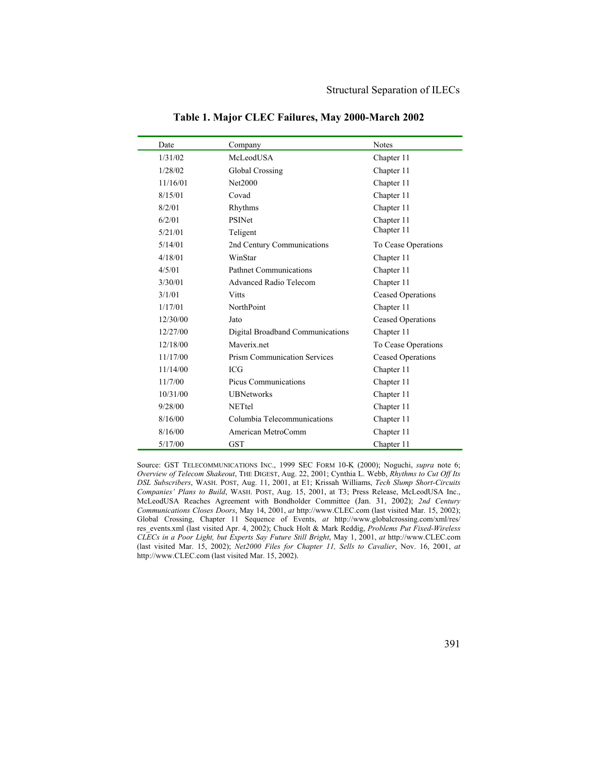| Date     | Company                             | <b>Notes</b>             |
|----------|-------------------------------------|--------------------------|
| 1/31/02  | McLeodUSA                           | Chapter 11               |
| 1/28/02  | Global Crossing                     | Chapter 11               |
| 11/16/01 | Net2000                             | Chapter 11               |
| 8/15/01  | Covad                               | Chapter 11               |
| 8/2/01   | Rhythms                             | Chapter 11               |
| 6/2/01   | <b>PSINet</b>                       | Chapter 11               |
| 5/21/01  | Teligent                            | Chapter 11               |
| 5/14/01  | 2nd Century Communications          | To Cease Operations      |
| 4/18/01  | WinStar                             | Chapter 11               |
| 4/5/01   | <b>Pathnet Communications</b>       | Chapter 11               |
| 3/30/01  | Advanced Radio Telecom              | Chapter 11               |
| 3/1/01   | <b>Vitts</b>                        | <b>Ceased Operations</b> |
| 1/17/01  | NorthPoint                          | Chapter 11               |
| 12/30/00 | Jato                                | <b>Ceased Operations</b> |
| 12/27/00 | Digital Broadband Communications    | Chapter 11               |
| 12/18/00 | Maverix net                         | To Cease Operations      |
| 11/17/00 | <b>Prism Communication Services</b> | <b>Ceased Operations</b> |
| 11/14/00 | <b>ICG</b>                          | Chapter 11               |
| 11/7/00  | <b>Picus Communications</b>         | Chapter 11               |
| 10/31/00 | <b>UBNetworks</b>                   | Chapter 11               |
| 9/28/00  | <b>NETtel</b>                       | Chapter 11               |
| 8/16/00  | Columbia Telecommunications         | Chapter 11               |
| 8/16/00  | American MetroComm                  | Chapter 11               |
| 5/17/00  | <b>GST</b>                          | Chapter 11               |

**Table 1. Major CLEC Failures, May 2000-March 2002** 

Source: GST TELECOMMUNICATIONS INC., 1999 SEC FORM 10-K (2000); Noguchi, *supra* note 6; *Overview of Telecom Shakeout*, THE DIGEST, Aug. 22, 2001; Cynthia L. Webb, *Rhythms to Cut Off Its DSL Subscribers*, WASH. POST, Aug. 11, 2001, at E1; Krissah Williams, *Tech Slump Short-Circuits Companies' Plans to Build*, WASH. POST, Aug. 15, 2001, at T3; Press Release, McLeodUSA Inc., McLeodUSA Reaches Agreement with Bondholder Committee (Jan. 31, 2002); *2nd Century Communications Closes Doors*, May 14, 2001, *at* http://www.CLEC.com (last visited Mar. 15, 2002); Global Crossing, Chapter 11 Sequence of Events, *at* http://www.globalcrossing.com/xml/res/ res\_events.xml (last visited Apr. 4, 2002); Chuck Holt & Mark Reddig, *Problems Put Fixed-Wireless CLECs in a Poor Light, but Experts Say Future Still Bright*, May 1, 2001, *at* http://www.CLEC.com (last visited Mar. 15, 2002); *Net2000 Files for Chapter 11, Sells to Cavalier*, Nov. 16, 2001, *at* http://www.CLEC.com (last visited Mar. 15, 2002).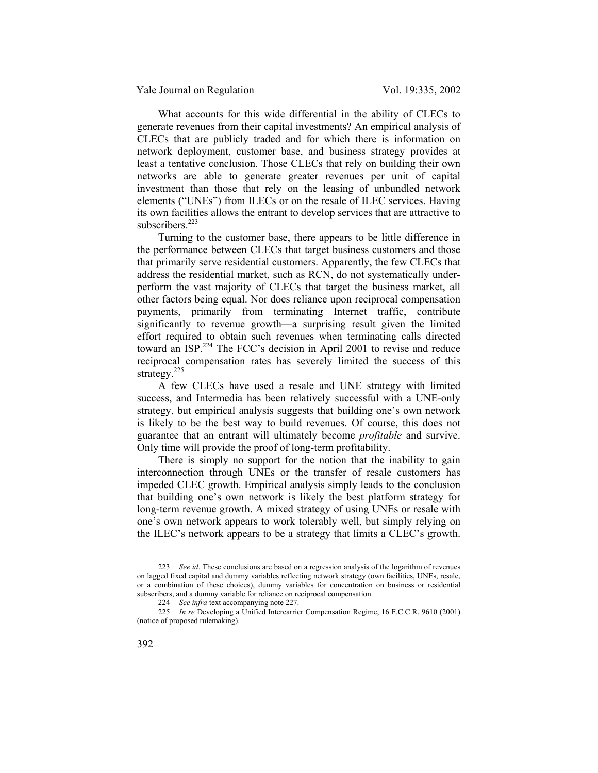What accounts for this wide differential in the ability of CLECs to generate revenues from their capital investments? An empirical analysis of CLECs that are publicly traded and for which there is information on network deployment, customer base, and business strategy provides at least a tentative conclusion. Those CLECs that rely on building their own networks are able to generate greater revenues per unit of capital investment than those that rely on the leasing of unbundled network elements ("UNEs") from ILECs or on the resale of ILEC services. Having its own facilities allows the entrant to develop services that are attractive to subscribers.<sup>223</sup>

Turning to the customer base, there appears to be little difference in the performance between CLECs that target business customers and those that primarily serve residential customers. Apparently, the few CLECs that address the residential market, such as RCN, do not systematically underperform the vast majority of CLECs that target the business market, all other factors being equal. Nor does reliance upon reciprocal compensation payments, primarily from terminating Internet traffic, contribute significantly to revenue growth—a surprising result given the limited effort required to obtain such revenues when terminating calls directed toward an ISP.<sup>224</sup> The FCC's decision in April 2001 to revise and reduce reciprocal compensation rates has severely limited the success of this strategy.<sup>225</sup>

A few CLECs have used a resale and UNE strategy with limited success, and Intermedia has been relatively successful with a UNE-only strategy, but empirical analysis suggests that building one's own network is likely to be the best way to build revenues. Of course, this does not guarantee that an entrant will ultimately become *profitable* and survive. Only time will provide the proof of long-term profitability.

There is simply no support for the notion that the inability to gain interconnection through UNEs or the transfer of resale customers has impeded CLEC growth. Empirical analysis simply leads to the conclusion that building one's own network is likely the best platform strategy for long-term revenue growth. A mixed strategy of using UNEs or resale with one's own network appears to work tolerably well, but simply relying on the ILEC's network appears to be a strategy that limits a CLEC's growth.

 <sup>223</sup> *See id*. These conclusions are based on a regression analysis of the logarithm of revenues on lagged fixed capital and dummy variables reflecting network strategy (own facilities, UNEs, resale, or a combination of these choices), dummy variables for concentration on business or residential subscribers, and a dummy variable for reliance on reciprocal compensation.

<sup>224</sup> *See infra* text accompanying note 227.

<sup>225</sup> *In re* Developing a Unified Intercarrier Compensation Regime, 16 F.C.C.R. 9610 (2001) (notice of proposed rulemaking).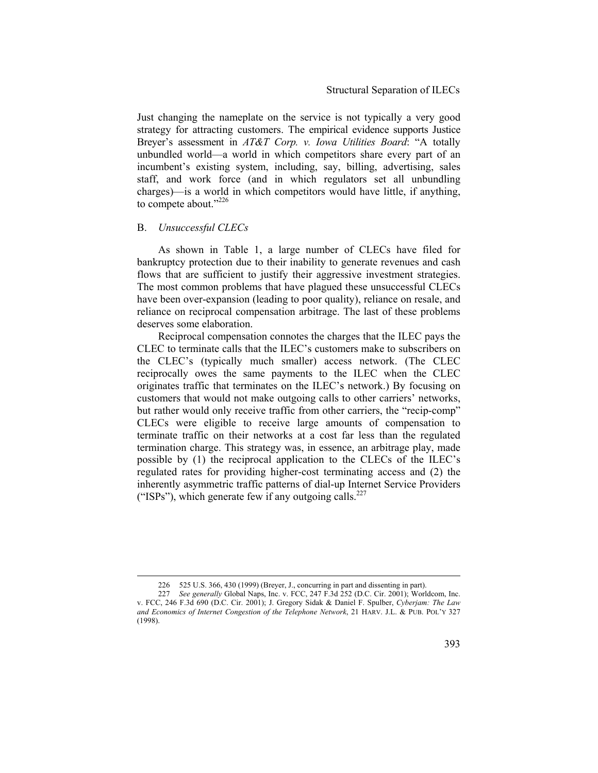Just changing the nameplate on the service is not typically a very good strategy for attracting customers. The empirical evidence supports Justice Breyer's assessment in *AT&T Corp. v. Iowa Utilities Board*: "A totally unbundled world—a world in which competitors share every part of an incumbent's existing system, including, say, billing, advertising, sales staff, and work force (and in which regulators set all unbundling charges)—is a world in which competitors would have little, if anything, to compete about."<sup>226</sup>

#### B. *Unsuccessful CLECs*

As shown in Table 1, a large number of CLECs have filed for bankruptcy protection due to their inability to generate revenues and cash flows that are sufficient to justify their aggressive investment strategies. The most common problems that have plagued these unsuccessful CLECs have been over-expansion (leading to poor quality), reliance on resale, and reliance on reciprocal compensation arbitrage. The last of these problems deserves some elaboration.

Reciprocal compensation connotes the charges that the ILEC pays the CLEC to terminate calls that the ILEC's customers make to subscribers on the CLEC's (typically much smaller) access network. (The CLEC reciprocally owes the same payments to the ILEC when the CLEC originates traffic that terminates on the ILEC's network.) By focusing on customers that would not make outgoing calls to other carriers' networks, but rather would only receive traffic from other carriers, the "recip-comp" CLECs were eligible to receive large amounts of compensation to terminate traffic on their networks at a cost far less than the regulated termination charge. This strategy was, in essence, an arbitrage play, made possible by (1) the reciprocal application to the CLECs of the ILEC's regulated rates for providing higher-cost terminating access and (2) the inherently asymmetric traffic patterns of dial-up Internet Service Providers ("ISPs"), which generate few if any outgoing calls.<sup>227</sup>

 <sup>226 525</sup> U.S. 366, 430 (1999) (Breyer, J., concurring in part and dissenting in part).

<sup>227</sup> *See generally* Global Naps, Inc. v. FCC, 247 F.3d 252 (D.C. Cir. 2001); Worldcom, Inc. v. FCC, 246 F.3d 690 (D.C. Cir. 2001); J. Gregory Sidak & Daniel F. Spulber, *Cyberjam: The Law and Economics of Internet Congestion of the Telephone Network*, 21 HARV. J.L. & PUB. POL'Y 327 (1998).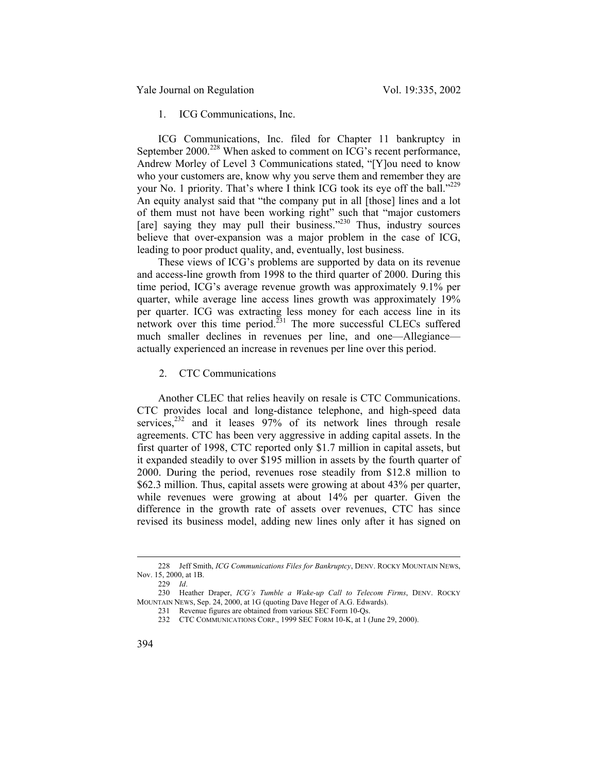1. ICG Communications, Inc.

ICG Communications, Inc. filed for Chapter 11 bankruptcy in September 2000.<sup>228</sup> When asked to comment on ICG's recent performance, Andrew Morley of Level 3 Communications stated, "[Y]ou need to know who your customers are, know why you serve them and remember they are your No. 1 priority. That's where I think ICG took its eye off the ball."<sup>229</sup> An equity analyst said that "the company put in all [those] lines and a lot of them must not have been working right" such that "major customers [are] saying they may pull their business."<sup>230</sup> Thus, industry sources believe that over-expansion was a major problem in the case of ICG, leading to poor product quality, and, eventually, lost business.

These views of ICG's problems are supported by data on its revenue and access-line growth from 1998 to the third quarter of 2000. During this time period, ICG's average revenue growth was approximately 9.1% per quarter, while average line access lines growth was approximately 19% per quarter. ICG was extracting less money for each access line in its network over this time period. $231$  The more successful CLECs suffered much smaller declines in revenues per line, and one—Allegiance actually experienced an increase in revenues per line over this period.

2. CTC Communications

Another CLEC that relies heavily on resale is CTC Communications. CTC provides local and long-distance telephone, and high-speed data services,<sup>232</sup> and it leases 97% of its network lines through resale agreements. CTC has been very aggressive in adding capital assets. In the first quarter of 1998, CTC reported only \$1.7 million in capital assets, but it expanded steadily to over \$195 million in assets by the fourth quarter of 2000. During the period, revenues rose steadily from \$12.8 million to \$62.3 million. Thus, capital assets were growing at about 43% per quarter, while revenues were growing at about 14% per quarter. Given the difference in the growth rate of assets over revenues, CTC has since revised its business model, adding new lines only after it has signed on

 <sup>228</sup> Jeff Smith, *ICG Communications Files for Bankruptcy*, DENV. ROCKY MOUNTAIN NEWS, Nov. 15, 2000, at 1B.

<sup>229</sup> *Id*.

<sup>230</sup> Heather Draper, *ICG's Tumble a Wake-up Call to Telecom Firms*, DENV. ROCKY MOUNTAIN NEWS, Sep. 24, 2000, at 1G (quoting Dave Heger of A.G. Edwards).

<sup>231</sup> Revenue figures are obtained from various SEC Form 10-Qs.

<sup>232</sup> CTC COMMUNICATIONS CORP., 1999 SEC FORM 10-K, at 1 (June 29, 2000).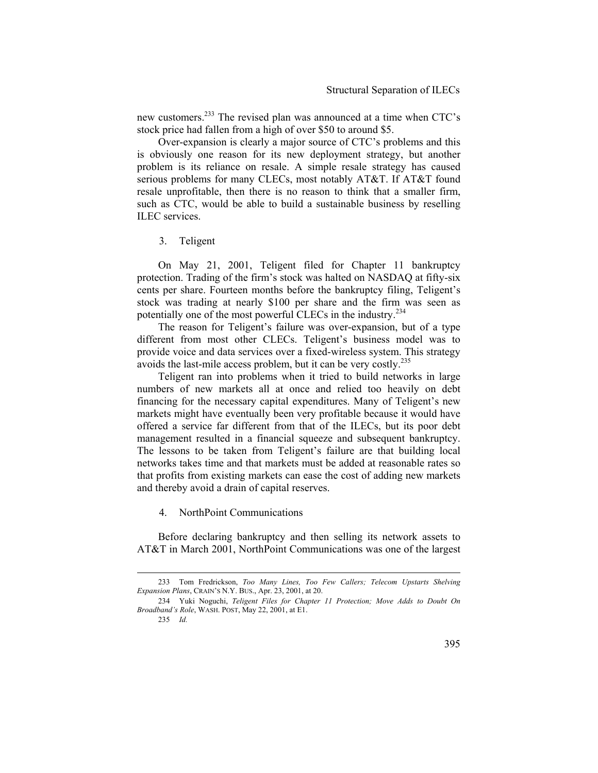new customers.233 The revised plan was announced at a time when CTC's stock price had fallen from a high of over \$50 to around \$5.

Over-expansion is clearly a major source of CTC's problems and this is obviously one reason for its new deployment strategy, but another problem is its reliance on resale. A simple resale strategy has caused serious problems for many CLECs, most notably AT&T. If AT&T found resale unprofitable, then there is no reason to think that a smaller firm, such as CTC, would be able to build a sustainable business by reselling ILEC services.

#### 3. Teligent

On May 21, 2001, Teligent filed for Chapter 11 bankruptcy protection. Trading of the firm's stock was halted on NASDAQ at fifty-six cents per share. Fourteen months before the bankruptcy filing, Teligent's stock was trading at nearly \$100 per share and the firm was seen as potentially one of the most powerful CLECs in the industry.234

The reason for Teligent's failure was over-expansion, but of a type different from most other CLECs. Teligent's business model was to provide voice and data services over a fixed-wireless system. This strategy avoids the last-mile access problem, but it can be very costly.<sup>235</sup>

Teligent ran into problems when it tried to build networks in large numbers of new markets all at once and relied too heavily on debt financing for the necessary capital expenditures. Many of Teligent's new markets might have eventually been very profitable because it would have offered a service far different from that of the ILECs, but its poor debt management resulted in a financial squeeze and subsequent bankruptcy. The lessons to be taken from Teligent's failure are that building local networks takes time and that markets must be added at reasonable rates so that profits from existing markets can ease the cost of adding new markets and thereby avoid a drain of capital reserves.

4. NorthPoint Communications

Before declaring bankruptcy and then selling its network assets to AT&T in March 2001, NorthPoint Communications was one of the largest

235 *Id.*

 <sup>233</sup> Tom Fredrickson, *Too Many Lines, Too Few Callers; Telecom Upstarts Shelving Expansion Plans*, CRAIN'S N.Y. BUS., Apr. 23, 2001, at 20.

<sup>234</sup> Yuki Noguchi, *Teligent Files for Chapter 11 Protection; Move Adds to Doubt On Broadband's Role*, WASH. POST, May 22, 2001, at E1.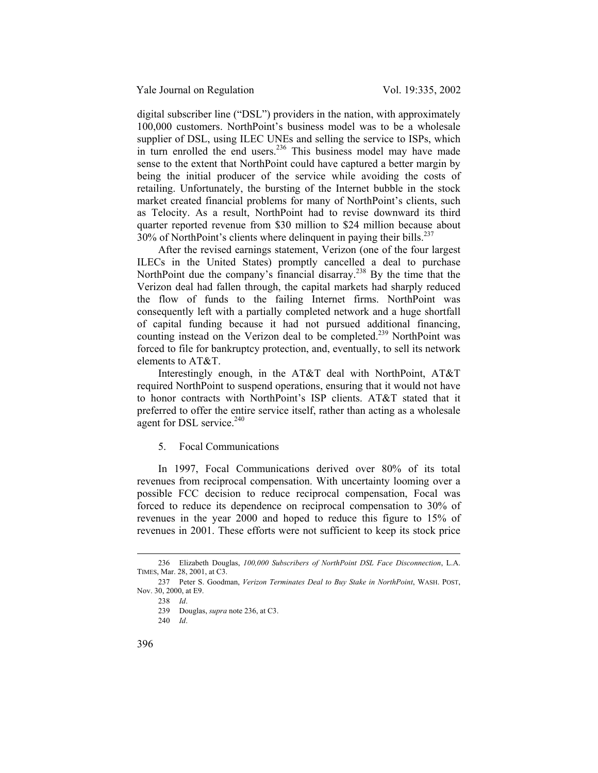digital subscriber line ("DSL") providers in the nation, with approximately 100,000 customers. NorthPoint's business model was to be a wholesale supplier of DSL, using ILEC UNEs and selling the service to ISPs, which in turn enrolled the end users. $236$  This business model may have made sense to the extent that NorthPoint could have captured a better margin by being the initial producer of the service while avoiding the costs of retailing. Unfortunately, the bursting of the Internet bubble in the stock market created financial problems for many of NorthPoint's clients, such as Telocity. As a result, NorthPoint had to revise downward its third quarter reported revenue from \$30 million to \$24 million because about  $30\%$  of NorthPoint's clients where delinguent in paying their bills.<sup>237</sup>

After the revised earnings statement, Verizon (one of the four largest ILECs in the United States) promptly cancelled a deal to purchase NorthPoint due the company's financial disarray.<sup>238</sup> By the time that the Verizon deal had fallen through, the capital markets had sharply reduced the flow of funds to the failing Internet firms. NorthPoint was consequently left with a partially completed network and a huge shortfall of capital funding because it had not pursued additional financing, counting instead on the Verizon deal to be completed.<sup>239</sup> NorthPoint was forced to file for bankruptcy protection, and, eventually, to sell its network elements to AT&T.

Interestingly enough, in the AT&T deal with NorthPoint, AT&T required NorthPoint to suspend operations, ensuring that it would not have to honor contracts with NorthPoint's ISP clients. AT&T stated that it preferred to offer the entire service itself, rather than acting as a wholesale agent for DSL service.<sup>240</sup>

#### 5. Focal Communications

In 1997, Focal Communications derived over 80% of its total revenues from reciprocal compensation. With uncertainty looming over a possible FCC decision to reduce reciprocal compensation, Focal was forced to reduce its dependence on reciprocal compensation to 30% of revenues in the year 2000 and hoped to reduce this figure to 15% of revenues in 2001. These efforts were not sufficient to keep its stock price

 <sup>236</sup> Elizabeth Douglas, *100,000 Subscribers of NorthPoint DSL Face Disconnection*, L.A. TIMES, Mar. 28, 2001, at C3.

<sup>237</sup> Peter S. Goodman, *Verizon Terminates Deal to Buy Stake in NorthPoint*, WASH. POST, Nov. 30, 2000, at E9.

<sup>238</sup> *Id*.

<sup>239</sup> Douglas, *supra* note 236, at C3.

<sup>240</sup> *Id*.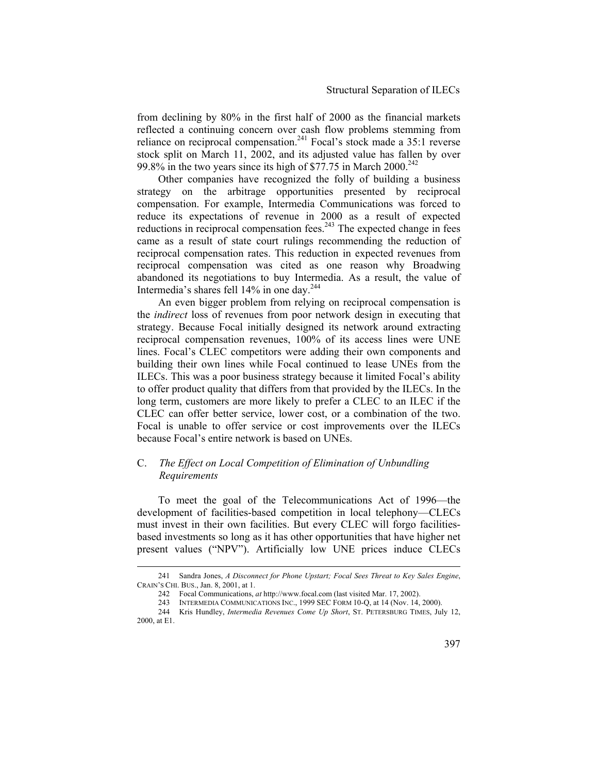from declining by 80% in the first half of 2000 as the financial markets reflected a continuing concern over cash flow problems stemming from reliance on reciprocal compensation.<sup>241</sup> Focal's stock made a  $35:1$  reverse stock split on March 11, 2002, and its adjusted value has fallen by over 99.8% in the two years since its high of  $$77.75$  in March  $2000.<sup>242</sup>$ 

Other companies have recognized the folly of building a business strategy on the arbitrage opportunities presented by reciprocal compensation. For example, Intermedia Communications was forced to reduce its expectations of revenue in 2000 as a result of expected reductions in reciprocal compensation fees.<sup>243</sup> The expected change in fees came as a result of state court rulings recommending the reduction of reciprocal compensation rates. This reduction in expected revenues from reciprocal compensation was cited as one reason why Broadwing abandoned its negotiations to buy Intermedia. As a result, the value of Intermedia's shares fell 14% in one day.244

An even bigger problem from relying on reciprocal compensation is the *indirect* loss of revenues from poor network design in executing that strategy. Because Focal initially designed its network around extracting reciprocal compensation revenues, 100% of its access lines were UNE lines. Focal's CLEC competitors were adding their own components and building their own lines while Focal continued to lease UNEs from the ILECs. This was a poor business strategy because it limited Focal's ability to offer product quality that differs from that provided by the ILECs. In the long term, customers are more likely to prefer a CLEC to an ILEC if the CLEC can offer better service, lower cost, or a combination of the two. Focal is unable to offer service or cost improvements over the ILECs because Focal's entire network is based on UNEs.

# C. *The Effect on Local Competition of Elimination of Unbundling Requirements*

To meet the goal of the Telecommunications Act of 1996—the development of facilities-based competition in local telephony—CLECs must invest in their own facilities. But every CLEC will forgo facilitiesbased investments so long as it has other opportunities that have higher net present values ("NPV"). Artificially low UNE prices induce CLECs

 <sup>241</sup> Sandra Jones, *A Disconnect for Phone Upstart; Focal Sees Threat to Key Sales Engine*, CRAIN'S CHI. BUS., Jan. 8, 2001, at 1.

<sup>242</sup> Focal Communications, *at* http://www.focal.com (last visited Mar. 17, 2002).

<sup>243</sup> INTERMEDIA COMMUNICATIONS INC., 1999 SEC FORM 10-Q, at 14 (Nov. 14, 2000).

<sup>244</sup> Kris Hundley, *Intermedia Revenues Come Up Short*, ST. PETERSBURG TIMES, July 12, 2000, at E1.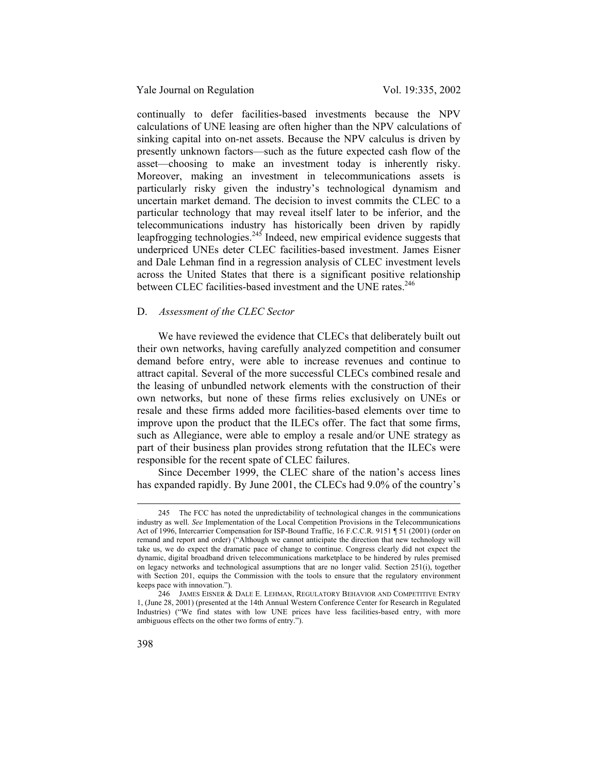continually to defer facilities-based investments because the NPV calculations of UNE leasing are often higher than the NPV calculations of sinking capital into on-net assets. Because the NPV calculus is driven by presently unknown factors—such as the future expected cash flow of the asset—choosing to make an investment today is inherently risky. Moreover, making an investment in telecommunications assets is particularly risky given the industry's technological dynamism and uncertain market demand. The decision to invest commits the CLEC to a particular technology that may reveal itself later to be inferior, and the telecommunications industry has historically been driven by rapidly leapfrogging technologies.<sup>245</sup> Indeed, new empirical evidence suggests that underpriced UNEs deter CLEC facilities-based investment. James Eisner and Dale Lehman find in a regression analysis of CLEC investment levels across the United States that there is a significant positive relationship between CLEC facilities-based investment and the UNE rates.<sup>246</sup>

#### D. *Assessment of the CLEC Sector*

We have reviewed the evidence that CLECs that deliberately built out their own networks, having carefully analyzed competition and consumer demand before entry, were able to increase revenues and continue to attract capital. Several of the more successful CLECs combined resale and the leasing of unbundled network elements with the construction of their own networks, but none of these firms relies exclusively on UNEs or resale and these firms added more facilities-based elements over time to improve upon the product that the ILECs offer. The fact that some firms, such as Allegiance, were able to employ a resale and/or UNE strategy as part of their business plan provides strong refutation that the ILECs were responsible for the recent spate of CLEC failures.

Since December 1999, the CLEC share of the nation's access lines has expanded rapidly. By June 2001, the CLECs had 9.0% of the country's

 <sup>245</sup> The FCC has noted the unpredictability of technological changes in the communications industry as well. *See* Implementation of the Local Competition Provisions in the Telecommunications Act of 1996, Intercarrier Compensation for ISP-Bound Traffic, 16 F.C.C.R. 9151 ¶ 51 (2001) (order on remand and report and order) ("Although we cannot anticipate the direction that new technology will take us, we do expect the dramatic pace of change to continue. Congress clearly did not expect the dynamic, digital broadband driven telecommunications marketplace to be hindered by rules premised on legacy networks and technological assumptions that are no longer valid. Section 251(i), together with Section 201, equips the Commission with the tools to ensure that the regulatory environment keeps pace with innovation.").

<sup>246</sup> JAMES EISNER & DALE E. LEHMAN, REGULATORY BEHAVIOR AND COMPETITIVE ENTRY 1, (June 28, 2001) (presented at the 14th Annual Western Conference Center for Research in Regulated Industries) ("We find states with low UNE prices have less facilities-based entry, with more ambiguous effects on the other two forms of entry.").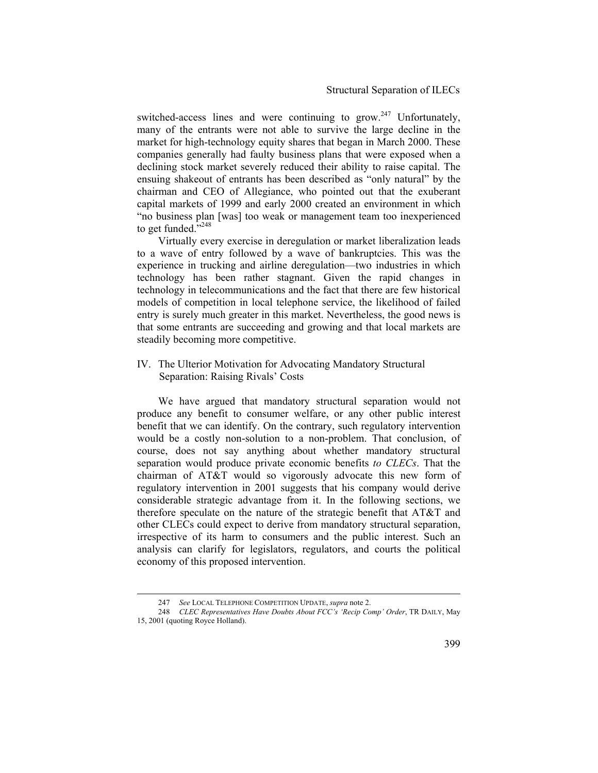switched-access lines and were continuing to grow.<sup>247</sup> Unfortunately, many of the entrants were not able to survive the large decline in the market for high-technology equity shares that began in March 2000. These companies generally had faulty business plans that were exposed when a declining stock market severely reduced their ability to raise capital. The ensuing shakeout of entrants has been described as "only natural" by the chairman and CEO of Allegiance, who pointed out that the exuberant capital markets of 1999 and early 2000 created an environment in which "no business plan [was] too weak or management team too inexperienced to get funded. $^{7,248}$ 

Virtually every exercise in deregulation or market liberalization leads to a wave of entry followed by a wave of bankruptcies. This was the experience in trucking and airline deregulation—two industries in which technology has been rather stagnant. Given the rapid changes in technology in telecommunications and the fact that there are few historical models of competition in local telephone service, the likelihood of failed entry is surely much greater in this market. Nevertheless, the good news is that some entrants are succeeding and growing and that local markets are steadily becoming more competitive.

# IV. The Ulterior Motivation for Advocating Mandatory Structural Separation: Raising Rivals' Costs

We have argued that mandatory structural separation would not produce any benefit to consumer welfare, or any other public interest benefit that we can identify. On the contrary, such regulatory intervention would be a costly non-solution to a non-problem. That conclusion, of course, does not say anything about whether mandatory structural separation would produce private economic benefits *to CLECs*. That the chairman of AT&T would so vigorously advocate this new form of regulatory intervention in 2001 suggests that his company would derive considerable strategic advantage from it. In the following sections, we therefore speculate on the nature of the strategic benefit that AT&T and other CLECs could expect to derive from mandatory structural separation, irrespective of its harm to consumers and the public interest. Such an analysis can clarify for legislators, regulators, and courts the political economy of this proposed intervention.

See LOCAL TELEPHONE COMPETITION UPDATE, *supra* note 2.

<sup>248</sup> *CLEC Representatives Have Doubts About FCC's 'Recip Comp' Order*, TR DAILY, May 15, 2001 (quoting Royce Holland).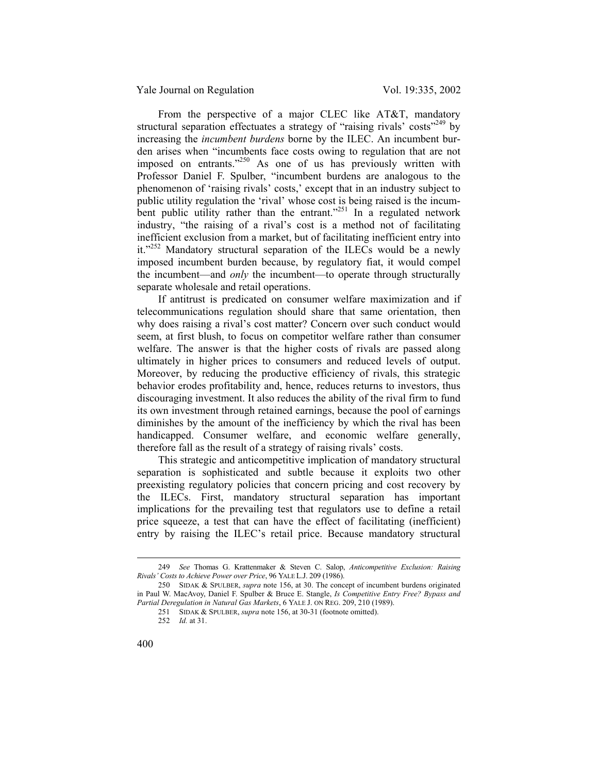From the perspective of a major CLEC like AT&T, mandatory structural separation effectuates a strategy of "raising rivals" costs<sup> $249$ </sup> by increasing the *incumbent burdens* borne by the ILEC. An incumbent burden arises when "incumbents face costs owing to regulation that are not imposed on entrants."250 As one of us has previously written with Professor Daniel F. Spulber, "incumbent burdens are analogous to the phenomenon of 'raising rivals' costs,' except that in an industry subject to public utility regulation the 'rival' whose cost is being raised is the incumbent public utility rather than the entrant.<sup>"251</sup> In a regulated network industry, "the raising of a rival's cost is a method not of facilitating inefficient exclusion from a market, but of facilitating inefficient entry into it."<sup>252</sup> Mandatory structural separation of the ILECs would be a newly imposed incumbent burden because, by regulatory fiat, it would compel the incumbent—and *only* the incumbent—to operate through structurally separate wholesale and retail operations.

If antitrust is predicated on consumer welfare maximization and if telecommunications regulation should share that same orientation, then why does raising a rival's cost matter? Concern over such conduct would seem, at first blush, to focus on competitor welfare rather than consumer welfare. The answer is that the higher costs of rivals are passed along ultimately in higher prices to consumers and reduced levels of output. Moreover, by reducing the productive efficiency of rivals, this strategic behavior erodes profitability and, hence, reduces returns to investors, thus discouraging investment. It also reduces the ability of the rival firm to fund its own investment through retained earnings, because the pool of earnings diminishes by the amount of the inefficiency by which the rival has been handicapped. Consumer welfare, and economic welfare generally, therefore fall as the result of a strategy of raising rivals' costs.

This strategic and anticompetitive implication of mandatory structural separation is sophisticated and subtle because it exploits two other preexisting regulatory policies that concern pricing and cost recovery by the ILECs. First, mandatory structural separation has important implications for the prevailing test that regulators use to define a retail price squeeze, a test that can have the effect of facilitating (inefficient) entry by raising the ILEC's retail price. Because mandatory structural

 <sup>249</sup> *See* Thomas G. Krattenmaker & Steven C. Salop, *Anticompetitive Exclusion: Raising Rivals' Costs to Achieve Power over Price*, 96 YALE L.J. 209 (1986).

<sup>250</sup> SIDAK & SPULBER, *supra* note 156, at 30. The concept of incumbent burdens originated in Paul W. MacAvoy, Daniel F. Spulber & Bruce E. Stangle, *Is Competitive Entry Free? Bypass and Partial Deregulation in Natural Gas Markets*, 6 YALE J. ON REG. 209, 210 (1989).

<sup>251</sup> SIDAK & SPULBER, *supra* note 156, at 30-31 (footnote omitted).

<sup>252</sup> *Id.* at 31.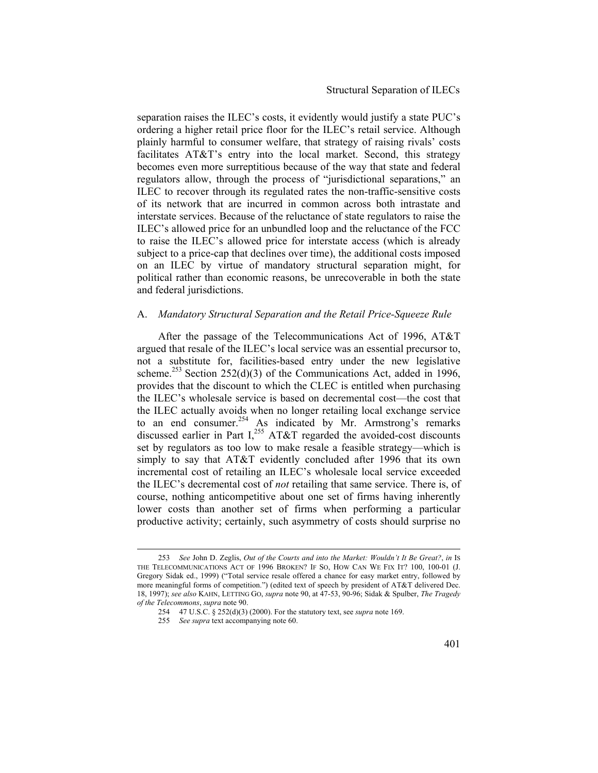### Structural Separation of ILECs

separation raises the ILEC's costs, it evidently would justify a state PUC's ordering a higher retail price floor for the ILEC's retail service. Although plainly harmful to consumer welfare, that strategy of raising rivals' costs facilitates AT&T's entry into the local market. Second, this strategy becomes even more surreptitious because of the way that state and federal regulators allow, through the process of "jurisdictional separations," an ILEC to recover through its regulated rates the non-traffic-sensitive costs of its network that are incurred in common across both intrastate and interstate services. Because of the reluctance of state regulators to raise the ILEC's allowed price for an unbundled loop and the reluctance of the FCC to raise the ILEC's allowed price for interstate access (which is already subject to a price-cap that declines over time), the additional costs imposed on an ILEC by virtue of mandatory structural separation might, for political rather than economic reasons, be unrecoverable in both the state and federal jurisdictions.

#### A. *Mandatory Structural Separation and the Retail Price-Squeeze Rule*

After the passage of the Telecommunications Act of 1996, AT&T argued that resale of the ILEC's local service was an essential precursor to, not a substitute for, facilities-based entry under the new legislative scheme.<sup>253</sup> Section 252(d)(3) of the Communications Act, added in 1996, provides that the discount to which the CLEC is entitled when purchasing the ILEC's wholesale service is based on decremental cost—the cost that the ILEC actually avoids when no longer retailing local exchange service to an end consumer.<sup>254</sup> As indicated by Mr. Armstrong's remarks discussed earlier in Part  $I<sub>1</sub><sup>255</sup> AT&T$  regarded the avoided-cost discounts set by regulators as too low to make resale a feasible strategy—which is simply to say that AT&T evidently concluded after 1996 that its own incremental cost of retailing an ILEC's wholesale local service exceeded the ILEC's decremental cost of *not* retailing that same service. There is, of course, nothing anticompetitive about one set of firms having inherently lower costs than another set of firms when performing a particular productive activity; certainly, such asymmetry of costs should surprise no

 <sup>253</sup> *See* John D. Zeglis, *Out of the Courts and into the Market: Wouldn't It Be Great?*, *in* IS THE TELECOMMUNICATIONS ACT OF 1996 BROKEN? IF SO, HOW CAN WE FIX IT? 100, 100-01 (J. Gregory Sidak ed., 1999) ("Total service resale offered a chance for easy market entry, followed by more meaningful forms of competition.") (edited text of speech by president of AT&T delivered Dec. 18, 1997); *see also* KAHN, LETTING GO, *supra* note 90, at 47-53, 90-96; Sidak & Spulber, *The Tragedy of the Telecommons*, *supra* note 90.

<sup>254 47</sup> U.S.C. § 252(d)(3) (2000). For the statutory text, see *supra* note 169.

<sup>255</sup> *See supra* text accompanying note 60.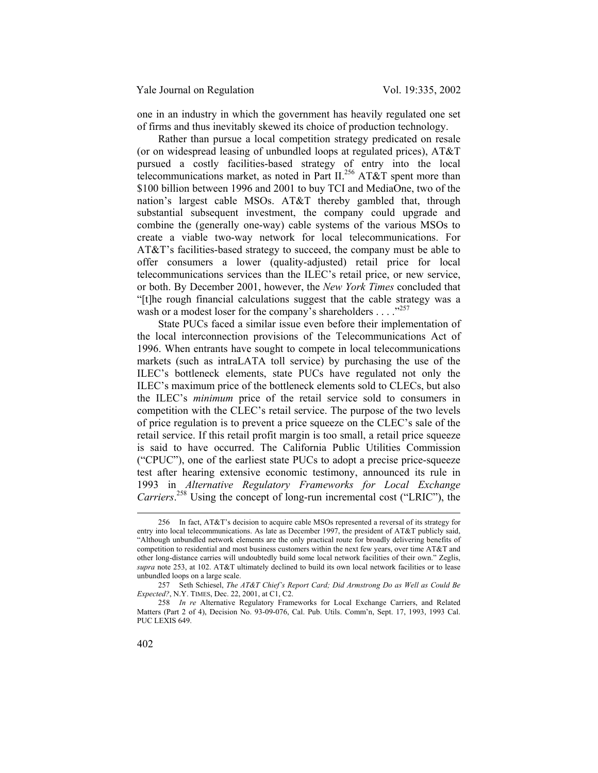one in an industry in which the government has heavily regulated one set of firms and thus inevitably skewed its choice of production technology.

Rather than pursue a local competition strategy predicated on resale (or on widespread leasing of unbundled loops at regulated prices), AT&T pursued a costly facilities-based strategy of entry into the local telecommunications market, as noted in Part II.<sup>256</sup> AT&T spent more than \$100 billion between 1996 and 2001 to buy TCI and MediaOne, two of the nation's largest cable MSOs. AT&T thereby gambled that, through substantial subsequent investment, the company could upgrade and combine the (generally one-way) cable systems of the various MSOs to create a viable two-way network for local telecommunications. For AT&T's facilities-based strategy to succeed, the company must be able to offer consumers a lower (quality-adjusted) retail price for local telecommunications services than the ILEC's retail price, or new service, or both. By December 2001, however, the *New York Times* concluded that "[t]he rough financial calculations suggest that the cable strategy was a wash or a modest loser for the company's shareholders . . . . .<sup>257</sup>

State PUCs faced a similar issue even before their implementation of the local interconnection provisions of the Telecommunications Act of 1996. When entrants have sought to compete in local telecommunications markets (such as intraLATA toll service) by purchasing the use of the ILEC's bottleneck elements, state PUCs have regulated not only the ILEC's maximum price of the bottleneck elements sold to CLECs, but also the ILEC's *minimum* price of the retail service sold to consumers in competition with the CLEC's retail service. The purpose of the two levels of price regulation is to prevent a price squeeze on the CLEC's sale of the retail service. If this retail profit margin is too small, a retail price squeeze is said to have occurred. The California Public Utilities Commission ("CPUC"), one of the earliest state PUCs to adopt a precise price-squeeze test after hearing extensive economic testimony, announced its rule in 1993 in *Alternative Regulatory Frameworks for Local Exchange Carriers*. 258 Using the concept of long-run incremental cost ("LRIC"), the

 <sup>256</sup> In fact, AT&T's decision to acquire cable MSOs represented a reversal of its strategy for entry into local telecommunications. As late as December 1997, the president of AT&T publicly said, "Although unbundled network elements are the only practical route for broadly delivering benefits of competition to residential and most business customers within the next few years, over time AT&T and other long-distance carries will undoubtedly build some local network facilities of their own." Zeglis, *supra* note 253, at 102. AT&T ultimately declined to build its own local network facilities or to lease unbundled loops on a large scale.

<sup>257</sup> Seth Schiesel, *The AT&T Chief's Report Card; Did Armstrong Do as Well as Could Be Expected?*, N.Y. TIMES, Dec. 22, 2001, at C1, C2.

<sup>258</sup> *In re* Alternative Regulatory Frameworks for Local Exchange Carriers, and Related Matters (Part 2 of 4), Decision No. 93-09-076, Cal. Pub. Utils. Comm'n, Sept. 17, 1993, 1993 Cal. PUC LEXIS 649.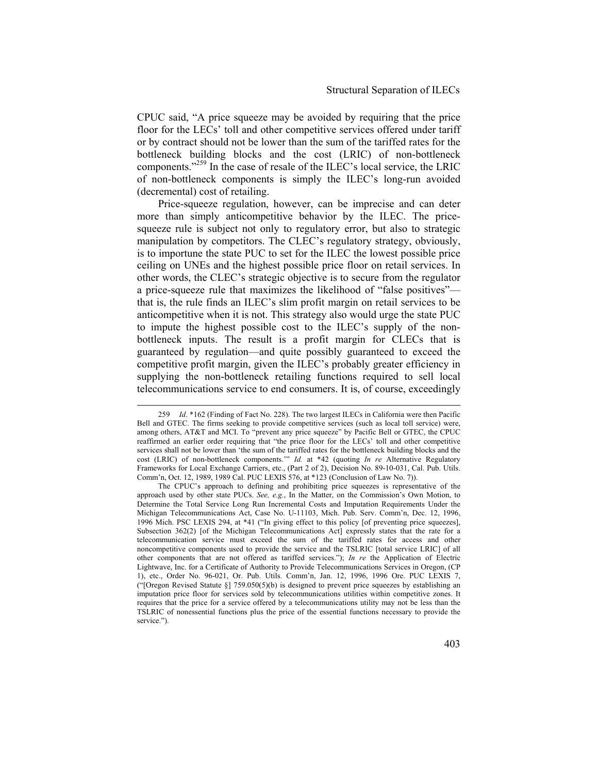CPUC said, "A price squeeze may be avoided by requiring that the price floor for the LECs' toll and other competitive services offered under tariff or by contract should not be lower than the sum of the tariffed rates for the bottleneck building blocks and the cost (LRIC) of non-bottleneck components."259 In the case of resale of the ILEC's local service, the LRIC of non-bottleneck components is simply the ILEC's long-run avoided (decremental) cost of retailing.

Price-squeeze regulation, however, can be imprecise and can deter more than simply anticompetitive behavior by the ILEC. The pricesqueeze rule is subject not only to regulatory error, but also to strategic manipulation by competitors. The CLEC's regulatory strategy, obviously, is to importune the state PUC to set for the ILEC the lowest possible price ceiling on UNEs and the highest possible price floor on retail services. In other words, the CLEC's strategic objective is to secure from the regulator a price-squeeze rule that maximizes the likelihood of "false positives" that is, the rule finds an ILEC's slim profit margin on retail services to be anticompetitive when it is not. This strategy also would urge the state PUC to impute the highest possible cost to the ILEC's supply of the nonbottleneck inputs. The result is a profit margin for CLECs that is guaranteed by regulation—and quite possibly guaranteed to exceed the competitive profit margin, given the ILEC's probably greater efficiency in supplying the non-bottleneck retailing functions required to sell local telecommunications service to end consumers. It is, of course, exceedingly

 <sup>259</sup> *Id*. \*162 (Finding of Fact No. 228). The two largest ILECs in California were then Pacific Bell and GTEC. The firms seeking to provide competitive services (such as local toll service) were, among others, AT&T and MCI. To "prevent any price squeeze" by Pacific Bell or GTEC, the CPUC reaffirmed an earlier order requiring that "the price floor for the LECs' toll and other competitive services shall not be lower than 'the sum of the tariffed rates for the bottleneck building blocks and the cost (LRIC) of non-bottleneck components.'" *Id.* at \*42 (quoting *In re* Alternative Regulatory Frameworks for Local Exchange Carriers, etc., (Part 2 of 2), Decision No. 89-10-031, Cal. Pub. Utils. Comm'n, Oct. 12, 1989, 1989 Cal. PUC LEXIS 576, at \*123 (Conclusion of Law No. 7)).

The CPUC's approach to defining and prohibiting price squeezes is representative of the approach used by other state PUCs. *See, e.g.*, In the Matter, on the Commission's Own Motion, to Determine the Total Service Long Run Incremental Costs and Imputation Requirements Under the Michigan Telecommunications Act, Case No. U-11103, Mich. Pub. Serv. Comm'n, Dec. 12, 1996, 1996 Mich. PSC LEXIS 294, at \*41 ("In giving effect to this policy [of preventing price squeezes], Subsection 362(2) [of the Michigan Telecommunications Act] expressly states that the rate for a telecommunication service must exceed the sum of the tariffed rates for access and other noncompetitive components used to provide the service and the TSLRIC [total service LRIC] of all other components that are not offered as tariffed services."); *In re* the Application of Electric Lightwave, Inc. for a Certificate of Authority to Provide Telecommunications Services in Oregon, (CP 1), etc., Order No. 96-021, Or. Pub. Utils. Comm'n, Jan. 12, 1996, 1996 Ore. PUC LEXIS 7, ("[Oregon Revised Statute §] 759.050(5)(b) is designed to prevent price squeezes by establishing an imputation price floor for services sold by telecommunications utilities within competitive zones. It requires that the price for a service offered by a telecommunications utility may not be less than the TSLRIC of nonessential functions plus the price of the essential functions necessary to provide the service.").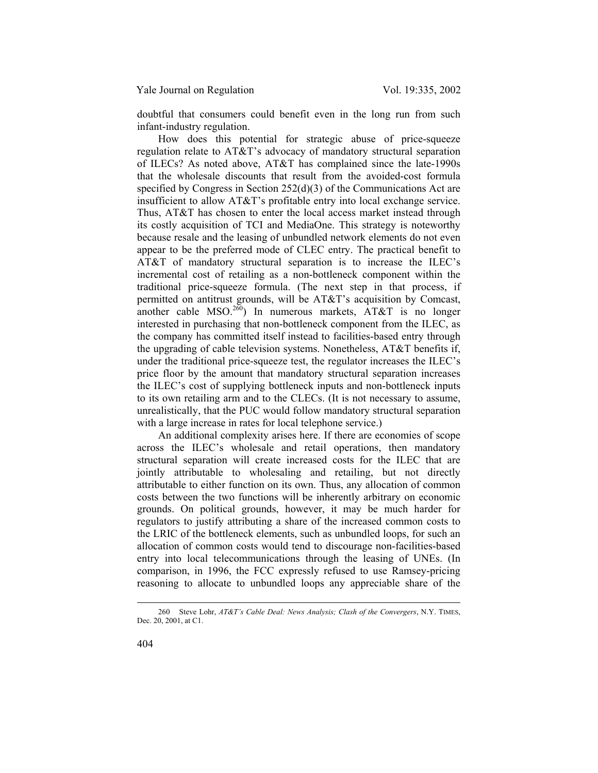doubtful that consumers could benefit even in the long run from such infant-industry regulation.

How does this potential for strategic abuse of price-squeeze regulation relate to AT&T's advocacy of mandatory structural separation of ILECs? As noted above, AT&T has complained since the late-1990s that the wholesale discounts that result from the avoided-cost formula specified by Congress in Section 252(d)(3) of the Communications Act are insufficient to allow AT&T's profitable entry into local exchange service. Thus, AT&T has chosen to enter the local access market instead through its costly acquisition of TCI and MediaOne. This strategy is noteworthy because resale and the leasing of unbundled network elements do not even appear to be the preferred mode of CLEC entry. The practical benefit to AT&T of mandatory structural separation is to increase the ILEC's incremental cost of retailing as a non-bottleneck component within the traditional price-squeeze formula. (The next step in that process, if permitted on antitrust grounds, will be AT&T's acquisition by Comcast, another cable  $MSO.<sup>260</sup>$ ) In numerous markets,  $AT&T$  is no longer interested in purchasing that non-bottleneck component from the ILEC, as the company has committed itself instead to facilities-based entry through the upgrading of cable television systems. Nonetheless, AT&T benefits if, under the traditional price-squeeze test, the regulator increases the ILEC's price floor by the amount that mandatory structural separation increases the ILEC's cost of supplying bottleneck inputs and non-bottleneck inputs to its own retailing arm and to the CLECs. (It is not necessary to assume, unrealistically, that the PUC would follow mandatory structural separation with a large increase in rates for local telephone service.)

An additional complexity arises here. If there are economies of scope across the ILEC's wholesale and retail operations, then mandatory structural separation will create increased costs for the ILEC that are jointly attributable to wholesaling and retailing, but not directly attributable to either function on its own. Thus, any allocation of common costs between the two functions will be inherently arbitrary on economic grounds. On political grounds, however, it may be much harder for regulators to justify attributing a share of the increased common costs to the LRIC of the bottleneck elements, such as unbundled loops, for such an allocation of common costs would tend to discourage non-facilities-based entry into local telecommunications through the leasing of UNEs. (In comparison, in 1996, the FCC expressly refused to use Ramsey-pricing reasoning to allocate to unbundled loops any appreciable share of the

 <sup>260</sup> Steve Lohr, *AT&T's Cable Deal: News Analysis; Clash of the Convergers*, N.Y. TIMES, Dec. 20, 2001, at C1.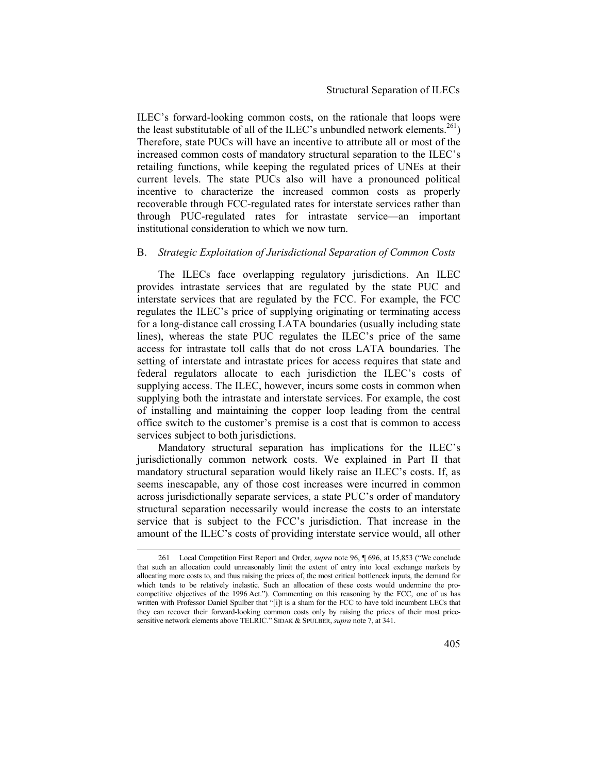ILEC's forward-looking common costs, on the rationale that loops were the least substitutable of all of the ILEC's unbundled network elements.<sup>261</sup>) Therefore, state PUCs will have an incentive to attribute all or most of the increased common costs of mandatory structural separation to the ILEC's retailing functions, while keeping the regulated prices of UNEs at their current levels. The state PUCs also will have a pronounced political incentive to characterize the increased common costs as properly recoverable through FCC-regulated rates for interstate services rather than through PUC-regulated rates for intrastate service—an important institutional consideration to which we now turn.

## B. *Strategic Exploitation of Jurisdictional Separation of Common Costs*

The ILECs face overlapping regulatory jurisdictions. An ILEC provides intrastate services that are regulated by the state PUC and interstate services that are regulated by the FCC. For example, the FCC regulates the ILEC's price of supplying originating or terminating access for a long-distance call crossing LATA boundaries (usually including state lines), whereas the state PUC regulates the ILEC's price of the same access for intrastate toll calls that do not cross LATA boundaries. The setting of interstate and intrastate prices for access requires that state and federal regulators allocate to each jurisdiction the ILEC's costs of supplying access. The ILEC, however, incurs some costs in common when supplying both the intrastate and interstate services. For example, the cost of installing and maintaining the copper loop leading from the central office switch to the customer's premise is a cost that is common to access services subject to both jurisdictions.

Mandatory structural separation has implications for the ILEC's jurisdictionally common network costs. We explained in Part II that mandatory structural separation would likely raise an ILEC's costs. If, as seems inescapable, any of those cost increases were incurred in common across jurisdictionally separate services, a state PUC's order of mandatory structural separation necessarily would increase the costs to an interstate service that is subject to the FCC's jurisdiction. That increase in the amount of the ILEC's costs of providing interstate service would, all other

 <sup>261</sup> Local Competition First Report and Order, *supra* note 96, ¶ 696, at 15,853 ("We conclude that such an allocation could unreasonably limit the extent of entry into local exchange markets by allocating more costs to, and thus raising the prices of, the most critical bottleneck inputs, the demand for which tends to be relatively inelastic. Such an allocation of these costs would undermine the procompetitive objectives of the 1996 Act."). Commenting on this reasoning by the FCC, one of us has written with Professor Daniel Spulber that "[i]t is a sham for the FCC to have told incumbent LECs that they can recover their forward-looking common costs only by raising the prices of their most pricesensitive network elements above TELRIC." SIDAK & SPULBER, *supra* note 7, at 341.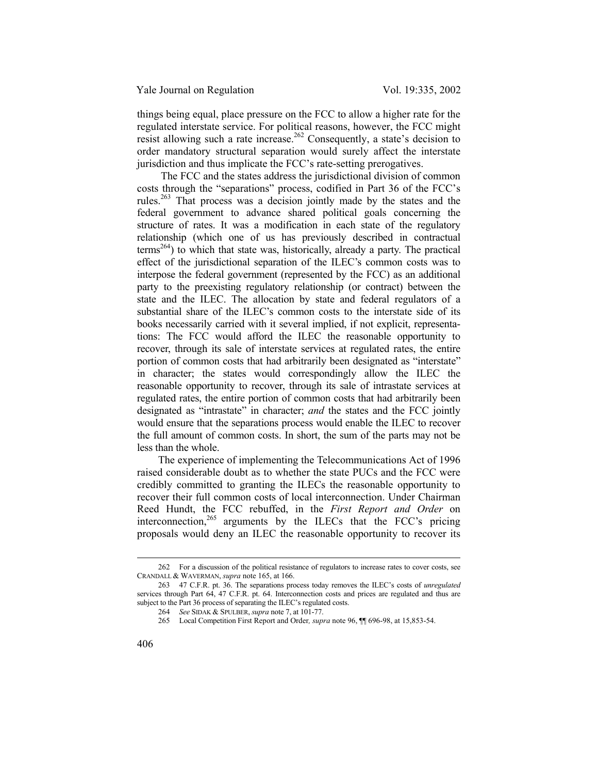things being equal, place pressure on the FCC to allow a higher rate for the regulated interstate service. For political reasons, however, the FCC might resist allowing such a rate increase.<sup>262</sup> Consequently, a state's decision to order mandatory structural separation would surely affect the interstate jurisdiction and thus implicate the FCC's rate-setting prerogatives.

 The FCC and the states address the jurisdictional division of common costs through the "separations" process, codified in Part 36 of the FCC's rules.263 That process was a decision jointly made by the states and the federal government to advance shared political goals concerning the structure of rates. It was a modification in each state of the regulatory relationship (which one of us has previously described in contractual terms<sup>264</sup>) to which that state was, historically, already a party. The practical effect of the jurisdictional separation of the ILEC's common costs was to interpose the federal government (represented by the FCC) as an additional party to the preexisting regulatory relationship (or contract) between the state and the ILEC. The allocation by state and federal regulators of a substantial share of the ILEC's common costs to the interstate side of its books necessarily carried with it several implied, if not explicit, representations: The FCC would afford the ILEC the reasonable opportunity to recover, through its sale of interstate services at regulated rates, the entire portion of common costs that had arbitrarily been designated as "interstate" in character; the states would correspondingly allow the ILEC the reasonable opportunity to recover, through its sale of intrastate services at regulated rates, the entire portion of common costs that had arbitrarily been designated as "intrastate" in character; *and* the states and the FCC jointly would ensure that the separations process would enable the ILEC to recover the full amount of common costs. In short, the sum of the parts may not be less than the whole.

The experience of implementing the Telecommunications Act of 1996 raised considerable doubt as to whether the state PUCs and the FCC were credibly committed to granting the ILECs the reasonable opportunity to recover their full common costs of local interconnection. Under Chairman Reed Hundt, the FCC rebuffed, in the *First Report and Order* on interconnection,  $265$  arguments by the ILECs that the FCC's pricing proposals would deny an ILEC the reasonable opportunity to recover its

 <sup>262</sup> For a discussion of the political resistance of regulators to increase rates to cover costs, see CRANDALL & WAVERMAN, *supra* note 165, at 166.

<sup>263</sup> 47 C.F.R. pt. 36. The separations process today removes the ILEC's costs of *unregulated* services through Part 64, 47 C.F.R. pt. 64. Interconnection costs and prices are regulated and thus are subject to the Part 36 process of separating the ILEC's regulated costs.

<sup>264</sup> *See* SIDAK & SPULBER, *supra* note 7, at 101-77.

<sup>265</sup> Local Competition First Report and Order*, supra* note 96, ¶¶ 696-98, at 15,853-54.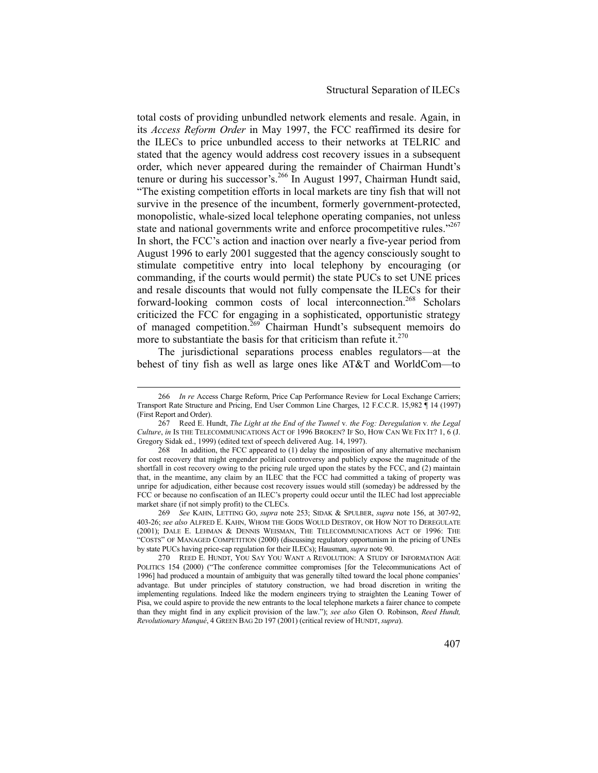total costs of providing unbundled network elements and resale. Again, in its *Access Reform Order* in May 1997, the FCC reaffirmed its desire for the ILECs to price unbundled access to their networks at TELRIC and stated that the agency would address cost recovery issues in a subsequent order, which never appeared during the remainder of Chairman Hundt's tenure or during his successor's.<sup>266</sup> In August 1997, Chairman Hundt said, "The existing competition efforts in local markets are tiny fish that will not survive in the presence of the incumbent, formerly government-protected, monopolistic, whale-sized local telephone operating companies, not unless state and national governments write and enforce procompetitive rules."<sup>267</sup> In short, the FCC's action and inaction over nearly a five-year period from August 1996 to early 2001 suggested that the agency consciously sought to stimulate competitive entry into local telephony by encouraging (or commanding, if the courts would permit) the state PUCs to set UNE prices and resale discounts that would not fully compensate the ILECs for their forward-looking common costs of local interconnection.<sup>268</sup> Scholars criticized the FCC for engaging in a sophisticated, opportunistic strategy of managed competition.<sup>269</sup> Chairman Hundt's subsequent memoirs do more to substantiate the basis for that criticism than refute it. $270$ 

The jurisdictional separations process enables regulators—at the behest of tiny fish as well as large ones like AT&T and WorldCom—to

 <sup>266</sup> *In re* Access Charge Reform, Price Cap Performance Review for Local Exchange Carriers; Transport Rate Structure and Pricing, End User Common Line Charges, 12 F.C.C.R. 15,982 ¶ 14 (1997) (First Report and Order).

<sup>267</sup> Reed E. Hundt, *The Light at the End of the Tunnel* v*. the Fog: Deregulation* v*. the Legal Culture*, *in* IS THE TELECOMMUNICATIONS ACT OF 1996 BROKEN? IF SO, HOW CAN WE FIX IT? 1, 6 (J. Gregory Sidak ed., 1999) (edited text of speech delivered Aug. 14, 1997).

<sup>268</sup> In addition, the FCC appeared to (1) delay the imposition of any alternative mechanism for cost recovery that might engender political controversy and publicly expose the magnitude of the shortfall in cost recovery owing to the pricing rule urged upon the states by the FCC, and (2) maintain that, in the meantime, any claim by an ILEC that the FCC had committed a taking of property was unripe for adjudication, either because cost recovery issues would still (someday) be addressed by the FCC or because no confiscation of an ILEC's property could occur until the ILEC had lost appreciable market share (if not simply profit) to the CLECs.

<sup>269</sup> *See* KAHN, LETTING GO, *supra* note 253; SIDAK & SPULBER, *supra* note 156, at 307-92, 403-26; *see also* ALFRED E. KAHN, WHOM THE GODS WOULD DESTROY, OR HOW NOT TO DEREGULATE (2001); DALE E. LEHMAN & DENNIS WEISMAN, THE TELECOMMUNICATIONS ACT OF 1996: THE "COSTS" OF MANAGED COMPETITION (2000) (discussing regulatory opportunism in the pricing of UNEs by state PUCs having price-cap regulation for their ILECs); Hausman, *supra* note 90.

<sup>270</sup> REED E. HUNDT, YOU SAY YOU WANT A REVOLUTION: A STUDY OF INFORMATION AGE POLITICS 154 (2000) ("The conference committee compromises [for the Telecommunications Act of 1996] had produced a mountain of ambiguity that was generally tilted toward the local phone companies' advantage. But under principles of statutory construction, we had broad discretion in writing the implementing regulations. Indeed like the modern engineers trying to straighten the Leaning Tower of Pisa, we could aspire to provide the new entrants to the local telephone markets a fairer chance to compete than they might find in any explicit provision of the law."); *see also* Glen O. Robinson, *Reed Hundt, Revolutionary Manqué*, 4 GREEN BAG 2D 197 (2001) (critical review of HUNDT, *supra*).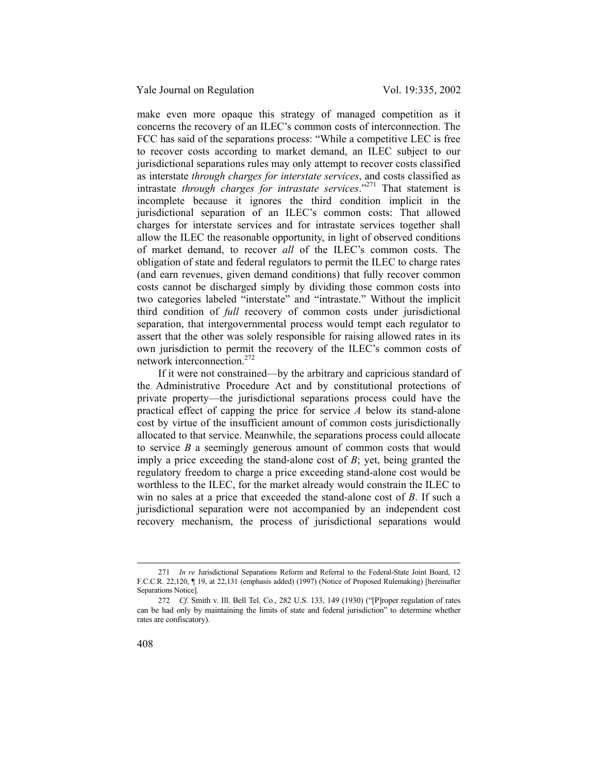Yale Journal on Regulation Vol. 19:335, 2002

make even more opaque this strategy of managed competition as it concerns the recovery of an ILEC's common costs of interconnection. The FCC has said of the separations process: "While a competitive LEC is free to recover costs according to market demand, an ILEC subject to our jurisdictional separations rules may only attempt to recover costs classified as interstate *through charges for interstate services*, and costs classified as intrastate *through charges for intrastate services*."271 That statement is incomplete because it ignores the third condition implicit in the jurisdictional separation of an ILEC's common costs: That allowed charges for interstate services and for intrastate services together shall allow the ILEC the reasonable opportunity, in light of observed conditions of market demand, to recover *all* of the ILEC's common costs. The obligation of state and federal regulators to permit the ILEC to charge rates (and earn revenues, given demand conditions) that fully recover common costs cannot be discharged simply by dividing those common costs into two categories labeled "interstate" and "intrastate." Without the implicit third condition of *full* recovery of common costs under jurisdictional separation, that intergovernmental process would tempt each regulator to assert that the other was solely responsible for raising allowed rates in its own jurisdiction to permit the recovery of the ILEC's common costs of network interconnection.272

If it were not constrained—by the arbitrary and capricious standard of the Administrative Procedure Act and by constitutional protections of private property—the jurisdictional separations process could have the practical effect of capping the price for service *A* below its stand-alone cost by virtue of the insufficient amount of common costs jurisdictionally allocated to that service. Meanwhile, the separations process could allocate to service *B* a seemingly generous amount of common costs that would imply a price exceeding the stand-alone cost of *B*; yet, being granted the regulatory freedom to charge a price exceeding stand-alone cost would be worthless to the ILEC, for the market already would constrain the ILEC to win no sales at a price that exceeded the stand-alone cost of *B*. If such a jurisdictional separation were not accompanied by an independent cost recovery mechanism, the process of jurisdictional separations would

 <sup>271</sup> *In re* Jurisdictional Separations Reform and Referral to the Federal-State Joint Board, 12 F.C.C.R. 22,120, ¶ 19, at 22,131 (emphasis added) (1997) (Notice of Proposed Rulemaking) [hereinafter Separations Notice].

<sup>272</sup> *Cf*. Smith v. Ill. Bell Tel. Co., 282 U.S. 133, 149 (1930) ("[P]roper regulation of rates can be had only by maintaining the limits of state and federal jurisdiction" to determine whether rates are confiscatory).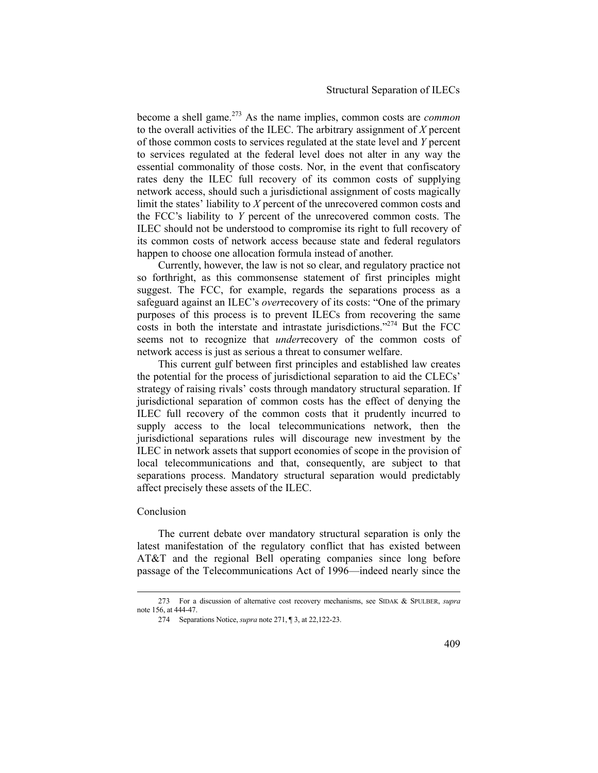## Structural Separation of ILECs

become a shell game.273 As the name implies, common costs are *common* to the overall activities of the ILEC. The arbitrary assignment of *X* percent of those common costs to services regulated at the state level and *Y* percent to services regulated at the federal level does not alter in any way the essential commonality of those costs. Nor, in the event that confiscatory rates deny the ILEC full recovery of its common costs of supplying network access, should such a jurisdictional assignment of costs magically limit the states' liability to *X* percent of the unrecovered common costs and the FCC's liability to *Y* percent of the unrecovered common costs. The ILEC should not be understood to compromise its right to full recovery of its common costs of network access because state and federal regulators happen to choose one allocation formula instead of another.

Currently, however, the law is not so clear, and regulatory practice not so forthright, as this commonsense statement of first principles might suggest. The FCC, for example, regards the separations process as a safeguard against an ILEC's *over*recovery of its costs: "One of the primary purposes of this process is to prevent ILECs from recovering the same costs in both the interstate and intrastate jurisdictions."<sup>274</sup> But the FCC seems not to recognize that *under*recovery of the common costs of network access is just as serious a threat to consumer welfare.

This current gulf between first principles and established law creates the potential for the process of jurisdictional separation to aid the CLECs' strategy of raising rivals' costs through mandatory structural separation. If jurisdictional separation of common costs has the effect of denying the ILEC full recovery of the common costs that it prudently incurred to supply access to the local telecommunications network, then the jurisdictional separations rules will discourage new investment by the ILEC in network assets that support economies of scope in the provision of local telecommunications and that, consequently, are subject to that separations process. Mandatory structural separation would predictably affect precisely these assets of the ILEC.

## Conclusion

The current debate over mandatory structural separation is only the latest manifestation of the regulatory conflict that has existed between AT&T and the regional Bell operating companies since long before passage of the Telecommunications Act of 1996—indeed nearly since the

 <sup>273</sup> For a discussion of alternative cost recovery mechanisms, see SIDAK & SPULBER, *supra* note 156, at 444-47.

<sup>274</sup> Separations Notice, *supra* note 271, ¶ 3, at 22,122-23.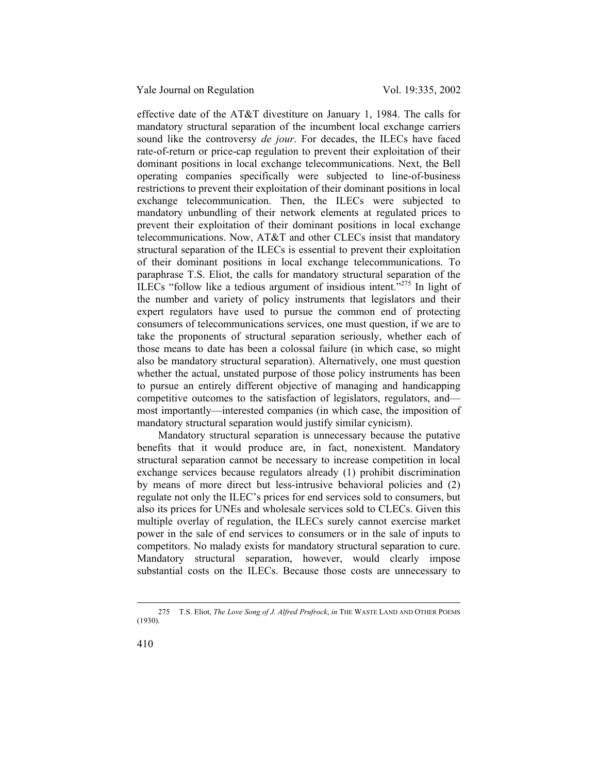effective date of the AT&T divestiture on January 1, 1984. The calls for mandatory structural separation of the incumbent local exchange carriers sound like the controversy *de jour*. For decades, the ILECs have faced rate-of-return or price-cap regulation to prevent their exploitation of their dominant positions in local exchange telecommunications. Next, the Bell operating companies specifically were subjected to line-of-business restrictions to prevent their exploitation of their dominant positions in local exchange telecommunication. Then, the ILECs were subjected to mandatory unbundling of their network elements at regulated prices to prevent their exploitation of their dominant positions in local exchange telecommunications. Now, AT&T and other CLECs insist that mandatory structural separation of the ILECs is essential to prevent their exploitation of their dominant positions in local exchange telecommunications. To paraphrase T.S. Eliot, the calls for mandatory structural separation of the ILECs "follow like a tedious argument of insidious intent."275 In light of the number and variety of policy instruments that legislators and their expert regulators have used to pursue the common end of protecting consumers of telecommunications services, one must question, if we are to take the proponents of structural separation seriously, whether each of those means to date has been a colossal failure (in which case, so might also be mandatory structural separation). Alternatively, one must question whether the actual, unstated purpose of those policy instruments has been to pursue an entirely different objective of managing and handicapping competitive outcomes to the satisfaction of legislators, regulators, and most importantly—interested companies (in which case, the imposition of mandatory structural separation would justify similar cynicism).

Mandatory structural separation is unnecessary because the putative benefits that it would produce are, in fact, nonexistent. Mandatory structural separation cannot be necessary to increase competition in local exchange services because regulators already (1) prohibit discrimination by means of more direct but less-intrusive behavioral policies and (2) regulate not only the ILEC's prices for end services sold to consumers, but also its prices for UNEs and wholesale services sold to CLECs. Given this multiple overlay of regulation, the ILECs surely cannot exercise market power in the sale of end services to consumers or in the sale of inputs to competitors. No malady exists for mandatory structural separation to cure. Mandatory structural separation, however, would clearly impose substantial costs on the ILECs. Because those costs are unnecessary to

 <sup>275</sup> T.S. Eliot, *The Love Song of J. Alfred Prufrock*, *in* THE WASTE LAND AND OTHER POEMS (1930).